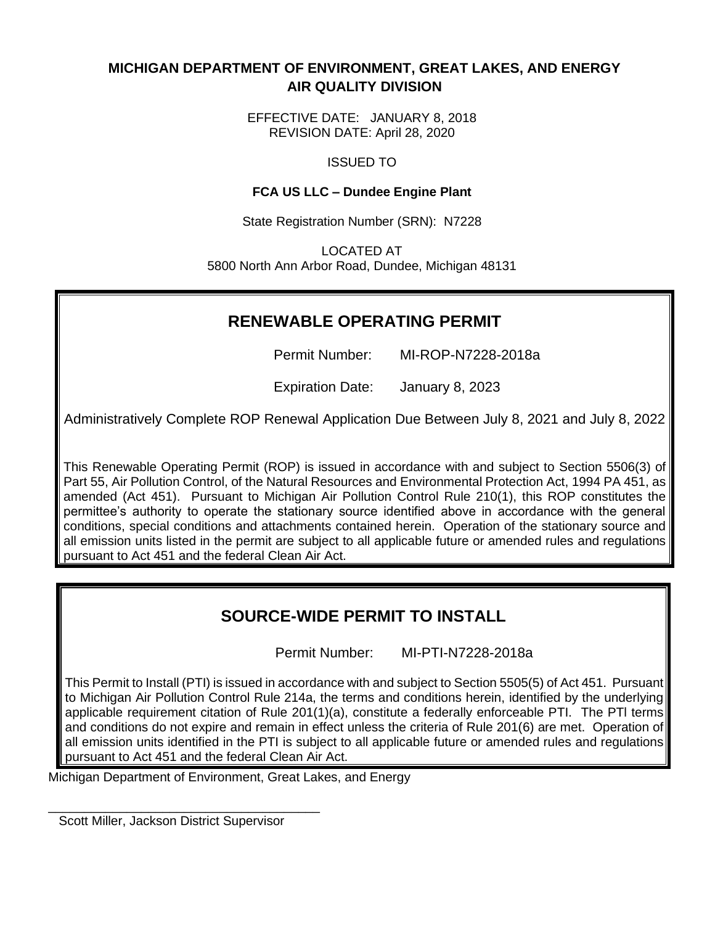# **MICHIGAN DEPARTMENT OF ENVIRONMENT, GREAT LAKES, AND ENERGY AIR QUALITY DIVISION**

EFFECTIVE DATE: JANUARY 8, 2018 REVISION DATE: April 28, 2020

ISSUED TO

# **FCA US LLC – Dundee Engine Plant**

State Registration Number (SRN): N7228

LOCATED AT 5800 North Ann Arbor Road, Dundee, Michigan 48131

# **RENEWABLE OPERATING PERMIT**

Permit Number: MI-ROP-N7228-2018a

Expiration Date: January 8, 2023

Administratively Complete ROP Renewal Application Due Between July 8, 2021 and July 8, 2022

This Renewable Operating Permit (ROP) is issued in accordance with and subject to Section 5506(3) of Part 55, Air Pollution Control, of the Natural Resources and Environmental Protection Act, 1994 PA 451, as amended (Act 451). Pursuant to Michigan Air Pollution Control Rule 210(1), this ROP constitutes the permittee's authority to operate the stationary source identified above in accordance with the general conditions, special conditions and attachments contained herein. Operation of the stationary source and all emission units listed in the permit are subject to all applicable future or amended rules and regulations pursuant to Act 451 and the federal Clean Air Act.

# **SOURCE-WIDE PERMIT TO INSTALL**

Permit Number: MI-PTI-N7228-2018a

This Permit to Install (PTI) is issued in accordance with and subject to Section 5505(5) of Act 451. Pursuant to Michigan Air Pollution Control Rule 214a, the terms and conditions herein, identified by the underlying applicable requirement citation of Rule 201(1)(a), constitute a federally enforceable PTI. The PTl terms and conditions do not expire and remain in effect unless the criteria of Rule 201(6) are met. Operation of all emission units identified in the PTI is subject to all applicable future or amended rules and regulations pursuant to Act 451 and the federal Clean Air Act.

Michigan Department of Environment, Great Lakes, and Energy

Scott Miller, Jackson District Supervisor

\_\_\_\_\_\_\_\_\_\_\_\_\_\_\_\_\_\_\_\_\_\_\_\_\_\_\_\_\_\_\_\_\_\_\_\_\_\_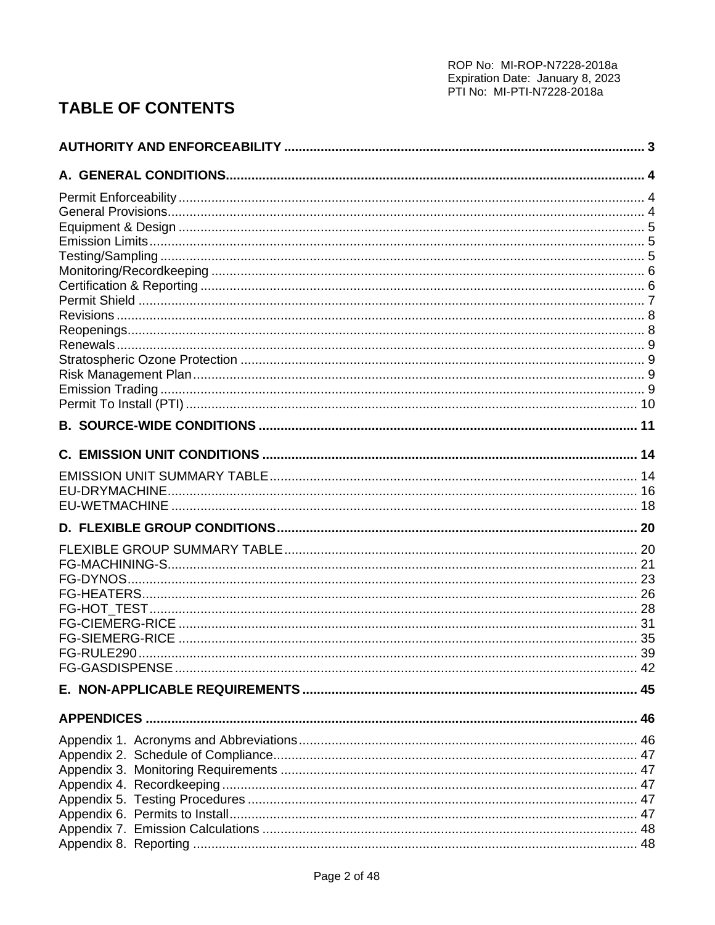# **TABLE OF CONTENTS**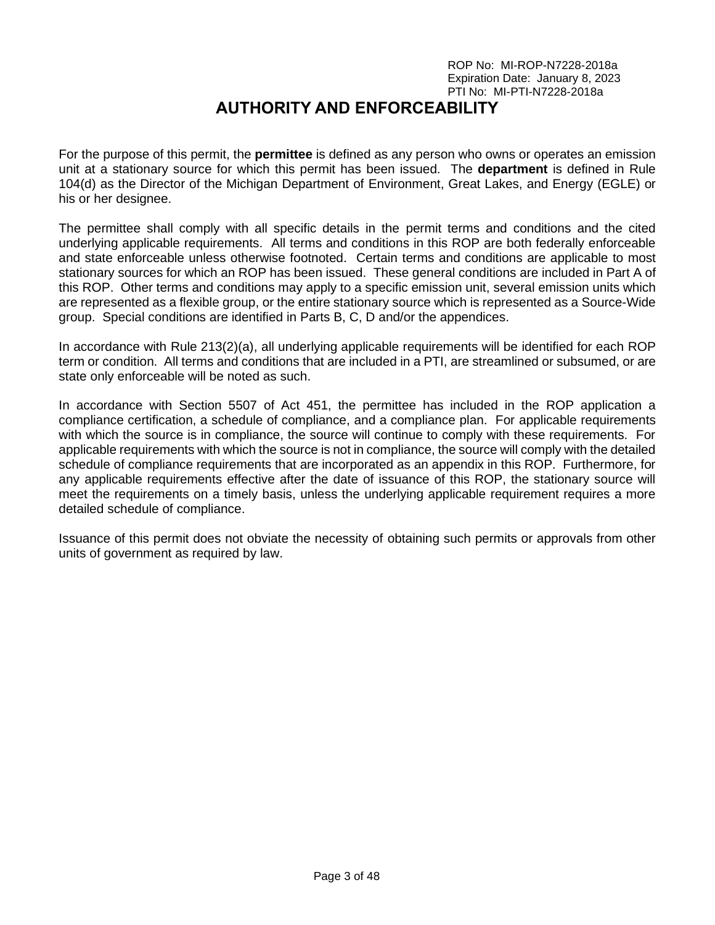# **AUTHORITY AND ENFORCEABILITY**

<span id="page-2-0"></span>For the purpose of this permit, the **permittee** is defined as any person who owns or operates an emission unit at a stationary source for which this permit has been issued. The **department** is defined in Rule 104(d) as the Director of the Michigan Department of Environment, Great Lakes, and Energy (EGLE) or his or her designee.

The permittee shall comply with all specific details in the permit terms and conditions and the cited underlying applicable requirements. All terms and conditions in this ROP are both federally enforceable and state enforceable unless otherwise footnoted. Certain terms and conditions are applicable to most stationary sources for which an ROP has been issued. These general conditions are included in Part A of this ROP. Other terms and conditions may apply to a specific emission unit, several emission units which are represented as a flexible group, or the entire stationary source which is represented as a Source-Wide group. Special conditions are identified in Parts B, C, D and/or the appendices.

In accordance with Rule 213(2)(a), all underlying applicable requirements will be identified for each ROP term or condition. All terms and conditions that are included in a PTI, are streamlined or subsumed, or are state only enforceable will be noted as such.

In accordance with Section 5507 of Act 451, the permittee has included in the ROP application a compliance certification, a schedule of compliance, and a compliance plan. For applicable requirements with which the source is in compliance, the source will continue to comply with these requirements. For applicable requirements with which the source is not in compliance, the source will comply with the detailed schedule of compliance requirements that are incorporated as an appendix in this ROP. Furthermore, for any applicable requirements effective after the date of issuance of this ROP, the stationary source will meet the requirements on a timely basis, unless the underlying applicable requirement requires a more detailed schedule of compliance.

Issuance of this permit does not obviate the necessity of obtaining such permits or approvals from other units of government as required by law.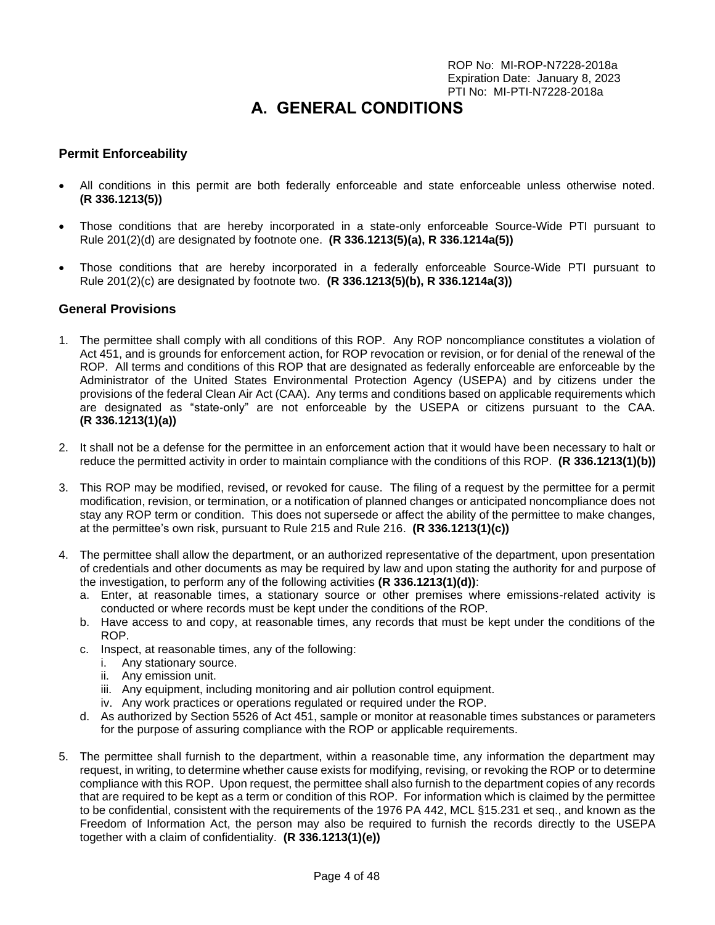# **A. GENERAL CONDITIONS**

## <span id="page-3-1"></span><span id="page-3-0"></span>**Permit Enforceability**

- All conditions in this permit are both federally enforceable and state enforceable unless otherwise noted. **(R 336.1213(5))**
- Those conditions that are hereby incorporated in a state-only enforceable Source-Wide PTI pursuant to Rule 201(2)(d) are designated by footnote one. **(R 336.1213(5)(a), R 336.1214a(5))**
- Those conditions that are hereby incorporated in a federally enforceable Source-Wide PTI pursuant to Rule 201(2)(c) are designated by footnote two. **(R 336.1213(5)(b), R 336.1214a(3))**

#### <span id="page-3-2"></span>**General Provisions**

- 1. The permittee shall comply with all conditions of this ROP. Any ROP noncompliance constitutes a violation of Act 451, and is grounds for enforcement action, for ROP revocation or revision, or for denial of the renewal of the ROP. All terms and conditions of this ROP that are designated as federally enforceable are enforceable by the Administrator of the United States Environmental Protection Agency (USEPA) and by citizens under the provisions of the federal Clean Air Act (CAA). Any terms and conditions based on applicable requirements which are designated as "state-only" are not enforceable by the USEPA or citizens pursuant to the CAA. **(R 336.1213(1)(a))**
- 2. It shall not be a defense for the permittee in an enforcement action that it would have been necessary to halt or reduce the permitted activity in order to maintain compliance with the conditions of this ROP. **(R 336.1213(1)(b))**
- 3. This ROP may be modified, revised, or revoked for cause. The filing of a request by the permittee for a permit modification, revision, or termination, or a notification of planned changes or anticipated noncompliance does not stay any ROP term or condition. This does not supersede or affect the ability of the permittee to make changes, at the permittee's own risk, pursuant to Rule 215 and Rule 216. **(R 336.1213(1)(c))**
- 4. The permittee shall allow the department, or an authorized representative of the department, upon presentation of credentials and other documents as may be required by law and upon stating the authority for and purpose of the investigation, to perform any of the following activities **(R 336.1213(1)(d))**:
	- a. Enter, at reasonable times, a stationary source or other premises where emissions-related activity is conducted or where records must be kept under the conditions of the ROP.
	- b. Have access to and copy, at reasonable times, any records that must be kept under the conditions of the ROP.
	- c. Inspect, at reasonable times, any of the following:
		- i. Any stationary source.
		- ii. Any emission unit.
		- iii. Any equipment, including monitoring and air pollution control equipment.
		- iv. Any work practices or operations regulated or required under the ROP.
	- d. As authorized by Section 5526 of Act 451, sample or monitor at reasonable times substances or parameters for the purpose of assuring compliance with the ROP or applicable requirements.
- 5. The permittee shall furnish to the department, within a reasonable time, any information the department may request, in writing, to determine whether cause exists for modifying, revising, or revoking the ROP or to determine compliance with this ROP. Upon request, the permittee shall also furnish to the department copies of any records that are required to be kept as a term or condition of this ROP. For information which is claimed by the permittee to be confidential, consistent with the requirements of the 1976 PA 442, MCL §15.231 et seq., and known as the Freedom of Information Act, the person may also be required to furnish the records directly to the USEPA together with a claim of confidentiality. **(R 336.1213(1)(e))**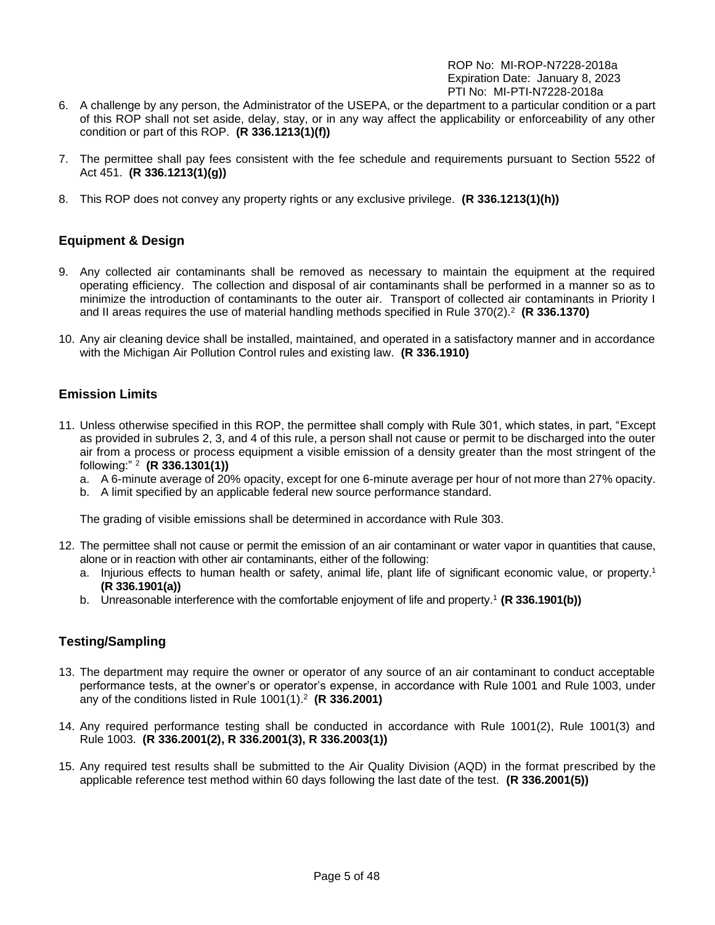- 6. A challenge by any person, the Administrator of the USEPA, or the department to a particular condition or a part of this ROP shall not set aside, delay, stay, or in any way affect the applicability or enforceability of any other condition or part of this ROP. **(R 336.1213(1)(f))**
- 7. The permittee shall pay fees consistent with the fee schedule and requirements pursuant to Section 5522 of Act 451. **(R 336.1213(1)(g))**
- 8. This ROP does not convey any property rights or any exclusive privilege. **(R 336.1213(1)(h))**

# <span id="page-4-0"></span>**Equipment & Design**

- 9. Any collected air contaminants shall be removed as necessary to maintain the equipment at the required operating efficiency. The collection and disposal of air contaminants shall be performed in a manner so as to minimize the introduction of contaminants to the outer air. Transport of collected air contaminants in Priority I and II areas requires the use of material handling methods specified in Rule 370(2).<sup>2</sup> **(R 336.1370)**
- 10. Any air cleaning device shall be installed, maintained, and operated in a satisfactory manner and in accordance with the Michigan Air Pollution Control rules and existing law. **(R 336.1910)**

## <span id="page-4-1"></span>**Emission Limits**

- 11. Unless otherwise specified in this ROP, the permittee shall comply with Rule 301, which states, in part, "Except as provided in subrules 2, 3, and 4 of this rule, a person shall not cause or permit to be discharged into the outer air from a process or process equipment a visible emission of a density greater than the most stringent of the following:" <sup>2</sup> **(R 336.1301(1))**
	- a. A 6-minute average of 20% opacity, except for one 6-minute average per hour of not more than 27% opacity.
	- b. A limit specified by an applicable federal new source performance standard.

The grading of visible emissions shall be determined in accordance with Rule 303.

- 12. The permittee shall not cause or permit the emission of an air contaminant or water vapor in quantities that cause, alone or in reaction with other air contaminants, either of the following:
	- a. Injurious effects to human health or safety, animal life, plant life of significant economic value, or property.<sup>1</sup> **(R 336.1901(a))**
	- b. Unreasonable interference with the comfortable enjoyment of life and property. <sup>1</sup> **(R 336.1901(b))**

## <span id="page-4-2"></span>**Testing/Sampling**

- 13. The department may require the owner or operator of any source of an air contaminant to conduct acceptable performance tests, at the owner's or operator's expense, in accordance with Rule 1001 and Rule 1003, under any of the conditions listed in Rule 1001(1).<sup>2</sup> **(R 336.2001)**
- 14. Any required performance testing shall be conducted in accordance with Rule 1001(2), Rule 1001(3) and Rule 1003. **(R 336.2001(2), R 336.2001(3), R 336.2003(1))**
- 15. Any required test results shall be submitted to the Air Quality Division (AQD) in the format prescribed by the applicable reference test method within 60 days following the last date of the test. **(R 336.2001(5))**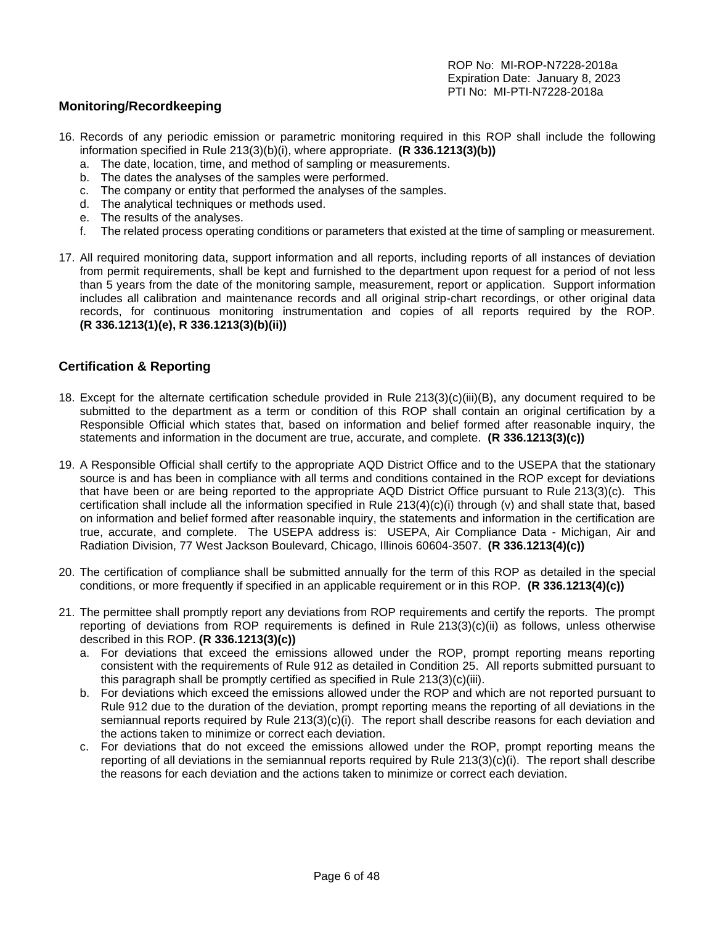## <span id="page-5-0"></span>**Monitoring/Recordkeeping**

- 16. Records of any periodic emission or parametric monitoring required in this ROP shall include the following information specified in Rule 213(3)(b)(i), where appropriate. **(R 336.1213(3)(b))**
	- a. The date, location, time, and method of sampling or measurements.
	- b. The dates the analyses of the samples were performed.
	- c. The company or entity that performed the analyses of the samples.
	- d. The analytical techniques or methods used.
	- e. The results of the analyses.
	- f. The related process operating conditions or parameters that existed at the time of sampling or measurement.
- 17. All required monitoring data, support information and all reports, including reports of all instances of deviation from permit requirements, shall be kept and furnished to the department upon request for a period of not less than 5 years from the date of the monitoring sample, measurement, report or application. Support information includes all calibration and maintenance records and all original strip-chart recordings, or other original data records, for continuous monitoring instrumentation and copies of all reports required by the ROP. **(R 336.1213(1)(e), R 336.1213(3)(b)(ii))**

## <span id="page-5-1"></span>**Certification & Reporting**

- 18. Except for the alternate certification schedule provided in Rule 213(3)(c)(iii)(B), any document required to be submitted to the department as a term or condition of this ROP shall contain an original certification by a Responsible Official which states that, based on information and belief formed after reasonable inquiry, the statements and information in the document are true, accurate, and complete. **(R 336.1213(3)(c))**
- 19. A Responsible Official shall certify to the appropriate AQD District Office and to the USEPA that the stationary source is and has been in compliance with all terms and conditions contained in the ROP except for deviations that have been or are being reported to the appropriate AQD District Office pursuant to Rule 213(3)(c). This certification shall include all the information specified in Rule 213(4)(c)(i) through (v) and shall state that, based on information and belief formed after reasonable inquiry, the statements and information in the certification are true, accurate, and complete. The USEPA address is: USEPA, Air Compliance Data - Michigan, Air and Radiation Division, 77 West Jackson Boulevard, Chicago, Illinois 60604-3507. **(R 336.1213(4)(c))**
- 20. The certification of compliance shall be submitted annually for the term of this ROP as detailed in the special conditions, or more frequently if specified in an applicable requirement or in this ROP. **(R 336.1213(4)(c))**
- 21. The permittee shall promptly report any deviations from ROP requirements and certify the reports. The prompt reporting of deviations from ROP requirements is defined in Rule 213(3)(c)(ii) as follows, unless otherwise described in this ROP. **(R 336.1213(3)(c))**
	- a. For deviations that exceed the emissions allowed under the ROP, prompt reporting means reporting consistent with the requirements of Rule 912 as detailed in Condition 25. All reports submitted pursuant to this paragraph shall be promptly certified as specified in Rule 213(3)(c)(iii).
	- b. For deviations which exceed the emissions allowed under the ROP and which are not reported pursuant to Rule 912 due to the duration of the deviation, prompt reporting means the reporting of all deviations in the semiannual reports required by Rule 213(3)(c)(i). The report shall describe reasons for each deviation and the actions taken to minimize or correct each deviation.
	- c. For deviations that do not exceed the emissions allowed under the ROP, prompt reporting means the reporting of all deviations in the semiannual reports required by Rule 213(3)(c)(i). The report shall describe the reasons for each deviation and the actions taken to minimize or correct each deviation.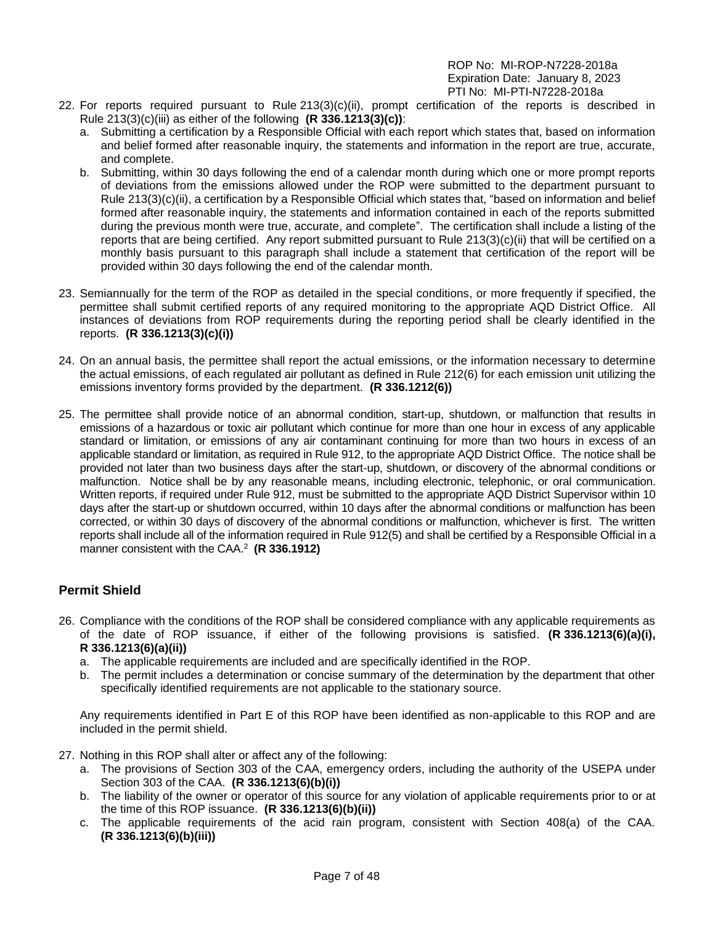- 22. For reports required pursuant to Rule 213(3)(c)(ii), prompt certification of the reports is described in Rule 213(3)(c)(iii) as either of the following **(R 336.1213(3)(c))**:
	- a. Submitting a certification by a Responsible Official with each report which states that, based on information and belief formed after reasonable inquiry, the statements and information in the report are true, accurate, and complete.
	- b. Submitting, within 30 days following the end of a calendar month during which one or more prompt reports of deviations from the emissions allowed under the ROP were submitted to the department pursuant to Rule 213(3)(c)(ii), a certification by a Responsible Official which states that, "based on information and belief formed after reasonable inquiry, the statements and information contained in each of the reports submitted during the previous month were true, accurate, and complete". The certification shall include a listing of the reports that are being certified. Any report submitted pursuant to Rule 213(3)(c)(ii) that will be certified on a monthly basis pursuant to this paragraph shall include a statement that certification of the report will be provided within 30 days following the end of the calendar month.
- 23. Semiannually for the term of the ROP as detailed in the special conditions, or more frequently if specified, the permittee shall submit certified reports of any required monitoring to the appropriate AQD District Office. All instances of deviations from ROP requirements during the reporting period shall be clearly identified in the reports. **(R 336.1213(3)(c)(i))**
- 24. On an annual basis, the permittee shall report the actual emissions, or the information necessary to determine the actual emissions, of each regulated air pollutant as defined in Rule 212(6) for each emission unit utilizing the emissions inventory forms provided by the department. **(R 336.1212(6))**
- 25. The permittee shall provide notice of an abnormal condition, start-up, shutdown, or malfunction that results in emissions of a hazardous or toxic air pollutant which continue for more than one hour in excess of any applicable standard or limitation, or emissions of any air contaminant continuing for more than two hours in excess of an applicable standard or limitation, as required in Rule 912, to the appropriate AQD District Office. The notice shall be provided not later than two business days after the start-up, shutdown, or discovery of the abnormal conditions or malfunction. Notice shall be by any reasonable means, including electronic, telephonic, or oral communication. Written reports, if required under Rule 912, must be submitted to the appropriate AQD District Supervisor within 10 days after the start-up or shutdown occurred, within 10 days after the abnormal conditions or malfunction has been corrected, or within 30 days of discovery of the abnormal conditions or malfunction, whichever is first. The written reports shall include all of the information required in Rule 912(5) and shall be certified by a Responsible Official in a manner consistent with the CAA. 2 **(R 336.1912)**

# <span id="page-6-0"></span>**Permit Shield**

- 26. Compliance with the conditions of the ROP shall be considered compliance with any applicable requirements as of the date of ROP issuance, if either of the following provisions is satisfied. **(R 336.1213(6)(a)(i), R 336.1213(6)(a)(ii))**
	- a. The applicable requirements are included and are specifically identified in the ROP.
	- b. The permit includes a determination or concise summary of the determination by the department that other specifically identified requirements are not applicable to the stationary source.

Any requirements identified in Part E of this ROP have been identified as non-applicable to this ROP and are included in the permit shield.

- 27. Nothing in this ROP shall alter or affect any of the following:
	- a. The provisions of Section 303 of the CAA, emergency orders, including the authority of the USEPA under Section 303 of the CAA. **(R 336.1213(6)(b)(i))**
	- b. The liability of the owner or operator of this source for any violation of applicable requirements prior to or at the time of this ROP issuance. **(R 336.1213(6)(b)(ii))**
	- c. The applicable requirements of the acid rain program, consistent with Section 408(a) of the CAA. **(R 336.1213(6)(b)(iii))**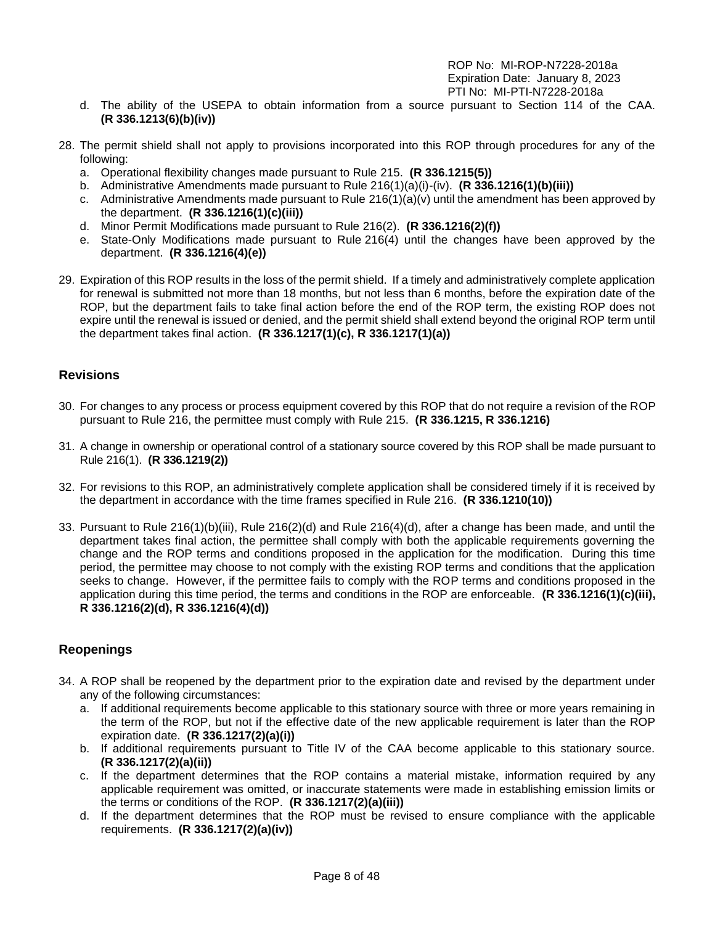- d. The ability of the USEPA to obtain information from a source pursuant to Section 114 of the CAA. **(R 336.1213(6)(b)(iv))**
- 28. The permit shield shall not apply to provisions incorporated into this ROP through procedures for any of the following:
	- a. Operational flexibility changes made pursuant to Rule 215. **(R 336.1215(5))**
	- b. Administrative Amendments made pursuant to Rule 216(1)(a)(i)-(iv). **(R 336.1216(1)(b)(iii))**
	- c. Administrative Amendments made pursuant to Rule  $216(1)(a)(v)$  until the amendment has been approved by the department. **(R 336.1216(1)(c)(iii))**
	- d. Minor Permit Modifications made pursuant to Rule 216(2). **(R 336.1216(2)(f))**
	- e. State-Only Modifications made pursuant to Rule 216(4) until the changes have been approved by the department. **(R 336.1216(4)(e))**
- 29. Expiration of this ROP results in the loss of the permit shield. If a timely and administratively complete application for renewal is submitted not more than 18 months, but not less than 6 months, before the expiration date of the ROP, but the department fails to take final action before the end of the ROP term, the existing ROP does not expire until the renewal is issued or denied, and the permit shield shall extend beyond the original ROP term until the department takes final action. **(R 336.1217(1)(c), R 336.1217(1)(a))**

## <span id="page-7-0"></span>**Revisions**

- 30. For changes to any process or process equipment covered by this ROP that do not require a revision of the ROP pursuant to Rule 216, the permittee must comply with Rule 215. **(R 336.1215, R 336.1216)**
- 31. A change in ownership or operational control of a stationary source covered by this ROP shall be made pursuant to Rule 216(1). **(R 336.1219(2))**
- 32. For revisions to this ROP, an administratively complete application shall be considered timely if it is received by the department in accordance with the time frames specified in Rule 216. **(R 336.1210(10))**
- 33. Pursuant to Rule 216(1)(b)(iii), Rule 216(2)(d) and Rule 216(4)(d), after a change has been made, and until the department takes final action, the permittee shall comply with both the applicable requirements governing the change and the ROP terms and conditions proposed in the application for the modification. During this time period, the permittee may choose to not comply with the existing ROP terms and conditions that the application seeks to change. However, if the permittee fails to comply with the ROP terms and conditions proposed in the application during this time period, the terms and conditions in the ROP are enforceable. **(R 336.1216(1)(c)(iii), R 336.1216(2)(d), R 336.1216(4)(d))**

# <span id="page-7-1"></span>**Reopenings**

- 34. A ROP shall be reopened by the department prior to the expiration date and revised by the department under any of the following circumstances:
	- a. If additional requirements become applicable to this stationary source with three or more years remaining in the term of the ROP, but not if the effective date of the new applicable requirement is later than the ROP expiration date. **(R 336.1217(2)(a)(i))**
	- b. If additional requirements pursuant to Title IV of the CAA become applicable to this stationary source. **(R 336.1217(2)(a)(ii))**
	- c. If the department determines that the ROP contains a material mistake, information required by any applicable requirement was omitted, or inaccurate statements were made in establishing emission limits or the terms or conditions of the ROP. **(R 336.1217(2)(a)(iii))**
	- d. If the department determines that the ROP must be revised to ensure compliance with the applicable requirements. **(R 336.1217(2)(a)(iv))**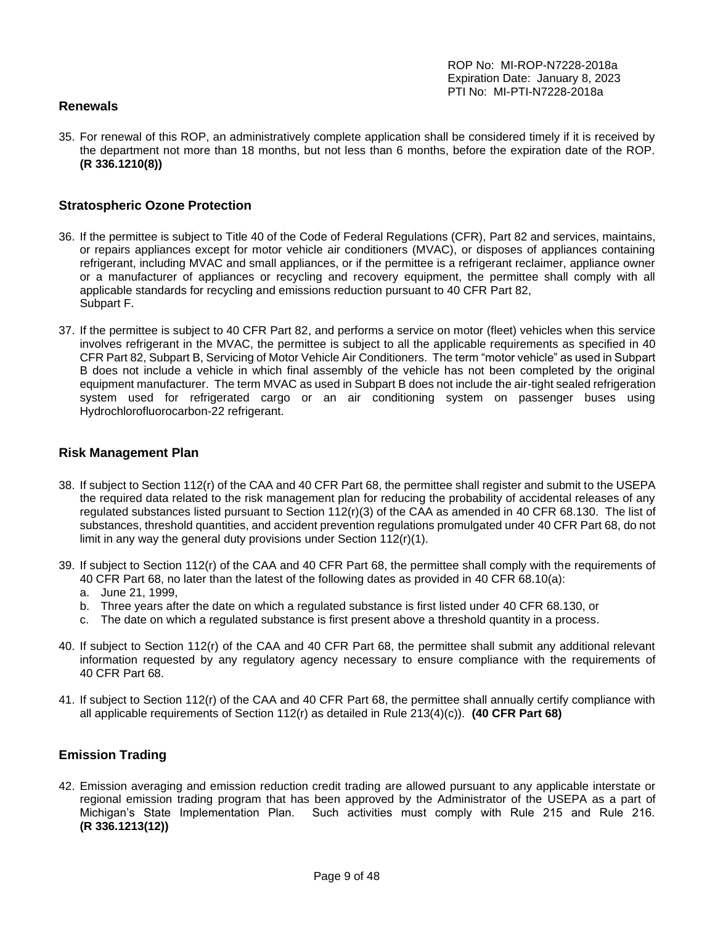#### <span id="page-8-0"></span>**Renewals**

35. For renewal of this ROP, an administratively complete application shall be considered timely if it is received by the department not more than 18 months, but not less than 6 months, before the expiration date of the ROP. **(R 336.1210(8))**

#### <span id="page-8-1"></span>**Stratospheric Ozone Protection**

- 36. If the permittee is subject to Title 40 of the Code of Federal Regulations (CFR), Part 82 and services, maintains, or repairs appliances except for motor vehicle air conditioners (MVAC), or disposes of appliances containing refrigerant, including MVAC and small appliances, or if the permittee is a refrigerant reclaimer, appliance owner or a manufacturer of appliances or recycling and recovery equipment, the permittee shall comply with all applicable standards for recycling and emissions reduction pursuant to 40 CFR Part 82, Subpart F.
- 37. If the permittee is subject to 40 CFR Part 82, and performs a service on motor (fleet) vehicles when this service involves refrigerant in the MVAC, the permittee is subject to all the applicable requirements as specified in 40 CFR Part 82, Subpart B, Servicing of Motor Vehicle Air Conditioners. The term "motor vehicle" as used in Subpart B does not include a vehicle in which final assembly of the vehicle has not been completed by the original equipment manufacturer. The term MVAC as used in Subpart B does not include the air-tight sealed refrigeration system used for refrigerated cargo or an air conditioning system on passenger buses using Hydrochlorofluorocarbon-22 refrigerant.

#### <span id="page-8-2"></span>**Risk Management Plan**

- 38. If subject to Section 112(r) of the CAA and 40 CFR Part 68, the permittee shall register and submit to the USEPA the required data related to the risk management plan for reducing the probability of accidental releases of any regulated substances listed pursuant to Section 112(r)(3) of the CAA as amended in 40 CFR 68.130. The list of substances, threshold quantities, and accident prevention regulations promulgated under 40 CFR Part 68, do not limit in any way the general duty provisions under Section 112(r)(1).
- 39. If subject to Section 112(r) of the CAA and 40 CFR Part 68, the permittee shall comply with the requirements of 40 CFR Part 68, no later than the latest of the following dates as provided in 40 CFR 68.10(a):
	- a. June 21, 1999,
	- b. Three years after the date on which a regulated substance is first listed under 40 CFR 68.130, or
	- c. The date on which a regulated substance is first present above a threshold quantity in a process.
- 40. If subject to Section 112(r) of the CAA and 40 CFR Part 68, the permittee shall submit any additional relevant information requested by any regulatory agency necessary to ensure compliance with the requirements of 40 CFR Part 68.
- 41. If subject to Section 112(r) of the CAA and 40 CFR Part 68, the permittee shall annually certify compliance with all applicable requirements of Section 112(r) as detailed in Rule 213(4)(c)). **(40 CFR Part 68)**

## <span id="page-8-3"></span>**Emission Trading**

42. Emission averaging and emission reduction credit trading are allowed pursuant to any applicable interstate or regional emission trading program that has been approved by the Administrator of the USEPA as a part of Michigan's State Implementation Plan. Such activities must comply with Rule 215 and Rule 216. **(R 336.1213(12))**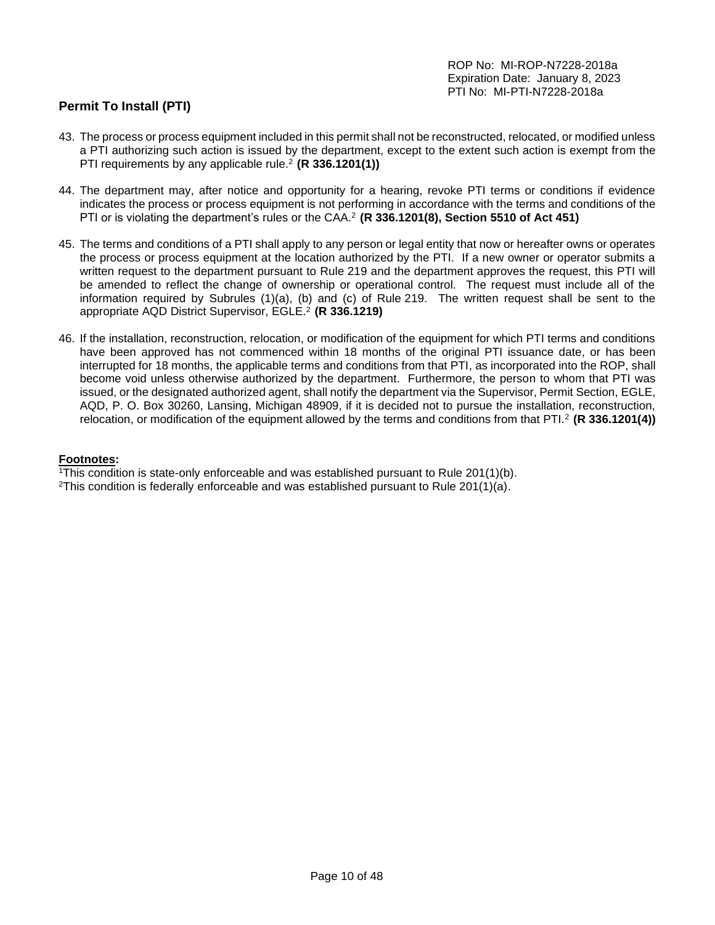# <span id="page-9-0"></span>**Permit To Install (PTI)**

- 43. The process or process equipment included in this permit shall not be reconstructed, relocated, or modified unless a PTI authorizing such action is issued by the department, except to the extent such action is exempt from the PTI requirements by any applicable rule.<sup>2</sup> **(R 336.1201(1))**
- 44. The department may, after notice and opportunity for a hearing, revoke PTI terms or conditions if evidence indicates the process or process equipment is not performing in accordance with the terms and conditions of the PTI or is violating the department's rules or the CAA.<sup>2</sup>**(R 336.1201(8), Section 5510 of Act 451)**
- 45. The terms and conditions of a PTI shall apply to any person or legal entity that now or hereafter owns or operates the process or process equipment at the location authorized by the PTI. If a new owner or operator submits a written request to the department pursuant to Rule 219 and the department approves the request, this PTI will be amended to reflect the change of ownership or operational control. The request must include all of the information required by Subrules (1)(a), (b) and (c) of Rule 219. The written request shall be sent to the appropriate AQD District Supervisor, EGLE.<sup>2</sup> **(R 336.1219)**
- 46. If the installation, reconstruction, relocation, or modification of the equipment for which PTI terms and conditions have been approved has not commenced within 18 months of the original PTI issuance date, or has been interrupted for 18 months, the applicable terms and conditions from that PTI, as incorporated into the ROP, shall become void unless otherwise authorized by the department. Furthermore, the person to whom that PTI was issued, or the designated authorized agent, shall notify the department via the Supervisor, Permit Section, EGLE, AQD, P. O. Box 30260, Lansing, Michigan 48909, if it is decided not to pursue the installation, reconstruction, relocation, or modification of the equipment allowed by the terms and conditions from that PTI.<sup>2</sup>**(R 336.1201(4))**

#### **Footnotes:**

<sup>1</sup>This condition is state-only enforceable and was established pursuant to Rule 201(1)(b).

<sup>2</sup>This condition is federally enforceable and was established pursuant to Rule 201(1)(a).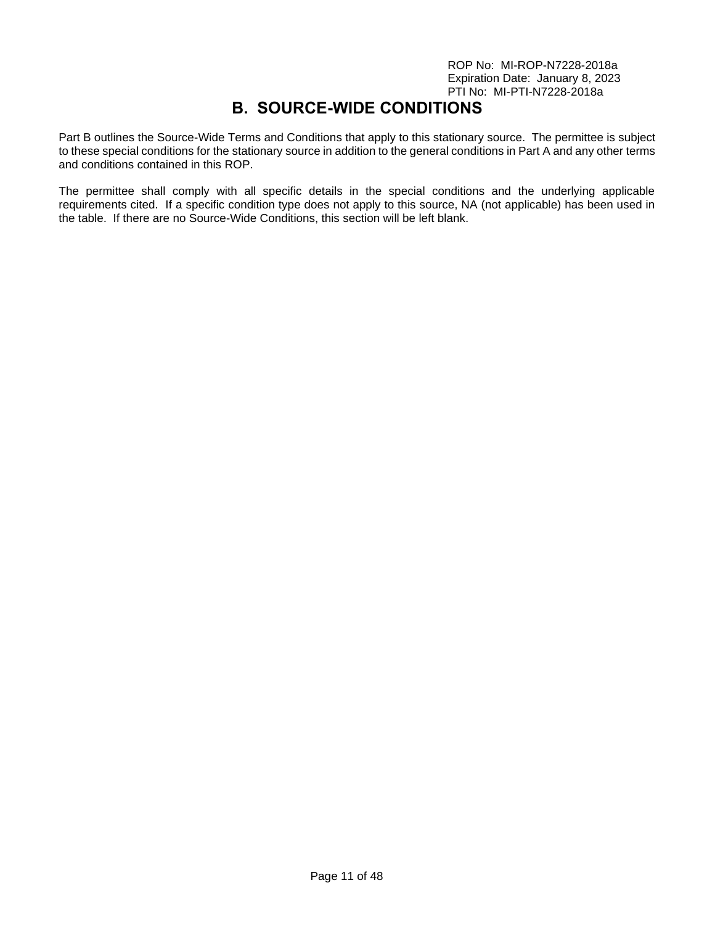# **B. SOURCE-WIDE CONDITIONS**

<span id="page-10-0"></span>Part B outlines the Source-Wide Terms and Conditions that apply to this stationary source. The permittee is subject to these special conditions for the stationary source in addition to the general conditions in Part A and any other terms and conditions contained in this ROP.

The permittee shall comply with all specific details in the special conditions and the underlying applicable requirements cited. If a specific condition type does not apply to this source, NA (not applicable) has been used in the table. If there are no Source-Wide Conditions, this section will be left blank.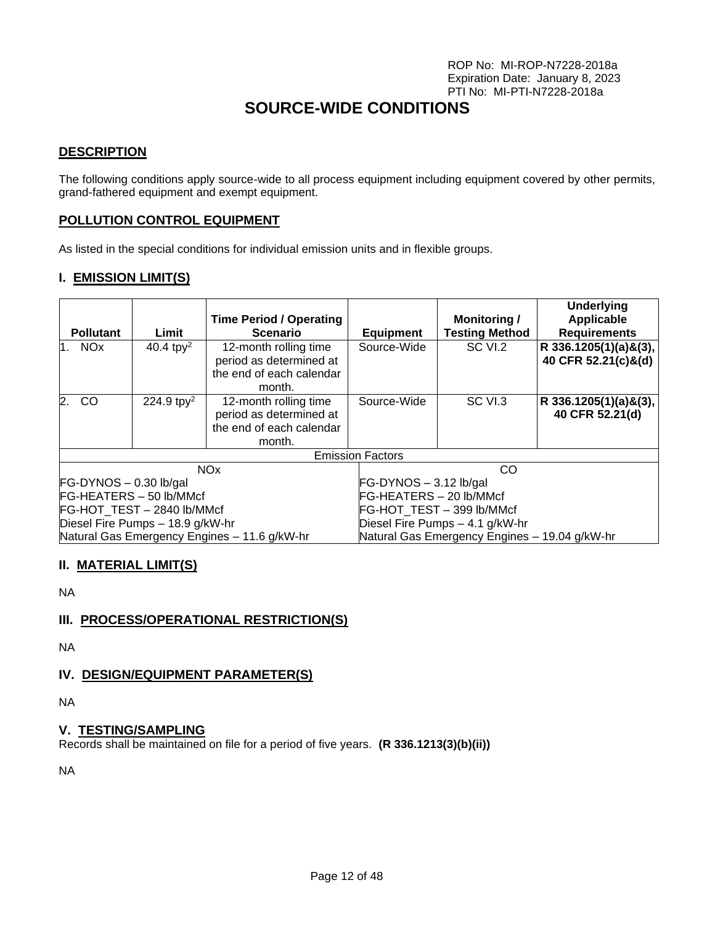# **SOURCE-WIDE CONDITIONS**

## **DESCRIPTION**

The following conditions apply source-wide to all process equipment including equipment covered by other permits, grand-fathered equipment and exempt equipment.

## **POLLUTION CONTROL EQUIPMENT**

As listed in the special conditions for individual emission units and in flexible groups.

## **I. EMISSION LIMIT(S)**

| <b>Pollutant</b>                                  | Limit                  | <b>Time Period / Operating</b><br><b>Scenario</b>                                      | <b>Equipment</b>                | <b>Monitoring /</b><br><b>Testing Method</b>  | <b>Underlying</b><br>Applicable<br><b>Requirements</b> |
|---------------------------------------------------|------------------------|----------------------------------------------------------------------------------------|---------------------------------|-----------------------------------------------|--------------------------------------------------------|
| $1.$ NO $x$                                       | 40.4 tpy <sup>2</sup>  | 12-month rolling time<br>period as determined at<br>the end of each calendar<br>month. | Source-Wide                     | SC VI.2                                       | R 336.1205(1)(a)&(3),<br>40 CFR 52.21(c)&(d)           |
| 2.<br>CO                                          | 224.9 tpy <sup>2</sup> | 12-month rolling time<br>period as determined at<br>the end of each calendar<br>month. | Source-Wide                     | SC VI.3                                       | R 336.1205(1)(a)&(3),<br>40 CFR 52.21(d)               |
|                                                   |                        |                                                                                        | <b>Emission Factors</b>         |                                               |                                                        |
| <b>NO<sub>x</sub></b><br>$FG-DYNOS - 0.30$ lb/gal |                        |                                                                                        | $FG-DYNOS - 3.12 lb/gal$        | CO                                            |                                                        |
| FG-HEATERS - 50 lb/MMcf                           |                        |                                                                                        | FG-HEATERS - 20 lb/MMcf         |                                               |                                                        |
| FG-HOT_TEST - 2840 lb/MMcf                        |                        |                                                                                        | FG-HOT TEST - 399 lb/MMcf       |                                               |                                                        |
| Diesel Fire Pumps - 18.9 g/kW-hr                  |                        |                                                                                        | Diesel Fire Pumps - 4.1 g/kW-hr |                                               |                                                        |
|                                                   |                        | Natural Gas Emergency Engines - 11.6 g/kW-hr                                           |                                 | Natural Gas Emergency Engines - 19.04 g/kW-hr |                                                        |

## **II. MATERIAL LIMIT(S)**

NA

## **III. PROCESS/OPERATIONAL RESTRICTION(S)**

NA

## **IV. DESIGN/EQUIPMENT PARAMETER(S)**

NA

## **V. TESTING/SAMPLING**

Records shall be maintained on file for a period of five years. **(R 336.1213(3)(b)(ii))**

NA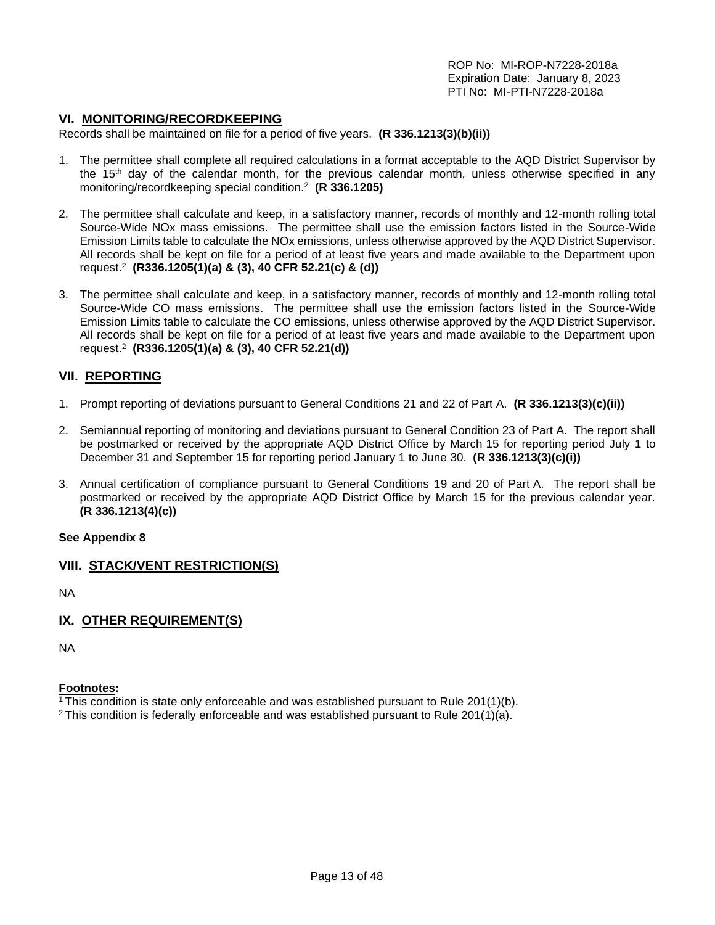#### **VI. MONITORING/RECORDKEEPING**

Records shall be maintained on file for a period of five years. **(R 336.1213(3)(b)(ii))**

- 1. The permittee shall complete all required calculations in a format acceptable to the AQD District Supervisor by the 15<sup>th</sup> day of the calendar month, for the previous calendar month, unless otherwise specified in any monitoring/recordkeeping special condition.<sup>2</sup> **(R 336.1205)**
- 2. The permittee shall calculate and keep, in a satisfactory manner, records of monthly and 12-month rolling total Source-Wide NOx mass emissions. The permittee shall use the emission factors listed in the Source-Wide Emission Limits table to calculate the NOx emissions, unless otherwise approved by the AQD District Supervisor. All records shall be kept on file for a period of at least five years and made available to the Department upon request.<sup>2</sup> **(R336.1205(1)(a) & (3), 40 CFR 52.21(c) & (d))**
- 3. The permittee shall calculate and keep, in a satisfactory manner, records of monthly and 12-month rolling total Source-Wide CO mass emissions. The permittee shall use the emission factors listed in the Source-Wide Emission Limits table to calculate the CO emissions, unless otherwise approved by the AQD District Supervisor. All records shall be kept on file for a period of at least five years and made available to the Department upon request.<sup>2</sup> **(R336.1205(1)(a) & (3), 40 CFR 52.21(d))**

## **VII. REPORTING**

- 1. Prompt reporting of deviations pursuant to General Conditions 21 and 22 of Part A. **(R 336.1213(3)(c)(ii))**
- 2. Semiannual reporting of monitoring and deviations pursuant to General Condition 23 of Part A. The report shall be postmarked or received by the appropriate AQD District Office by March 15 for reporting period July 1 to December 31 and September 15 for reporting period January 1 to June 30. **(R 336.1213(3)(c)(i))**
- 3. Annual certification of compliance pursuant to General Conditions 19 and 20 of Part A. The report shall be postmarked or received by the appropriate AQD District Office by March 15 for the previous calendar year. **(R 336.1213(4)(c))**

#### **See Appendix 8**

## **VIII. STACK/VENT RESTRICTION(S)**

NA

#### **IX. OTHER REQUIREMENT(S)**

NA

#### **Footnotes:**

<sup>1</sup> This condition is state only enforceable and was established pursuant to Rule  $201(1)(b)$ .

<sup>2</sup> This condition is federally enforceable and was established pursuant to Rule 201(1)(a).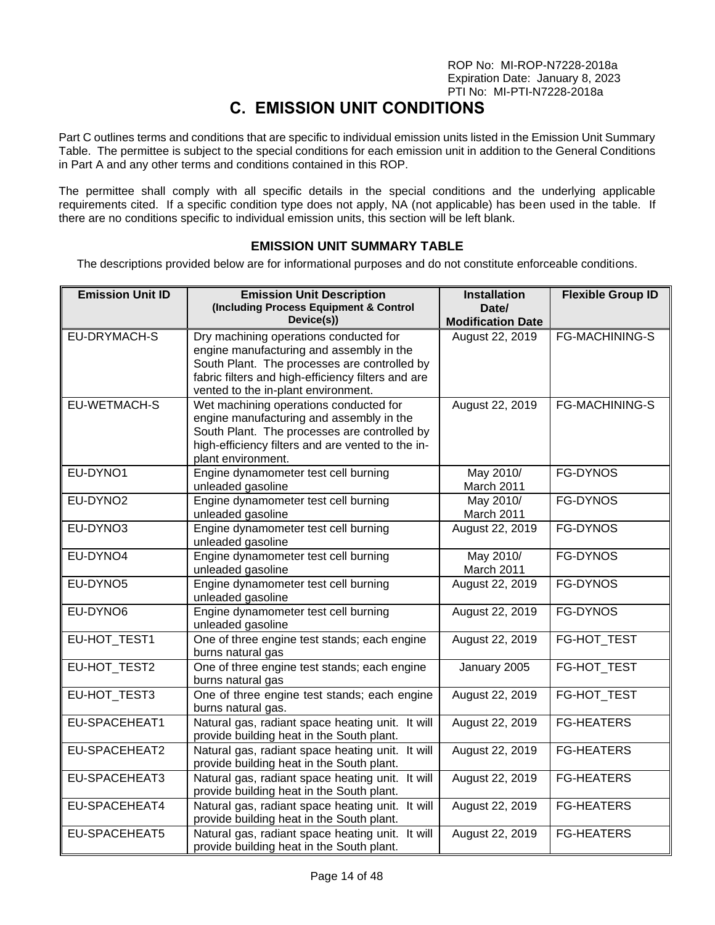# **C. EMISSION UNIT CONDITIONS**

<span id="page-13-0"></span>Part C outlines terms and conditions that are specific to individual emission units listed in the Emission Unit Summary Table. The permittee is subject to the special conditions for each emission unit in addition to the General Conditions in Part A and any other terms and conditions contained in this ROP.

The permittee shall comply with all specific details in the special conditions and the underlying applicable requirements cited. If a specific condition type does not apply, NA (not applicable) has been used in the table. If there are no conditions specific to individual emission units, this section will be left blank.

## **EMISSION UNIT SUMMARY TABLE**

<span id="page-13-1"></span>The descriptions provided below are for informational purposes and do not constitute enforceable conditions.

| <b>Emission Unit ID</b> | <b>Emission Unit Description</b>                                                                                                                                                                                                | <b>Installation</b>               | <b>Flexible Group ID</b> |
|-------------------------|---------------------------------------------------------------------------------------------------------------------------------------------------------------------------------------------------------------------------------|-----------------------------------|--------------------------|
|                         | (Including Process Equipment & Control<br>Device(s))                                                                                                                                                                            | Date/<br><b>Modification Date</b> |                          |
| EU-DRYMACH-S            | Dry machining operations conducted for<br>engine manufacturing and assembly in the<br>South Plant. The processes are controlled by<br>fabric filters and high-efficiency filters and are<br>vented to the in-plant environment. | August 22, 2019                   | FG-MACHINING-S           |
| EU-WETMACH-S            | Wet machining operations conducted for<br>engine manufacturing and assembly in the<br>South Plant. The processes are controlled by<br>high-efficiency filters and are vented to the in-<br>plant environment.                   | August 22, 2019                   | <b>FG-MACHINING-S</b>    |
| EU-DYNO1                | Engine dynamometer test cell burning<br>unleaded gasoline                                                                                                                                                                       | May 2010/<br>March 2011           | <b>FG-DYNOS</b>          |
| EU-DYNO2                | Engine dynamometer test cell burning<br>unleaded gasoline                                                                                                                                                                       | May 2010/<br>March 2011           | FG-DYNOS                 |
| EU-DYNO3                | Engine dynamometer test cell burning<br>unleaded gasoline                                                                                                                                                                       | August 22, 2019                   | <b>FG-DYNOS</b>          |
| EU-DYNO4                | Engine dynamometer test cell burning<br>unleaded gasoline                                                                                                                                                                       | May 2010/<br>March 2011           | <b>FG-DYNOS</b>          |
| EU-DYNO5                | Engine dynamometer test cell burning<br>unleaded gasoline                                                                                                                                                                       | August 22, 2019                   | FG-DYNOS                 |
| EU-DYNO6                | Engine dynamometer test cell burning<br>unleaded gasoline                                                                                                                                                                       | August 22, 2019                   | FG-DYNOS                 |
| EU-HOT_TEST1            | One of three engine test stands; each engine<br>burns natural gas                                                                                                                                                               | August 22, 2019                   | FG-HOT_TEST              |
| EU-HOT_TEST2            | One of three engine test stands; each engine<br>burns natural gas                                                                                                                                                               | January 2005                      | FG-HOT_TEST              |
| EU-HOT_TEST3            | One of three engine test stands; each engine<br>burns natural gas.                                                                                                                                                              | August 22, 2019                   | FG-HOT_TEST              |
| EU-SPACEHEAT1           | Natural gas, radiant space heating unit. It will<br>provide building heat in the South plant.                                                                                                                                   | August 22, 2019                   | <b>FG-HEATERS</b>        |
| EU-SPACEHEAT2           | Natural gas, radiant space heating unit. It will<br>provide building heat in the South plant.                                                                                                                                   | August 22, 2019                   | <b>FG-HEATERS</b>        |
| EU-SPACEHEAT3           | Natural gas, radiant space heating unit. It will<br>provide building heat in the South plant.                                                                                                                                   | August 22, 2019                   | <b>FG-HEATERS</b>        |
| EU-SPACEHEAT4           | Natural gas, radiant space heating unit. It will<br>provide building heat in the South plant.                                                                                                                                   | August 22, 2019                   | <b>FG-HEATERS</b>        |
| EU-SPACEHEAT5           | Natural gas, radiant space heating unit. It will<br>provide building heat in the South plant.                                                                                                                                   | August 22, 2019                   | <b>FG-HEATERS</b>        |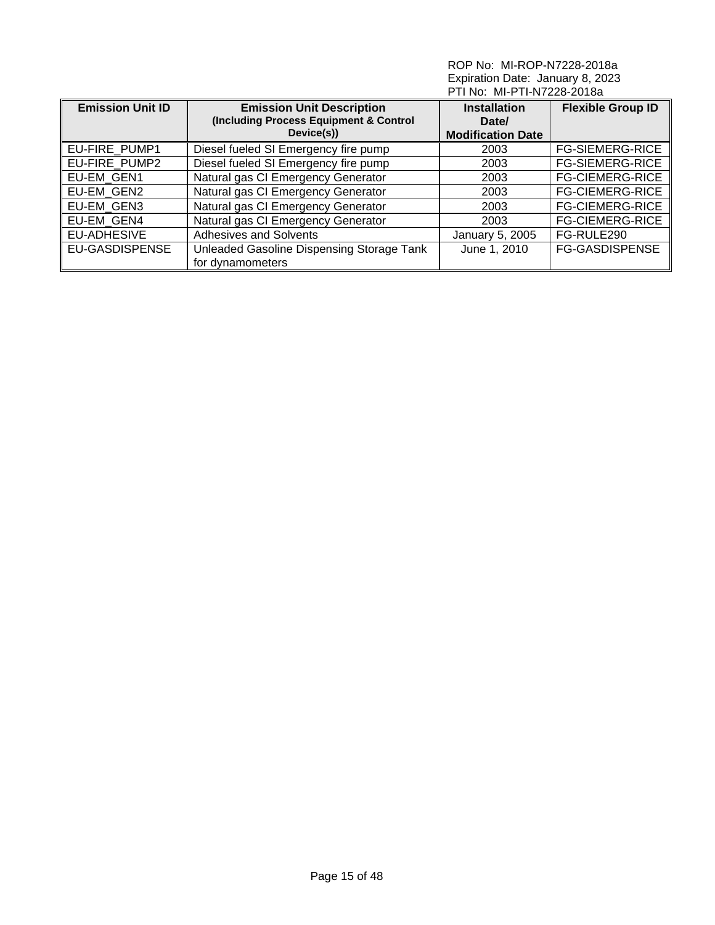| <b>Emission Unit Description</b><br><b>Emission Unit ID</b><br>(Including Process Equipment & Control<br>Device(s)) |                                                               | <b>Installation</b><br>Date/<br><b>Modification Date</b> | <b>Flexible Group ID</b> |
|---------------------------------------------------------------------------------------------------------------------|---------------------------------------------------------------|----------------------------------------------------------|--------------------------|
| EU-FIRE_PUMP1                                                                                                       | Diesel fueled SI Emergency fire pump                          | 2003                                                     | <b>FG-SIEMERG-RICE</b>   |
| EU-FIRE PUMP2                                                                                                       | Diesel fueled SI Emergency fire pump                          | 2003                                                     | <b>FG-SIEMERG-RICE</b>   |
| EU-EM GEN1                                                                                                          | Natural gas CI Emergency Generator                            | 2003                                                     | <b>FG-CIEMERG-RICE</b>   |
| EU-EM GEN2                                                                                                          | Natural gas CI Emergency Generator                            | 2003                                                     | <b>FG-CIEMERG-RICE</b>   |
| EU-EM GEN3                                                                                                          | Natural gas CI Emergency Generator                            | 2003                                                     | <b>FG-CIEMERG-RICE</b>   |
| EU-EM GEN4                                                                                                          | Natural gas CI Emergency Generator                            | 2003                                                     | <b>FG-CIEMERG-RICE</b>   |
| EU-ADHESIVE                                                                                                         | <b>Adhesives and Solvents</b>                                 | January 5, 2005                                          | FG-RULE290               |
| <b>EU-GASDISPENSE</b>                                                                                               | Unleaded Gasoline Dispensing Storage Tank<br>for dynamometers | June 1, 2010                                             | <b>FG-GASDISPENSE</b>    |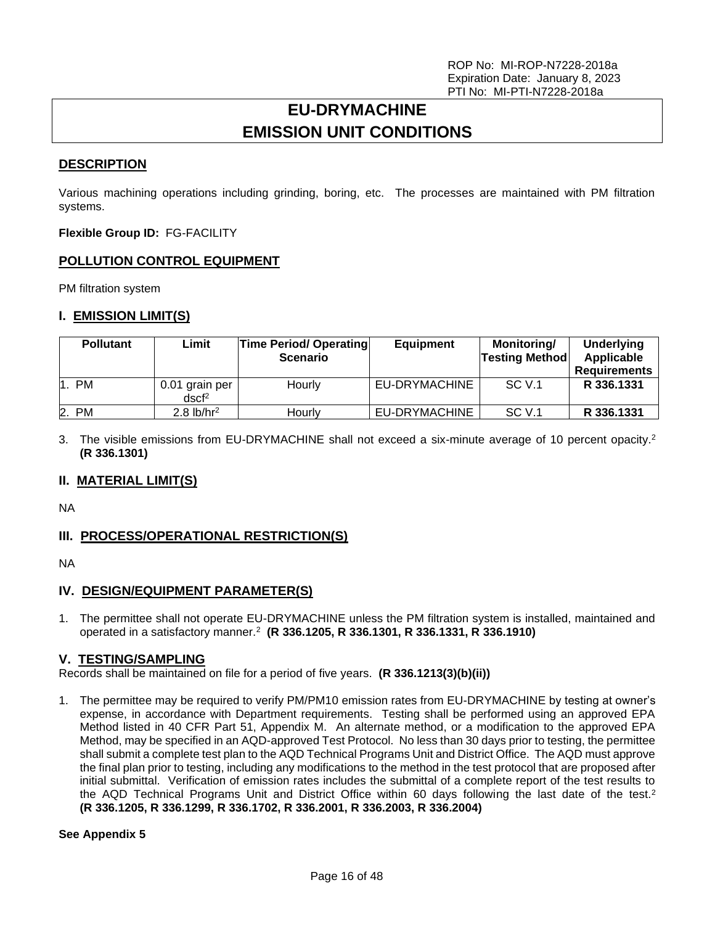# **EU-DRYMACHINE EMISSION UNIT CONDITIONS**

## <span id="page-15-0"></span>**DESCRIPTION**

Various machining operations including grinding, boring, etc. The processes are maintained with PM filtration systems.

**Flexible Group ID:** FG-FACILITY

## **POLLUTION CONTROL EQUIPMENT**

PM filtration system

## **I. EMISSION LIMIT(S)**

| <b>Pollutant</b> | Limit                               | <b>Time Period/ Operating</b><br><b>Scenario</b> | <b>Equipment</b> | Monitoring/<br><b>Testing Method</b> | Underlying<br>Applicable<br><b>Requirements</b> |
|------------------|-------------------------------------|--------------------------------------------------|------------------|--------------------------------------|-------------------------------------------------|
| 1. PM            | 0.01 grain per<br>dscf <sup>2</sup> | Hourly                                           | EU-DRYMACHINE    | SC V.1                               | R 336.1331                                      |
| 2. PM            | $2.8$ lb/hr <sup>2</sup>            | Hourlv                                           | EU-DRYMACHINE    | <b>SC V.1</b>                        | R 336.1331                                      |

3. The visible emissions from EU-DRYMACHINE shall not exceed a six-minute average of 10 percent opacity.<sup>2</sup> **(R 336.1301)**

## **II. MATERIAL LIMIT(S)**

NA

## **III. PROCESS/OPERATIONAL RESTRICTION(S)**

NA

## **IV. DESIGN/EQUIPMENT PARAMETER(S)**

1. The permittee shall not operate EU-DRYMACHINE unless the PM filtration system is installed, maintained and operated in a satisfactory manner.<sup>2</sup> **(R 336.1205, R 336.1301, R 336.1331, R 336.1910)**

## **V. TESTING/SAMPLING**

Records shall be maintained on file for a period of five years. **(R 336.1213(3)(b)(ii))**

1. The permittee may be required to verify PM/PM10 emission rates from EU-DRYMACHINE by testing at owner's expense, in accordance with Department requirements. Testing shall be performed using an approved EPA Method listed in 40 CFR Part 51, Appendix M. An alternate method, or a modification to the approved EPA Method, may be specified in an AQD-approved Test Protocol. No less than 30 days prior to testing, the permittee shall submit a complete test plan to the AQD Technical Programs Unit and District Office. The AQD must approve the final plan prior to testing, including any modifications to the method in the test protocol that are proposed after initial submittal. Verification of emission rates includes the submittal of a complete report of the test results to the AQD Technical Programs Unit and District Office within 60 days following the last date of the test.<sup>2</sup> **(R 336.1205, R 336.1299, R 336.1702, R 336.2001, R 336.2003, R 336.2004)**

#### **See Appendix 5**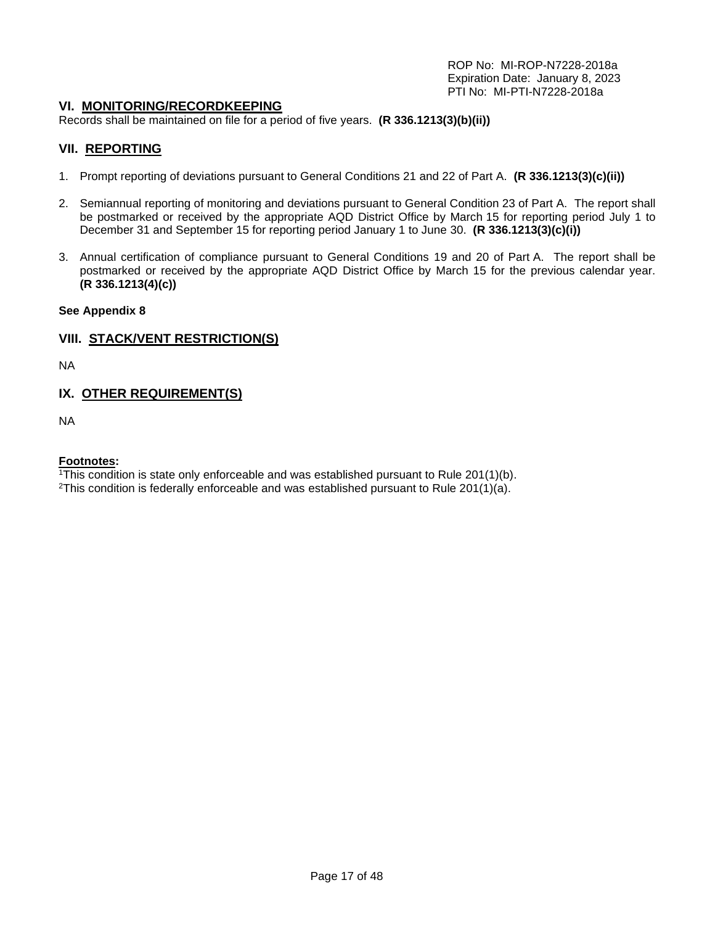## **VI. MONITORING/RECORDKEEPING**

Records shall be maintained on file for a period of five years. **(R 336.1213(3)(b)(ii))**

## **VII. REPORTING**

- 1. Prompt reporting of deviations pursuant to General Conditions 21 and 22 of Part A. **(R 336.1213(3)(c)(ii))**
- 2. Semiannual reporting of monitoring and deviations pursuant to General Condition 23 of Part A. The report shall be postmarked or received by the appropriate AQD District Office by March 15 for reporting period July 1 to December 31 and September 15 for reporting period January 1 to June 30. **(R 336.1213(3)(c)(i))**
- 3. Annual certification of compliance pursuant to General Conditions 19 and 20 of Part A. The report shall be postmarked or received by the appropriate AQD District Office by March 15 for the previous calendar year. **(R 336.1213(4)(c))**

#### **See Appendix 8**

#### **VIII. STACK/VENT RESTRICTION(S)**

NA

## **IX. OTHER REQUIREMENT(S)**

NA

#### **Footnotes:**

<sup>1</sup>This condition is state only enforceable and was established pursuant to Rule 201(1)(b).

<sup>2</sup>This condition is federally enforceable and was established pursuant to Rule 201(1)(a).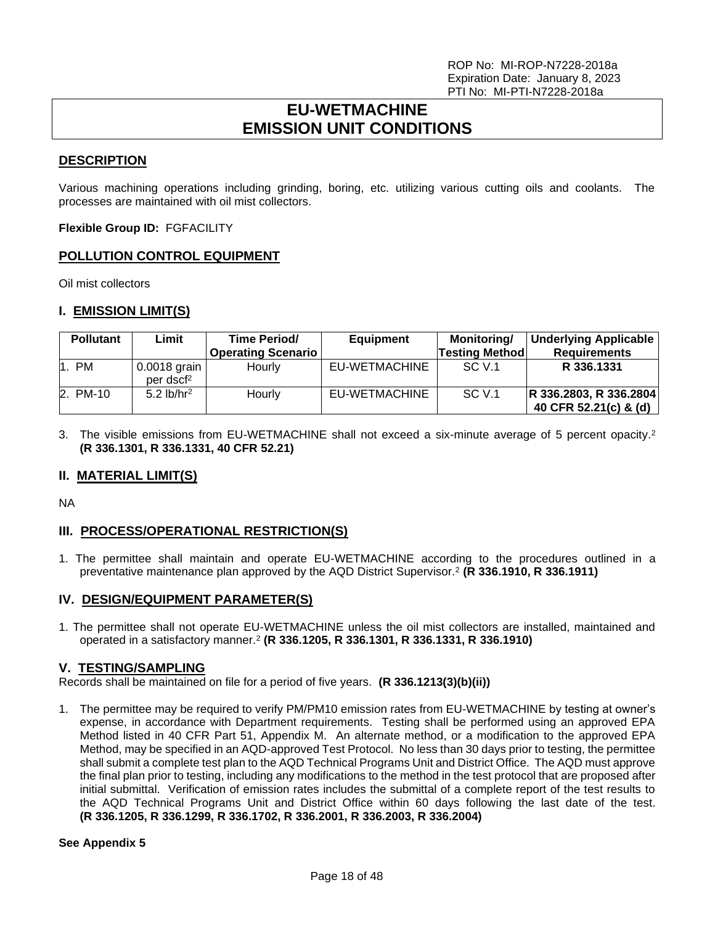# **EU-WETMACHINE EMISSION UNIT CONDITIONS**

## <span id="page-17-0"></span>**DESCRIPTION**

Various machining operations including grinding, boring, etc. utilizing various cutting oils and coolants. The processes are maintained with oil mist collectors.

**Flexible Group ID:** FGFACILITY

## **POLLUTION CONTROL EQUIPMENT**

Oil mist collectors

#### **I. EMISSION LIMIT(S)**

| <b>Pollutant</b> | Limit                                   | <b>Time Period/</b><br><b>Operating Scenario</b> | <b>Equipment</b> | <b>Monitoring/</b><br><b>Testing Method</b> | <b>Underlying Applicable</b><br><b>Requirements</b> |
|------------------|-----------------------------------------|--------------------------------------------------|------------------|---------------------------------------------|-----------------------------------------------------|
| 1. PM            | $0.0018$ grain<br>per dscf <sup>2</sup> | Hourly                                           | EU-WETMACHINE    | SC V.1                                      | R 336.1331                                          |
| 2. PM-10         | 5.2 $lb/hr2$                            | Hourly                                           | EU-WETMACHINE    | SC V.1                                      | R 336.2803, R 336.2804<br>40 CFR 52.21(c) & (d)     |

3. The visible emissions from EU-WETMACHINE shall not exceed a six-minute average of 5 percent opacity.<sup>2</sup> **(R 336.1301, R 336.1331, 40 CFR 52.21)**

## **II. MATERIAL LIMIT(S)**

NA

# **III. PROCESS/OPERATIONAL RESTRICTION(S)**

1. The permittee shall maintain and operate EU-WETMACHINE according to the procedures outlined in a preventative maintenance plan approved by the AQD District Supervisor.<sup>2</sup> **(R 336.1910, R 336.1911)**

## **IV. DESIGN/EQUIPMENT PARAMETER(S)**

1. The permittee shall not operate EU-WETMACHINE unless the oil mist collectors are installed, maintained and operated in a satisfactory manner.<sup>2</sup> **(R 336.1205, R 336.1301, R 336.1331, R 336.1910)**

#### **V. TESTING/SAMPLING**

Records shall be maintained on file for a period of five years. **(R 336.1213(3)(b)(ii))**

1. The permittee may be required to verify PM/PM10 emission rates from EU-WETMACHINE by testing at owner's expense, in accordance with Department requirements. Testing shall be performed using an approved EPA Method listed in 40 CFR Part 51, Appendix M. An alternate method, or a modification to the approved EPA Method, may be specified in an AQD-approved Test Protocol. No less than 30 days prior to testing, the permittee shall submit a complete test plan to the AQD Technical Programs Unit and District Office. The AQD must approve the final plan prior to testing, including any modifications to the method in the test protocol that are proposed after initial submittal. Verification of emission rates includes the submittal of a complete report of the test results to the AQD Technical Programs Unit and District Office within 60 days following the last date of the test. **(R 336.1205, R 336.1299, R 336.1702, R 336.2001, R 336.2003, R 336.2004)**

#### **See Appendix 5**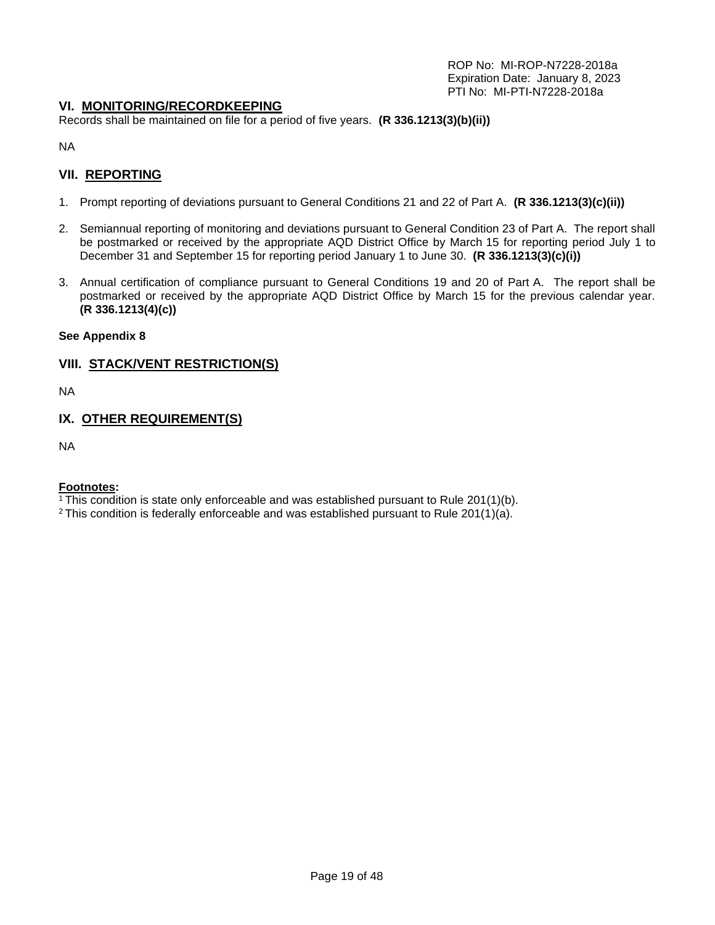## **VI. MONITORING/RECORDKEEPING**

Records shall be maintained on file for a period of five years. **(R 336.1213(3)(b)(ii))**

NA

## **VII. REPORTING**

- 1. Prompt reporting of deviations pursuant to General Conditions 21 and 22 of Part A. **(R 336.1213(3)(c)(ii))**
- 2. Semiannual reporting of monitoring and deviations pursuant to General Condition 23 of Part A. The report shall be postmarked or received by the appropriate AQD District Office by March 15 for reporting period July 1 to December 31 and September 15 for reporting period January 1 to June 30. **(R 336.1213(3)(c)(i))**
- 3. Annual certification of compliance pursuant to General Conditions 19 and 20 of Part A. The report shall be postmarked or received by the appropriate AQD District Office by March 15 for the previous calendar year. **(R 336.1213(4)(c))**

#### **See Appendix 8**

## **VIII. STACK/VENT RESTRICTION(S)**

NA

## **IX. OTHER REQUIREMENT(S)**

NA

#### **Footnotes:**

 $1$ <sup>1</sup>This condition is state only enforceable and was established pursuant to Rule 201(1)(b).

 $2$  This condition is federally enforceable and was established pursuant to Rule 201(1)(a).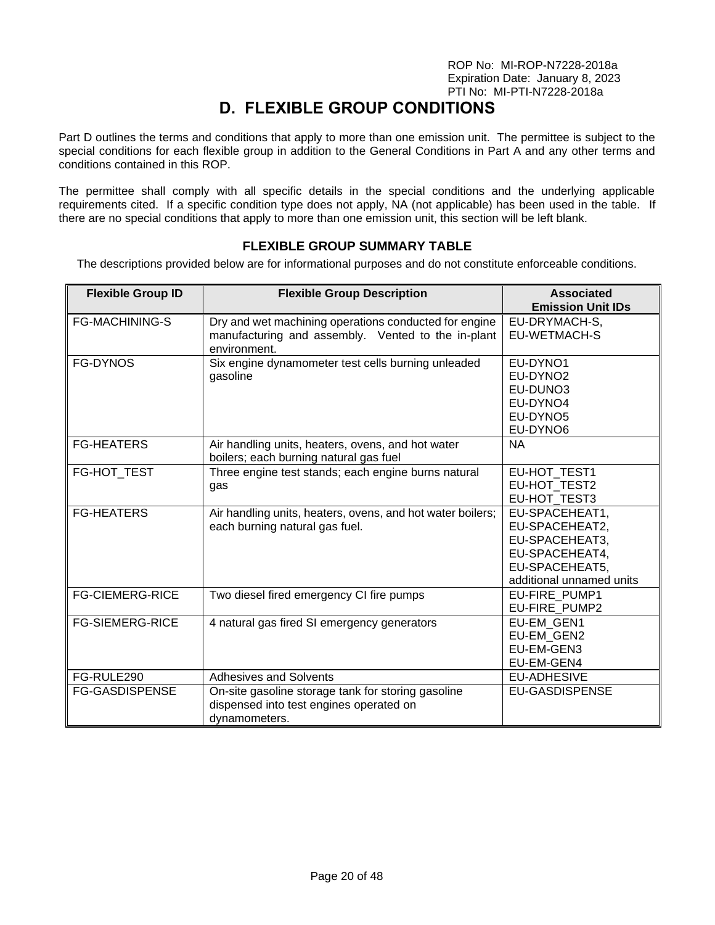# **D. FLEXIBLE GROUP CONDITIONS**

<span id="page-19-0"></span>Part D outlines the terms and conditions that apply to more than one emission unit. The permittee is subject to the special conditions for each flexible group in addition to the General Conditions in Part A and any other terms and conditions contained in this ROP.

The permittee shall comply with all specific details in the special conditions and the underlying applicable requirements cited. If a specific condition type does not apply, NA (not applicable) has been used in the table. If there are no special conditions that apply to more than one emission unit, this section will be left blank.

## **FLEXIBLE GROUP SUMMARY TABLE**

<span id="page-19-1"></span>The descriptions provided below are for informational purposes and do not constitute enforceable conditions.

| <b>Flexible Group ID</b> | <b>Flexible Group Description</b>                                                                                           | <b>Associated</b><br><b>Emission Unit IDs</b>                                                                      |
|--------------------------|-----------------------------------------------------------------------------------------------------------------------------|--------------------------------------------------------------------------------------------------------------------|
| <b>FG-MACHINING-S</b>    | Dry and wet machining operations conducted for engine<br>manufacturing and assembly. Vented to the in-plant<br>environment. | EU-DRYMACH-S,<br>EU-WETMACH-S                                                                                      |
| FG-DYNOS                 | Six engine dynamometer test cells burning unleaded<br>gasoline                                                              | EU-DYNO1<br>EU-DYNO <sub>2</sub><br>EU-DUNO3<br>EU-DYNO4<br>EU-DYNO5<br>EU-DYNO6                                   |
| <b>FG-HEATERS</b>        | Air handling units, heaters, ovens, and hot water<br>boilers; each burning natural gas fuel                                 | <b>NA</b>                                                                                                          |
| FG-HOT TEST              | Three engine test stands; each engine burns natural<br>gas                                                                  | EU-HOT_TEST1<br>EU-HOT TEST2<br>EU-HOT TEST3                                                                       |
| <b>FG-HEATERS</b>        | Air handling units, heaters, ovens, and hot water boilers;<br>each burning natural gas fuel.                                | EU-SPACEHEAT1,<br>EU-SPACEHEAT2,<br>EU-SPACEHEAT3,<br>EU-SPACEHEAT4,<br>EU-SPACEHEAT5,<br>additional unnamed units |
| <b>FG-CIEMERG-RICE</b>   | Two diesel fired emergency CI fire pumps                                                                                    | EU-FIRE PUMP1<br>EU-FIRE PUMP2                                                                                     |
| <b>FG-SIEMERG-RICE</b>   | 4 natural gas fired SI emergency generators                                                                                 | EU-EM GEN1<br>EU-EM GEN2<br>EU-EM-GEN3<br>EU-EM-GEN4                                                               |
| FG-RULE290               | <b>Adhesives and Solvents</b>                                                                                               | <b>EU-ADHESIVE</b>                                                                                                 |
| <b>FG-GASDISPENSE</b>    | On-site gasoline storage tank for storing gasoline<br>dispensed into test engines operated on<br>dynamometers.              | <b>EU-GASDISPENSE</b>                                                                                              |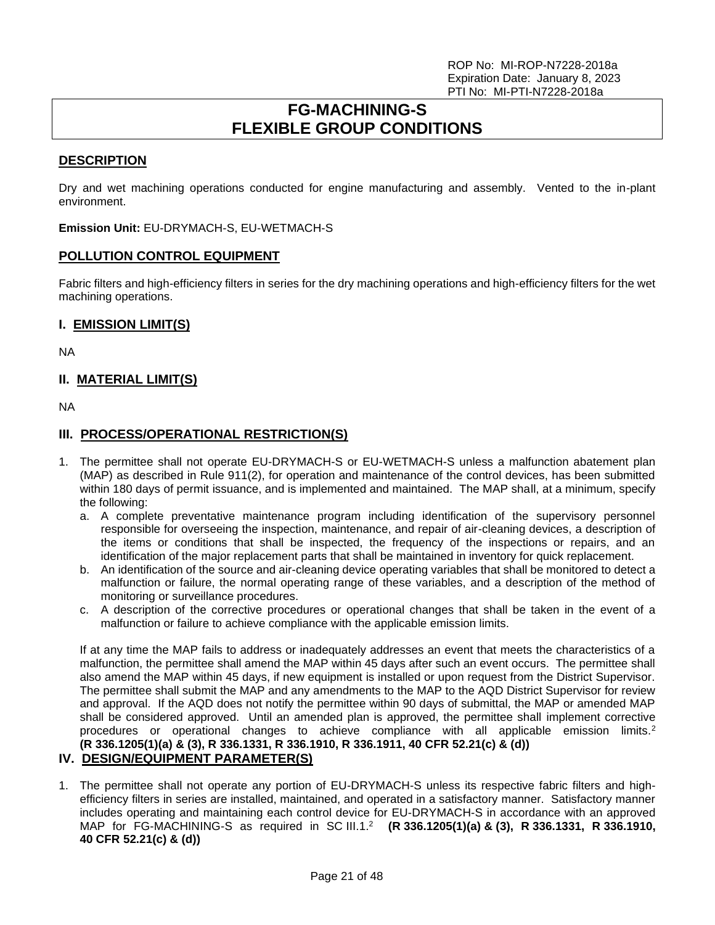# **FG-MACHINING-S FLEXIBLE GROUP CONDITIONS**

## <span id="page-20-0"></span>**DESCRIPTION**

Dry and wet machining operations conducted for engine manufacturing and assembly. Vented to the in-plant environment.

**Emission Unit:** EU-DRYMACH-S, EU-WETMACH-S

## **POLLUTION CONTROL EQUIPMENT**

Fabric filters and high-efficiency filters in series for the dry machining operations and high-efficiency filters for the wet machining operations.

## **I. EMISSION LIMIT(S)**

NA

## **II. MATERIAL LIMIT(S)**

NA

## **III. PROCESS/OPERATIONAL RESTRICTION(S)**

- 1. The permittee shall not operate EU-DRYMACH-S or EU-WETMACH-S unless a malfunction abatement plan (MAP) as described in Rule 911(2), for operation and maintenance of the control devices, has been submitted within 180 days of permit issuance, and is implemented and maintained. The MAP shall, at a minimum, specify the following:
	- a. A complete preventative maintenance program including identification of the supervisory personnel responsible for overseeing the inspection, maintenance, and repair of air-cleaning devices, a description of the items or conditions that shall be inspected, the frequency of the inspections or repairs, and an identification of the major replacement parts that shall be maintained in inventory for quick replacement.
	- b. An identification of the source and air-cleaning device operating variables that shall be monitored to detect a malfunction or failure, the normal operating range of these variables, and a description of the method of monitoring or surveillance procedures.
	- c. A description of the corrective procedures or operational changes that shall be taken in the event of a malfunction or failure to achieve compliance with the applicable emission limits.

If at any time the MAP fails to address or inadequately addresses an event that meets the characteristics of a malfunction, the permittee shall amend the MAP within 45 days after such an event occurs. The permittee shall also amend the MAP within 45 days, if new equipment is installed or upon request from the District Supervisor. The permittee shall submit the MAP and any amendments to the MAP to the AQD District Supervisor for review and approval. If the AQD does not notify the permittee within 90 days of submittal, the MAP or amended MAP shall be considered approved. Until an amended plan is approved, the permittee shall implement corrective procedures or operational changes to achieve compliance with all applicable emission limits.<sup>2</sup> **(R 336.1205(1)(a) & (3), R 336.1331, R 336.1910, R 336.1911, 40 CFR 52.21(c) & (d))**

# **IV. DESIGN/EQUIPMENT PARAMETER(S)**

1. The permittee shall not operate any portion of EU-DRYMACH-S unless its respective fabric filters and highefficiency filters in series are installed, maintained, and operated in a satisfactory manner. Satisfactory manner includes operating and maintaining each control device for EU-DRYMACH-S in accordance with an approved MAP for FG-MACHINING-S as required in SC III.1.<sup>2</sup> **(R 336.1205(1)(a) & (3), R 336.1331, R 336.1910, 40 CFR 52.21(c) & (d))**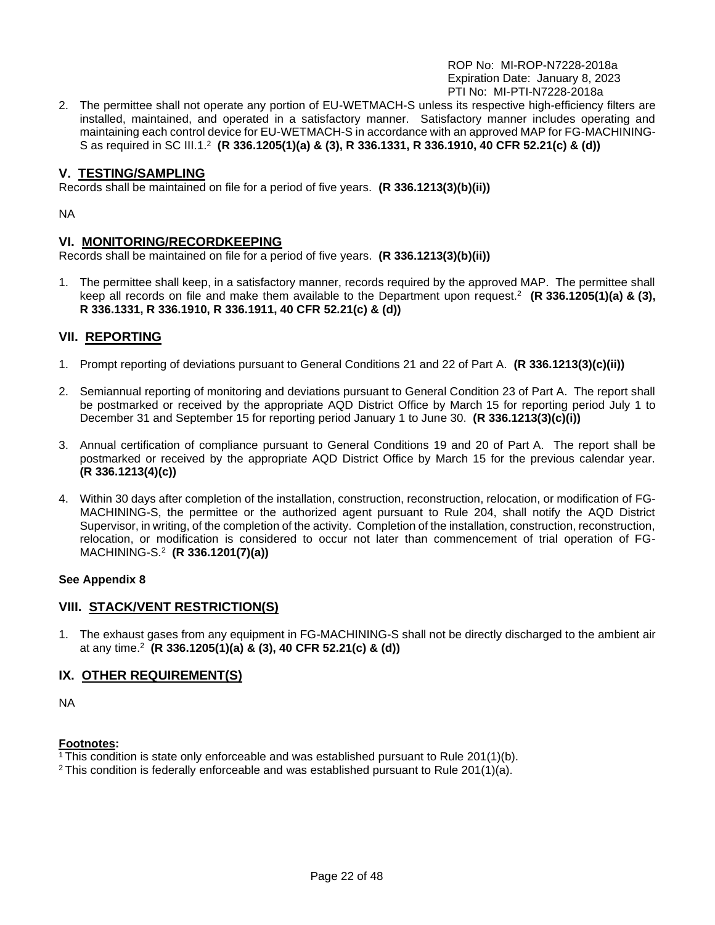2. The permittee shall not operate any portion of EU-WETMACH-S unless its respective high-efficiency filters are installed, maintained, and operated in a satisfactory manner. Satisfactory manner includes operating and maintaining each control device for EU-WETMACH-S in accordance with an approved MAP for FG-MACHINING-S as required in SC III.1.<sup>2</sup> **(R 336.1205(1)(a) & (3), R 336.1331, R 336.1910, 40 CFR 52.21(c) & (d))**

## **V. TESTING/SAMPLING**

Records shall be maintained on file for a period of five years. **(R 336.1213(3)(b)(ii))**

NA

## **VI. MONITORING/RECORDKEEPING**

Records shall be maintained on file for a period of five years. **(R 336.1213(3)(b)(ii))**

1. The permittee shall keep, in a satisfactory manner, records required by the approved MAP. The permittee shall keep all records on file and make them available to the Department upon request.<sup>2</sup> **(R 336.1205(1)(a) & (3), R 336.1331, R 336.1910, R 336.1911, 40 CFR 52.21(c) & (d))**

# **VII. REPORTING**

- 1. Prompt reporting of deviations pursuant to General Conditions 21 and 22 of Part A. **(R 336.1213(3)(c)(ii))**
- 2. Semiannual reporting of monitoring and deviations pursuant to General Condition 23 of Part A. The report shall be postmarked or received by the appropriate AQD District Office by March 15 for reporting period July 1 to December 31 and September 15 for reporting period January 1 to June 30. **(R 336.1213(3)(c)(i))**
- 3. Annual certification of compliance pursuant to General Conditions 19 and 20 of Part A. The report shall be postmarked or received by the appropriate AQD District Office by March 15 for the previous calendar year. **(R 336.1213(4)(c))**
- 4. Within 30 days after completion of the installation, construction, reconstruction, relocation, or modification of FG-MACHINING-S, the permittee or the authorized agent pursuant to Rule 204, shall notify the AQD District Supervisor, in writing, of the completion of the activity. Completion of the installation, construction, reconstruction, relocation, or modification is considered to occur not later than commencement of trial operation of FG-MACHINING-S.<sup>2</sup> **(R 336.1201(7)(a))**

#### **See Appendix 8**

## **VIII. STACK/VENT RESTRICTION(S)**

1. The exhaust gases from any equipment in FG-MACHINING-S shall not be directly discharged to the ambient air at any time.<sup>2</sup> **(R 336.1205(1)(a) & (3), 40 CFR 52.21(c) & (d))**

## **IX. OTHER REQUIREMENT(S)**

NA

## **Footnotes:**

<sup>1</sup> This condition is state only enforceable and was established pursuant to Rule 201(1)(b).

<sup>2</sup> This condition is federally enforceable and was established pursuant to Rule 201(1)(a).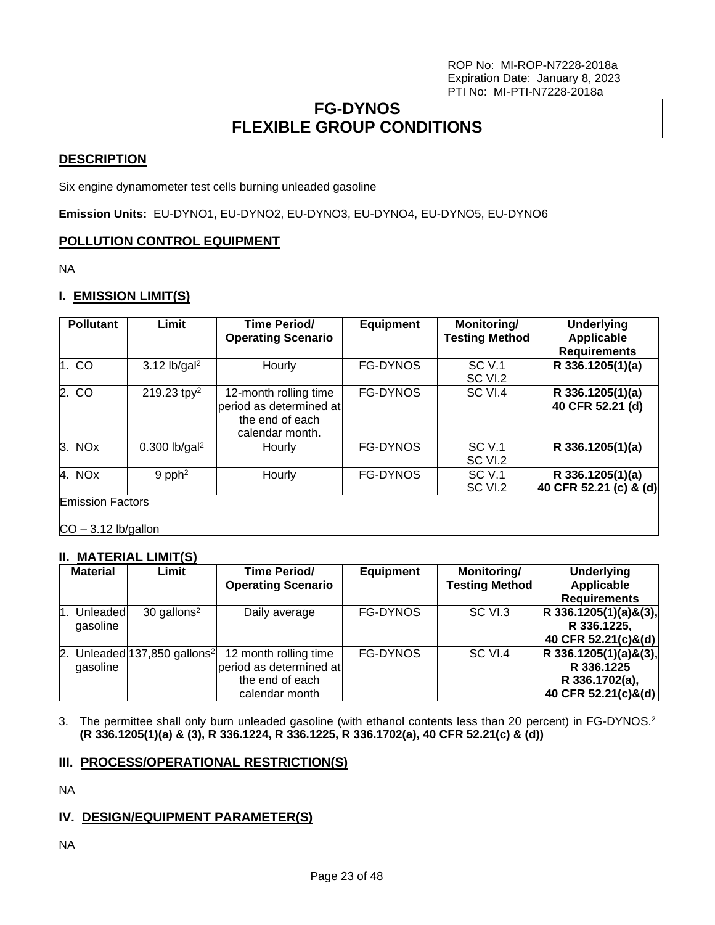# **FG-DYNOS FLEXIBLE GROUP CONDITIONS**

# <span id="page-22-0"></span>**DESCRIPTION**

Six engine dynamometer test cells burning unleaded gasoline

**Emission Units:** EU-DYNO1, EU-DYNO2, EU-DYNO3, EU-DYNO4, EU-DYNO5, EU-DYNO6

# **POLLUTION CONTROL EQUIPMENT**

NA

# **I. EMISSION LIMIT(S)**

| <b>Pollutant</b>        | Limit                       | <b>Time Period/</b><br><b>Operating Scenario</b>                                       | <b>Equipment</b> | Monitoring/<br><b>Testing Method</b> | <b>Underlying</b><br><b>Applicable</b><br><b>Requirements</b> |
|-------------------------|-----------------------------|----------------------------------------------------------------------------------------|------------------|--------------------------------------|---------------------------------------------------------------|
| 1.CO                    | $3.12$ lb/gal <sup>2</sup>  | Hourly                                                                                 | <b>FG-DYNOS</b>  | SCV.1<br>SC VI.2                     | R 336.1205(1)(a)                                              |
| 2. CO                   | 219.23 tpy <sup>2</sup>     | 12-month rolling time<br>period as determined at<br>the end of each<br>calendar month. | FG-DYNOS         | SC VI.4                              | R 336.1205(1)(a)<br>40 CFR 52.21 (d)                          |
| 3. NO <sub>x</sub>      | $0.300$ lb/gal <sup>2</sup> | Hourly                                                                                 | <b>FG-DYNOS</b>  | SC V.1<br>SC VI.2                    | R 336.1205(1)(a)                                              |
| 4. NOx                  | $9$ pph <sup>2</sup>        | Hourly                                                                                 | <b>FG-DYNOS</b>  | SC V.1<br>SC VI.2                    | R 336.1205(1)(a)<br>40 CFR 52.21 (c) & (d)                    |
| <b>Emission Factors</b> |                             |                                                                                        |                  |                                      |                                                               |

 $CO - 3.12$  lb/gallon

# **II. MATERIAL LIMIT(S)**

| <b>Material</b>       | Limit                                      | <b>Time Period/</b><br><b>Operating Scenario</b>                                      | <b>Equipment</b> | Monitoring/<br><b>Testing Method</b> | <b>Underlying</b><br>Applicable<br><b>Requirements</b>                         |
|-----------------------|--------------------------------------------|---------------------------------------------------------------------------------------|------------------|--------------------------------------|--------------------------------------------------------------------------------|
| Unleadedl<br>gasoline | $30$ gallons <sup>2</sup>                  | Daily average                                                                         | <b>FG-DYNOS</b>  | SC VI.3                              | $R$ 336.1205(1)(a)&(3),<br>R 336.1225,<br>40 CFR 52.21(c)&(d)                  |
| gasoline              | 2. Unleaded $137,850$ gallons <sup>2</sup> | 12 month rolling time<br>period as determined at<br>the end of each<br>calendar month | <b>FG-DYNOS</b>  | SC VI.4                              | $R$ 336.1205(1)(a)&(3),<br>R 336.1225<br>R 336.1702(a),<br>40 CFR 52.21(c)&(d) |

3. The permittee shall only burn unleaded gasoline (with ethanol contents less than 20 percent) in FG-DYNOS.<sup>2</sup> **(R 336.1205(1)(a) & (3), R 336.1224, R 336.1225, R 336.1702(a), 40 CFR 52.21(c) & (d))**

# **III. PROCESS/OPERATIONAL RESTRICTION(S)**

NA

# **IV. DESIGN/EQUIPMENT PARAMETER(S)**

NA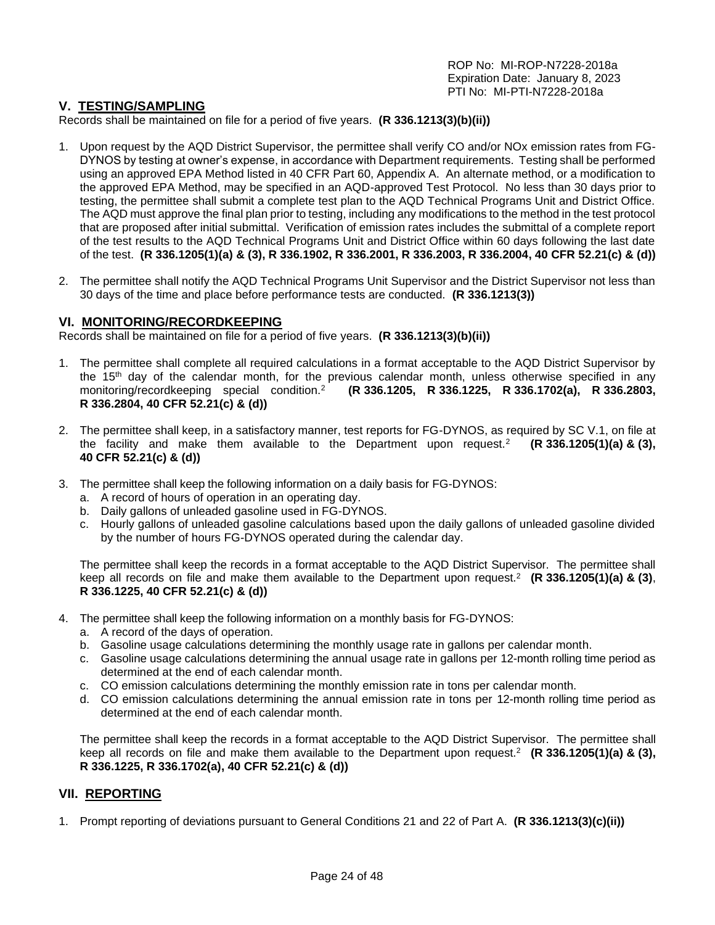## **V. TESTING/SAMPLING**

Records shall be maintained on file for a period of five years. **(R 336.1213(3)(b)(ii))**

- 1. Upon request by the AQD District Supervisor, the permittee shall verify CO and/or NOx emission rates from FG-DYNOS by testing at owner's expense, in accordance with Department requirements. Testing shall be performed using an approved EPA Method listed in 40 CFR Part 60, Appendix A. An alternate method, or a modification to the approved EPA Method, may be specified in an AQD-approved Test Protocol. No less than 30 days prior to testing, the permittee shall submit a complete test plan to the AQD Technical Programs Unit and District Office. The AQD must approve the final plan prior to testing, including any modifications to the method in the test protocol that are proposed after initial submittal. Verification of emission rates includes the submittal of a complete report of the test results to the AQD Technical Programs Unit and District Office within 60 days following the last date of the test. **(R 336.1205(1)(a) & (3), R 336.1902, R 336.2001, R 336.2003, R 336.2004, 40 CFR 52.21(c) & (d))**
- 2. The permittee shall notify the AQD Technical Programs Unit Supervisor and the District Supervisor not less than 30 days of the time and place before performance tests are conducted. **(R 336.1213(3))**

#### **VI. MONITORING/RECORDKEEPING**

Records shall be maintained on file for a period of five years. **(R 336.1213(3)(b)(ii))**

- 1. The permittee shall complete all required calculations in a format acceptable to the AQD District Supervisor by the 15<sup>th</sup> day of the calendar month, for the previous calendar month, unless otherwise specified in any monitoring/recordkeeping special condition.<sup>2</sup> **(R 336.1205, R 336.1225, R 336.1702(a), R 336.2803, R 336.2804, 40 CFR 52.21(c) & (d))**
- 2. The permittee shall keep, in a satisfactory manner, test reports for FG-DYNOS, as required by SC V.1, on file at the facility and make them available to the Department upon request.<sup>2</sup> **(R 336.1205(1)(a) & (3), 40 CFR 52.21(c) & (d))**
- 3. The permittee shall keep the following information on a daily basis for FG-DYNOS:
	- a. A record of hours of operation in an operating day.
	- b. Daily gallons of unleaded gasoline used in FG-DYNOS.
	- c. Hourly gallons of unleaded gasoline calculations based upon the daily gallons of unleaded gasoline divided by the number of hours FG-DYNOS operated during the calendar day.

The permittee shall keep the records in a format acceptable to the AQD District Supervisor. The permittee shall keep all records on file and make them available to the Department upon request.<sup>2</sup> **(R 336.1205(1)(a) & (3)**, **R 336.1225, 40 CFR 52.21(c) & (d))**

- 4. The permittee shall keep the following information on a monthly basis for FG-DYNOS:
	- a. A record of the days of operation.
	- b. Gasoline usage calculations determining the monthly usage rate in gallons per calendar month.
	- c. Gasoline usage calculations determining the annual usage rate in gallons per 12-month rolling time period as determined at the end of each calendar month.
	- c. CO emission calculations determining the monthly emission rate in tons per calendar month.
	- d. CO emission calculations determining the annual emission rate in tons per 12-month rolling time period as determined at the end of each calendar month.

The permittee shall keep the records in a format acceptable to the AQD District Supervisor. The permittee shall keep all records on file and make them available to the Department upon request.<sup>2</sup> **(R 336.1205(1)(a) & (3), R 336.1225, R 336.1702(a), 40 CFR 52.21(c) & (d))**

## **VII. REPORTING**

1. Prompt reporting of deviations pursuant to General Conditions 21 and 22 of Part A. **(R 336.1213(3)(c)(ii))**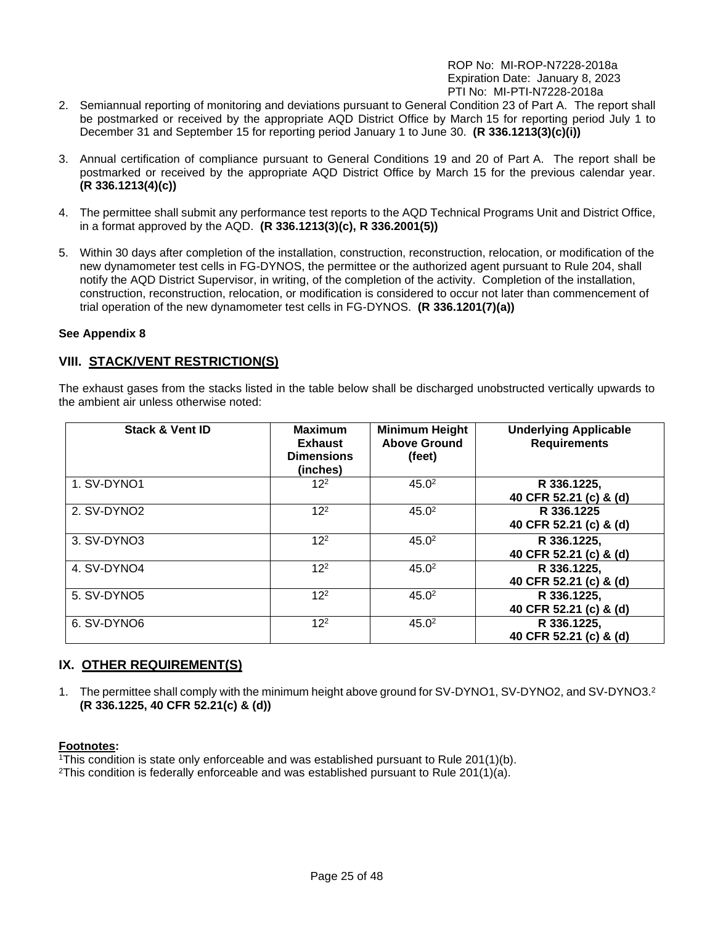- 2. Semiannual reporting of monitoring and deviations pursuant to General Condition 23 of Part A. The report shall be postmarked or received by the appropriate AQD District Office by March 15 for reporting period July 1 to December 31 and September 15 for reporting period January 1 to June 30. **(R 336.1213(3)(c)(i))**
- 3. Annual certification of compliance pursuant to General Conditions 19 and 20 of Part A. The report shall be postmarked or received by the appropriate AQD District Office by March 15 for the previous calendar year. **(R 336.1213(4)(c))**
- 4. The permittee shall submit any performance test reports to the AQD Technical Programs Unit and District Office, in a format approved by the AQD. **(R 336.1213(3)(c), R 336.2001(5))**
- 5. Within 30 days after completion of the installation, construction, reconstruction, relocation, or modification of the new dynamometer test cells in FG-DYNOS, the permittee or the authorized agent pursuant to Rule 204, shall notify the AQD District Supervisor, in writing, of the completion of the activity. Completion of the installation, construction, reconstruction, relocation, or modification is considered to occur not later than commencement of trial operation of the new dynamometer test cells in FG-DYNOS. **(R 336.1201(7)(a))**

## **See Appendix 8**

## **VIII. STACK/VENT RESTRICTION(S)**

The exhaust gases from the stacks listed in the table below shall be discharged unobstructed vertically upwards to the ambient air unless otherwise noted:

| <b>Stack &amp; Vent ID</b> | <b>Maximum</b><br><b>Exhaust</b><br><b>Dimensions</b><br>(inches) | <b>Minimum Height</b><br><b>Above Ground</b><br>(feet) | <b>Underlying Applicable</b><br><b>Requirements</b> |
|----------------------------|-------------------------------------------------------------------|--------------------------------------------------------|-----------------------------------------------------|
| 1. SV-DYNO1                | $12^{2}$                                                          | 45.0 <sup>2</sup>                                      | R 336.1225,<br>40 CFR 52.21 (c) & (d)               |
| 2. SV-DYNO2                | $12^{2}$                                                          | 45.0 <sup>2</sup>                                      | R 336.1225<br>40 CFR 52.21 (c) & (d)                |
| 3. SV-DYNO3                | $12^{2}$                                                          | 45.0 <sup>2</sup>                                      | R 336.1225,<br>40 CFR 52.21 (c) & (d)               |
| 4. SV-DYNO4                | $12^{2}$                                                          | 45.0 <sup>2</sup>                                      | R 336.1225,<br>40 CFR 52.21 (c) & (d)               |
| 5. SV-DYNO5                | $12^{2}$                                                          | 45.0 <sup>2</sup>                                      | R 336.1225,<br>40 CFR 52.21 (c) & (d)               |
| 6. SV-DYNO6                | $12^{2}$                                                          | 45.0 <sup>2</sup>                                      | R 336.1225,<br>40 CFR 52.21 (c) & (d)               |

# **IX. OTHER REQUIREMENT(S)**

1. The permittee shall comply with the minimum height above ground for SV-DYNO1, SV-DYNO2, and SV-DYNO3.<sup>2</sup> **(R 336.1225, 40 CFR 52.21(c) & (d))**

#### **Footnotes:**

<sup>1</sup>This condition is state only enforceable and was established pursuant to Rule 201(1)(b).

<sup>2</sup>This condition is federally enforceable and was established pursuant to Rule 201(1)(a).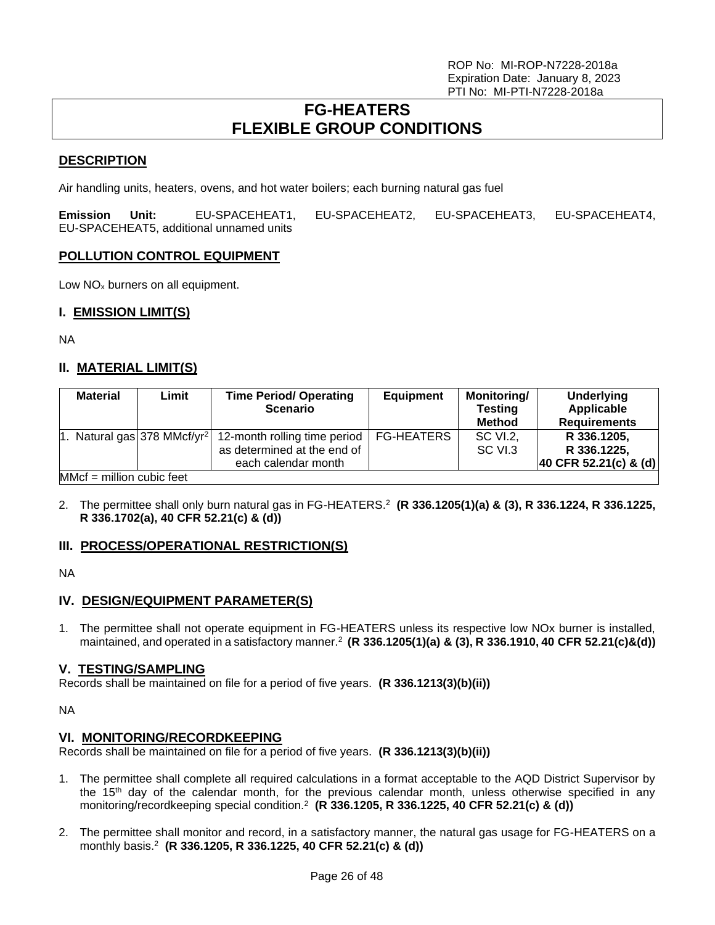# **FG-HEATERS FLEXIBLE GROUP CONDITIONS**

## <span id="page-25-0"></span>**DESCRIPTION**

Air handling units, heaters, ovens, and hot water boilers; each burning natural gas fuel

**Emission Unit:** EU-SPACEHEAT1, EU-SPACEHEAT2, EU-SPACEHEAT3, EU-SPACEHEAT4, EU-SPACEHEAT5, additional unnamed units

## **POLLUTION CONTROL EQUIPMENT**

Low NO<sub>x</sub> burners on all equipment.

## **I. EMISSION LIMIT(S)**

NA

## **II. MATERIAL LIMIT(S)**

| <b>Material</b>             | Limit                                   | <b>Time Period/ Operating</b><br><b>Scenario</b>                                                | <b>Equipment</b> | <b>Monitoring/</b><br><b>Testing</b><br>Method | <b>Underlying</b><br>Applicable<br><b>Requirements</b> |  |
|-----------------------------|-----------------------------------------|-------------------------------------------------------------------------------------------------|------------------|------------------------------------------------|--------------------------------------------------------|--|
|                             | 1. Natural gas 378 MMcf/yr <sup>2</sup> | 12-month rolling time period   FG-HEATERS<br>as determined at the end of<br>each calendar month |                  | SC VI.2.<br>SC VI.3                            | R 336.1205,<br>R 336.1225,<br>40 CFR 52.21(c) & (d)    |  |
| $MMcf = million cubic feet$ |                                         |                                                                                                 |                  |                                                |                                                        |  |

2. The permittee shall only burn natural gas in FG-HEATERS.<sup>2</sup> **(R 336.1205(1)(a) & (3), R 336.1224, R 336.1225, R 336.1702(a), 40 CFR 52.21(c) & (d))**

## **III. PROCESS/OPERATIONAL RESTRICTION(S)**

NA

## **IV. DESIGN/EQUIPMENT PARAMETER(S)**

1. The permittee shall not operate equipment in FG-HEATERS unless its respective low NOx burner is installed, maintained, and operated in a satisfactory manner.<sup>2</sup> **(R 336.1205(1)(a) & (3), R 336.1910, 40 CFR 52.21(c)&(d))**

## **V. TESTING/SAMPLING**

Records shall be maintained on file for a period of five years. **(R 336.1213(3)(b)(ii))**

NA

## **VI. MONITORING/RECORDKEEPING**

Records shall be maintained on file for a period of five years. **(R 336.1213(3)(b)(ii))**

- 1. The permittee shall complete all required calculations in a format acceptable to the AQD District Supervisor by the 15<sup>th</sup> day of the calendar month, for the previous calendar month, unless otherwise specified in any monitoring/recordkeeping special condition.<sup>2</sup> **(R 336.1205, R 336.1225, 40 CFR 52.21(c) & (d))**
- 2. The permittee shall monitor and record, in a satisfactory manner, the natural gas usage for FG-HEATERS on a monthly basis.<sup>2</sup> **(R 336.1205, R 336.1225, 40 CFR 52.21(c) & (d))**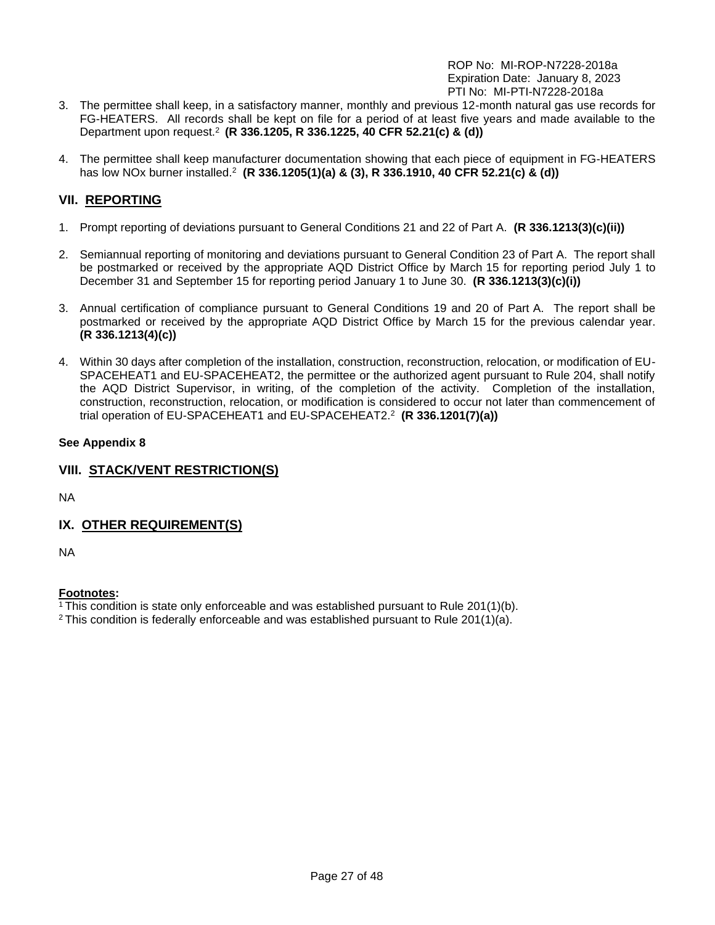- 3. The permittee shall keep, in a satisfactory manner, monthly and previous 12-month natural gas use records for FG-HEATERS. All records shall be kept on file for a period of at least five years and made available to the Department upon request.<sup>2</sup> **(R 336.1205, R 336.1225, 40 CFR 52.21(c) & (d))**
- 4. The permittee shall keep manufacturer documentation showing that each piece of equipment in FG-HEATERS has low NOx burner installed.<sup>2</sup> **(R 336.1205(1)(a) & (3), R 336.1910, 40 CFR 52.21(c) & (d))**

# **VII. REPORTING**

- 1. Prompt reporting of deviations pursuant to General Conditions 21 and 22 of Part A. **(R 336.1213(3)(c)(ii))**
- 2. Semiannual reporting of monitoring and deviations pursuant to General Condition 23 of Part A. The report shall be postmarked or received by the appropriate AQD District Office by March 15 for reporting period July 1 to December 31 and September 15 for reporting period January 1 to June 30. **(R 336.1213(3)(c)(i))**
- 3. Annual certification of compliance pursuant to General Conditions 19 and 20 of Part A. The report shall be postmarked or received by the appropriate AQD District Office by March 15 for the previous calendar year. **(R 336.1213(4)(c))**
- 4. Within 30 days after completion of the installation, construction, reconstruction, relocation, or modification of EU-SPACEHEAT1 and EU-SPACEHEAT2, the permittee or the authorized agent pursuant to Rule 204, shall notify the AQD District Supervisor, in writing, of the completion of the activity. Completion of the installation, construction, reconstruction, relocation, or modification is considered to occur not later than commencement of trial operation of EU-SPACEHEAT1 and EU-SPACEHEAT2.<sup>2</sup> **(R 336.1201(7)(a))**

## **See Appendix 8**

# **VIII. STACK/VENT RESTRICTION(S)**

NA

# **IX. OTHER REQUIREMENT(S)**

NA

# **Footnotes:**

<sup>1</sup>This condition is state only enforceable and was established pursuant to Rule 201(1)(b).

 $2$  This condition is federally enforceable and was established pursuant to Rule 201(1)(a).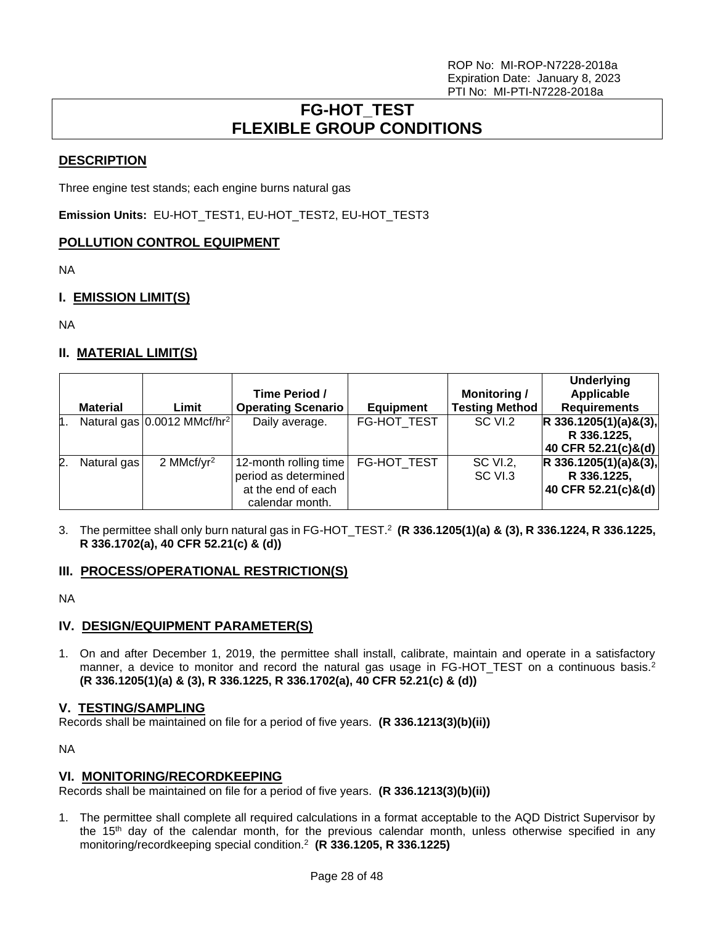# **FG-HOT\_TEST FLEXIBLE GROUP CONDITIONS**

## <span id="page-27-0"></span>**DESCRIPTION**

Three engine test stands; each engine burns natural gas

**Emission Units:** EU-HOT\_TEST1, EU-HOT\_TEST2, EU-HOT\_TEST3

## **POLLUTION CONTROL EQUIPMENT**

NA

# **I. EMISSION LIMIT(S)**

NA

## **II. MATERIAL LIMIT(S)**

|    |                 |                                         | Time Period /                                                                          |                  | <b>Monitoring /</b>   | <b>Underlying</b><br>Applicable                               |
|----|-----------------|-----------------------------------------|----------------------------------------------------------------------------------------|------------------|-----------------------|---------------------------------------------------------------|
|    | <b>Material</b> | Limit                                   | <b>Operating Scenario</b>                                                              | <b>Equipment</b> | <b>Testing Method</b> | <b>Requirements</b>                                           |
| h. |                 | Natural gas 0.0012 MMcf/hr <sup>2</sup> | Daily average.                                                                         | FG-HOT TEST      | SC VI.2               | $R$ 336.1205(1)(a)&(3),<br>R 336.1225,                        |
|    |                 |                                         |                                                                                        |                  |                       | 40 CFR 52.21(c)&(d)                                           |
| 2. | Natural gas     | 2 MMcf/ $yr^2$                          | 12-month rolling time<br>period as determined<br>at the end of each<br>calendar month. | FG-HOT TEST      | SC VI.2,<br>SC VI.3   | $R$ 336.1205(1)(a)&(3),<br>R 336.1225,<br>40 CFR 52.21(c)&(d) |

3. The permittee shall only burn natural gas in FG-HOT\_TEST.<sup>2</sup> **(R 336.1205(1)(a) & (3), R 336.1224, R 336.1225, R 336.1702(a), 40 CFR 52.21(c) & (d))**

## **III. PROCESS/OPERATIONAL RESTRICTION(S)**

NA

## **IV. DESIGN/EQUIPMENT PARAMETER(S)**

1. On and after December 1, 2019, the permittee shall install, calibrate, maintain and operate in a satisfactory manner, a device to monitor and record the natural gas usage in FG-HOT\_TEST on a continuous basis.<sup>2</sup> **(R 336.1205(1)(a) & (3), R 336.1225, R 336.1702(a), 40 CFR 52.21(c) & (d))**

## **V. TESTING/SAMPLING**

Records shall be maintained on file for a period of five years. **(R 336.1213(3)(b)(ii))**

NA

## **VI. MONITORING/RECORDKEEPING**

Records shall be maintained on file for a period of five years. **(R 336.1213(3)(b)(ii))**

1. The permittee shall complete all required calculations in a format acceptable to the AQD District Supervisor by the 15<sup>th</sup> day of the calendar month, for the previous calendar month, unless otherwise specified in any monitoring/recordkeeping special condition.<sup>2</sup> **(R 336.1205, R 336.1225)**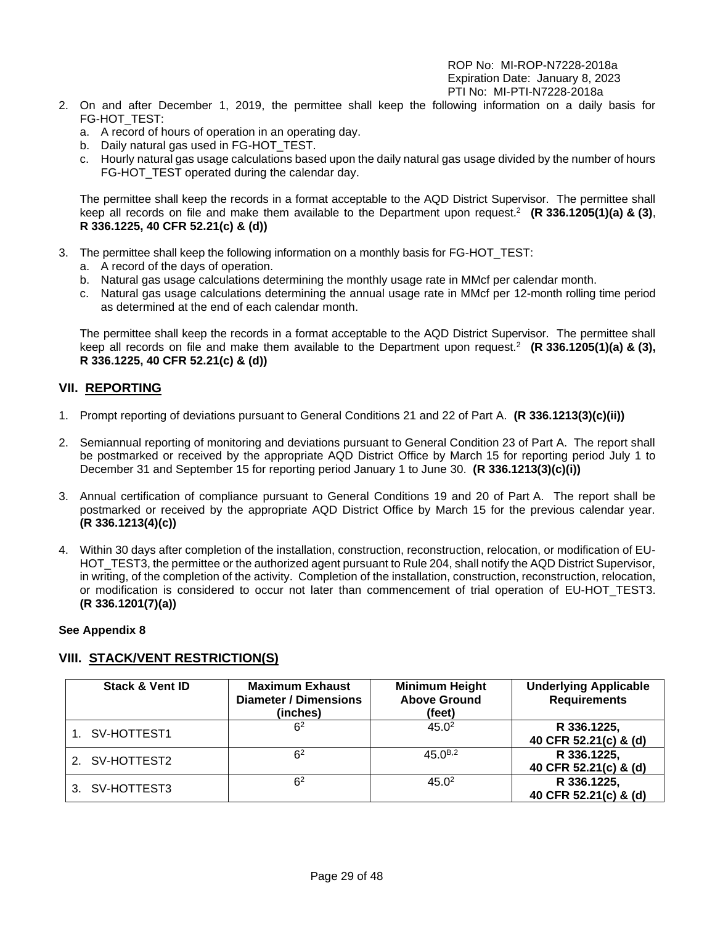- 2. On and after December 1, 2019, the permittee shall keep the following information on a daily basis for FG-HOT\_TEST:
	- a. A record of hours of operation in an operating day.
	- b. Daily natural gas used in FG-HOT\_TEST.
	- c. Hourly natural gas usage calculations based upon the daily natural gas usage divided by the number of hours FG-HOT TEST operated during the calendar day.

The permittee shall keep the records in a format acceptable to the AQD District Supervisor. The permittee shall keep all records on file and make them available to the Department upon request.<sup>2</sup> **(R 336.1205(1)(a) & (3)**, **R 336.1225, 40 CFR 52.21(c) & (d))**

- 3. The permittee shall keep the following information on a monthly basis for FG-HOT\_TEST:
	- a. A record of the days of operation.
	- b. Natural gas usage calculations determining the monthly usage rate in MMcf per calendar month.
	- c. Natural gas usage calculations determining the annual usage rate in MMcf per 12-month rolling time period as determined at the end of each calendar month.

The permittee shall keep the records in a format acceptable to the AQD District Supervisor. The permittee shall keep all records on file and make them available to the Department upon request.<sup>2</sup> **(R 336.1205(1)(a) & (3), R 336.1225, 40 CFR 52.21(c) & (d))**

## **VII. REPORTING**

- 1. Prompt reporting of deviations pursuant to General Conditions 21 and 22 of Part A. **(R 336.1213(3)(c)(ii))**
- 2. Semiannual reporting of monitoring and deviations pursuant to General Condition 23 of Part A. The report shall be postmarked or received by the appropriate AQD District Office by March 15 for reporting period July 1 to December 31 and September 15 for reporting period January 1 to June 30. **(R 336.1213(3)(c)(i))**
- 3. Annual certification of compliance pursuant to General Conditions 19 and 20 of Part A. The report shall be postmarked or received by the appropriate AQD District Office by March 15 for the previous calendar year. **(R 336.1213(4)(c))**
- 4. Within 30 days after completion of the installation, construction, reconstruction, relocation, or modification of EU-HOT TEST3, the permittee or the authorized agent pursuant to Rule 204, shall notify the AQD District Supervisor, in writing, of the completion of the activity. Completion of the installation, construction, reconstruction, relocation, or modification is considered to occur not later than commencement of trial operation of EU-HOT\_TEST3. **(R 336.1201(7)(a))**

#### **See Appendix 8**

## **VIII. STACK/VENT RESTRICTION(S)**

| <b>Stack &amp; Vent ID</b> | <b>Maximum Exhaust</b><br><b>Diameter / Dimensions</b><br>(inches) | <b>Minimum Height</b><br><b>Above Ground</b><br>(feet) | <b>Underlying Applicable</b><br><b>Requirements</b> |
|----------------------------|--------------------------------------------------------------------|--------------------------------------------------------|-----------------------------------------------------|
| SV-HOTTEST1                | 6 <sup>2</sup>                                                     | 45.0 <sup>2</sup>                                      | R 336.1225,<br>40 CFR 52.21(c) & (d)                |
| 2. SV-HOTTEST2             | 6 <sup>2</sup>                                                     | 45 $0^{B,2}$                                           | R 336.1225,<br>40 CFR 52.21(c) & (d)                |
| SV-HOTTEST3                | 6 <sup>2</sup>                                                     | 45.0 <sup>2</sup>                                      | R 336.1225,<br>40 CFR 52.21(c) & (d)                |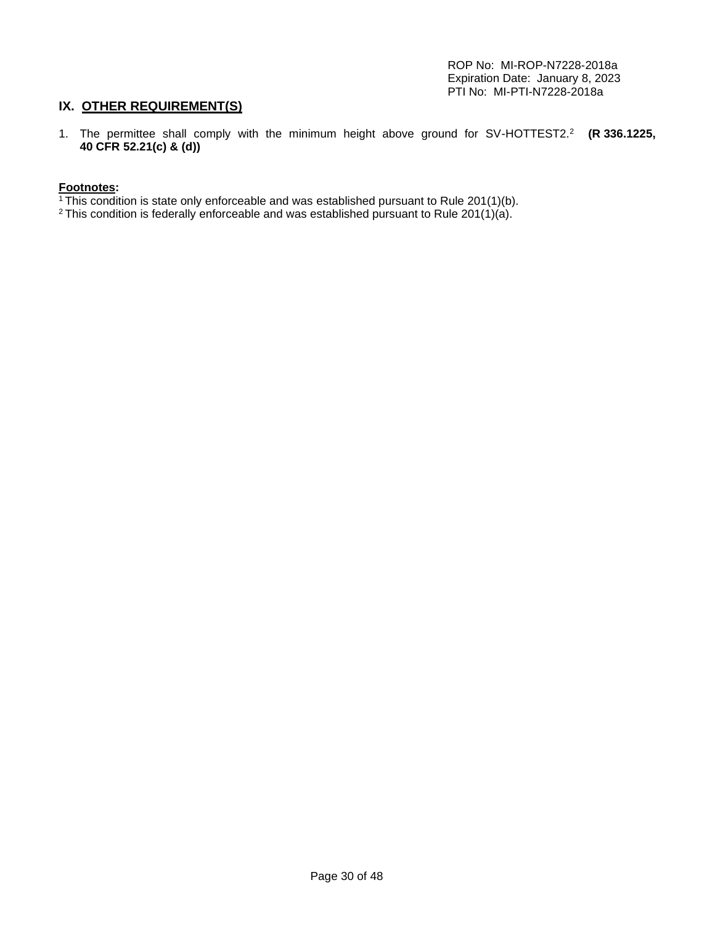# **IX. OTHER REQUIREMENT(S)**

1. The permittee shall comply with the minimum height above ground for SV-HOTTEST2.<sup>2</sup> **(R 336.1225, 40 CFR 52.21(c) & (d))**

#### **Footnotes:**

- $1$ This condition is state only enforceable and was established pursuant to Rule 201(1)(b).
- <sup>2</sup> This condition is federally enforceable and was established pursuant to Rule 201(1)(a).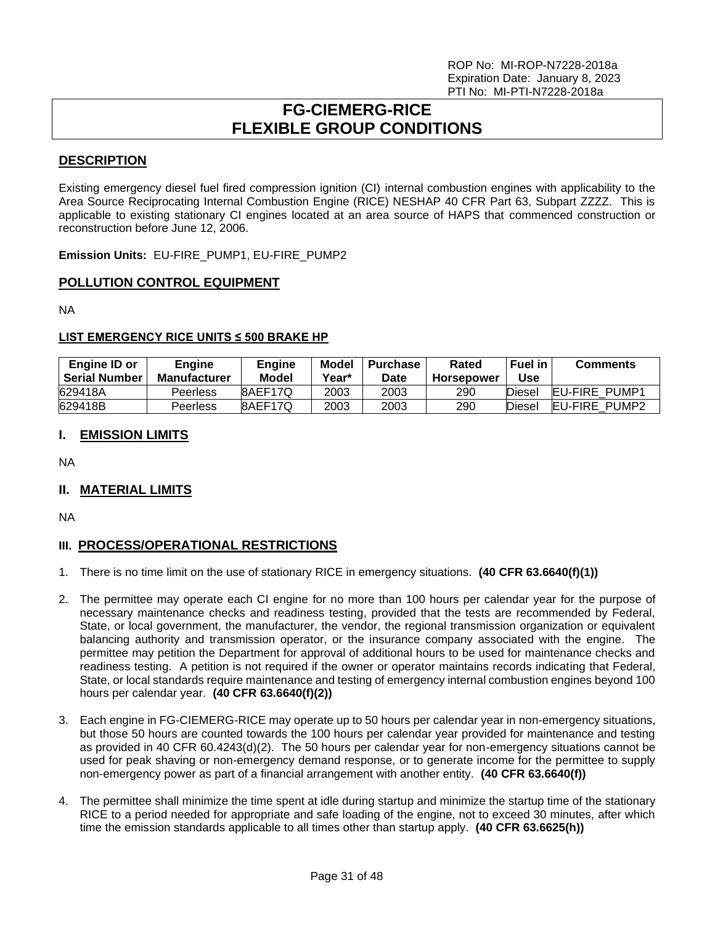# **FG-CIEMERG-RICE FLEXIBLE GROUP CONDITIONS**

## <span id="page-30-0"></span>**DESCRIPTION**

Existing emergency diesel fuel fired compression ignition (CI) internal combustion engines with applicability to the Area Source Reciprocating Internal Combustion Engine (RICE) NESHAP 40 CFR Part 63, Subpart ZZZZ. This is applicable to existing stationary CI engines located at an area source of HAPS that commenced construction or reconstruction before June 12, 2006.

**Emission Units:** EU-FIRE\_PUMP1, EU-FIRE\_PUMP2

## **POLLUTION CONTROL EQUIPMENT**

NA

## **LIST EMERGENCY RICE UNITS ≤ 500 BRAKE HP**

| Engine ID or<br>l Serial Number | <b>Engine</b><br><b>Manufacturer</b> | <b>Engine</b><br>Model | Model<br>Year* | Purchase<br>Date | Rated<br><b>Horsepower</b> | Fuel in<br>Use | <b>Comments</b>      |
|---------------------------------|--------------------------------------|------------------------|----------------|------------------|----------------------------|----------------|----------------------|
| 629418A                         | Peerless                             | 8AEF17Q                | 2003           | 2003             | 290                        | Diesel         | <b>EU-FIRE PUMP1</b> |
| 629418B                         | Peerless                             | 8AEF17Q                | 2003           | 2003             | 290                        | Diesel         | <b>EU-FIRE PUMP2</b> |

## **I. EMISSION LIMITS**

NA

# **II. MATERIAL LIMITS**

NA

# **III. PROCESS/OPERATIONAL RESTRICTIONS**

- 1. There is no time limit on the use of stationary RICE in emergency situations. **(40 CFR 63.6640(f)(1))**
- 2. The permittee may operate each CI engine for no more than 100 hours per calendar year for the purpose of necessary maintenance checks and readiness testing, provided that the tests are recommended by Federal, State, or local government, the manufacturer, the vendor, the regional transmission organization or equivalent balancing authority and transmission operator, or the insurance company associated with the engine. The permittee may petition the Department for approval of additional hours to be used for maintenance checks and readiness testing. A petition is not required if the owner or operator maintains records indicating that Federal, State, or local standards require maintenance and testing of emergency internal combustion engines beyond 100 hours per calendar year. **(40 CFR 63.6640(f)(2))**
- 3. Each engine in FG-CIEMERG-RICE may operate up to 50 hours per calendar year in non-emergency situations, but those 50 hours are counted towards the 100 hours per calendar year provided for maintenance and testing as provided in 40 CFR 60.4243(d)(2). The 50 hours per calendar year for non-emergency situations cannot be used for peak shaving or non-emergency demand response, or to generate income for the permittee to supply non-emergency power as part of a financial arrangement with another entity. **(40 CFR 63.6640(f))**
- 4. The permittee shall minimize the time spent at idle during startup and minimize the startup time of the stationary RICE to a period needed for appropriate and safe loading of the engine, not to exceed 30 minutes, after which time the emission standards applicable to all times other than startup apply. **(40 CFR 63.6625(h))**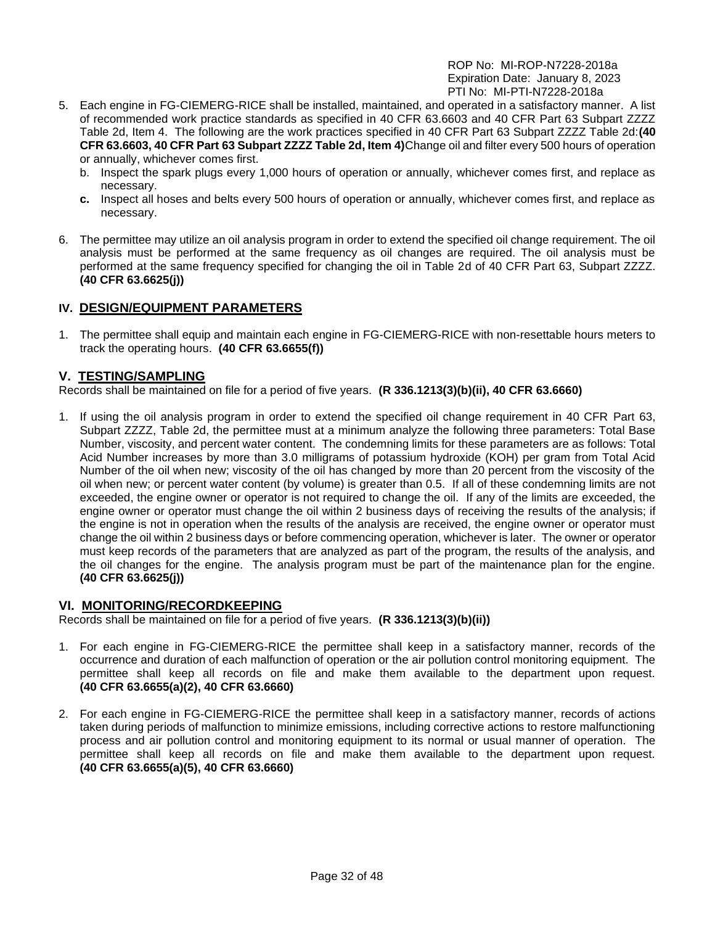- 5. Each engine in FG-CIEMERG-RICE shall be installed, maintained, and operated in a satisfactory manner. A list of recommended work practice standards as specified in 40 CFR 63.6603 and 40 CFR Part 63 Subpart ZZZZ Table 2d, Item 4. The following are the work practices specified in 40 CFR Part 63 Subpart ZZZZ Table 2d:**(40 CFR 63.6603, 40 CFR Part 63 Subpart ZZZZ Table 2d, Item 4)**Change oil and filter every 500 hours of operation or annually, whichever comes first.
	- b. Inspect the spark plugs every 1,000 hours of operation or annually, whichever comes first, and replace as necessary.
	- **c.** Inspect all hoses and belts every 500 hours of operation or annually, whichever comes first, and replace as necessary.
- 6. The permittee may utilize an oil analysis program in order to extend the specified oil change requirement. The oil analysis must be performed at the same frequency as oil changes are required. The oil analysis must be performed at the same frequency specified for changing the oil in Table 2d of 40 CFR Part 63, Subpart ZZZZ. **(40 CFR 63.6625(j))**

# **IV. DESIGN/EQUIPMENT PARAMETERS**

1. The permittee shall equip and maintain each engine in FG-CIEMERG-RICE with non-resettable hours meters to track the operating hours. **(40 CFR 63.6655(f))**

## **V. TESTING/SAMPLING**

Records shall be maintained on file for a period of five years. **(R 336.1213(3)(b)(ii), 40 CFR 63.6660)**

1. If using the oil analysis program in order to extend the specified oil change requirement in 40 CFR Part 63, Subpart ZZZZ, Table 2d, the permittee must at a minimum analyze the following three parameters: Total Base Number, viscosity, and percent water content. The condemning limits for these parameters are as follows: Total Acid Number increases by more than 3.0 milligrams of potassium hydroxide (KOH) per gram from Total Acid Number of the oil when new; viscosity of the oil has changed by more than 20 percent from the viscosity of the oil when new; or percent water content (by volume) is greater than 0.5. If all of these condemning limits are not exceeded, the engine owner or operator is not required to change the oil. If any of the limits are exceeded, the engine owner or operator must change the oil within 2 business days of receiving the results of the analysis; if the engine is not in operation when the results of the analysis are received, the engine owner or operator must change the oil within 2 business days or before commencing operation, whichever is later. The owner or operator must keep records of the parameters that are analyzed as part of the program, the results of the analysis, and the oil changes for the engine. The analysis program must be part of the maintenance plan for the engine. **(40 CFR 63.6625(j))**

## **VI. MONITORING/RECORDKEEPING**

Records shall be maintained on file for a period of five years. **(R 336.1213(3)(b)(ii))**

- 1. For each engine in FG-CIEMERG-RICE the permittee shall keep in a satisfactory manner, records of the occurrence and duration of each malfunction of operation or the air pollution control monitoring equipment. The permittee shall keep all records on file and make them available to the department upon request. **(40 CFR 63.6655(a)(2), 40 CFR 63.6660)**
- 2. For each engine in FG-CIEMERG-RICE the permittee shall keep in a satisfactory manner, records of actions taken during periods of malfunction to minimize emissions, including corrective actions to restore malfunctioning process and air pollution control and monitoring equipment to its normal or usual manner of operation. The permittee shall keep all records on file and make them available to the department upon request. **(40 CFR 63.6655(a)(5), 40 CFR 63.6660)**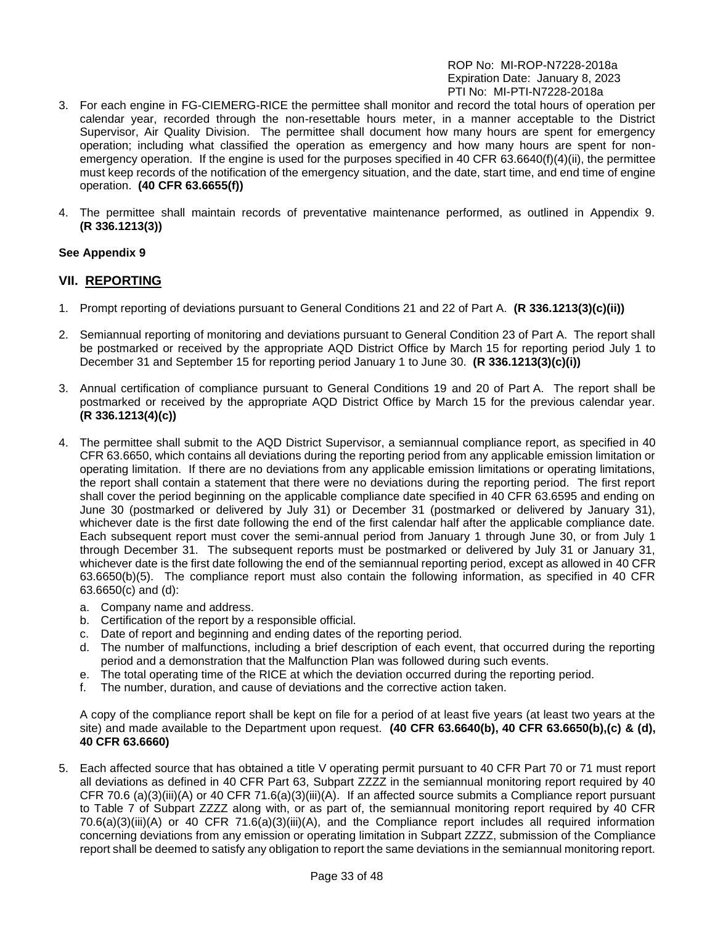- 3. For each engine in FG-CIEMERG-RICE the permittee shall monitor and record the total hours of operation per calendar year, recorded through the non-resettable hours meter, in a manner acceptable to the District Supervisor, Air Quality Division. The permittee shall document how many hours are spent for emergency operation; including what classified the operation as emergency and how many hours are spent for nonemergency operation. If the engine is used for the purposes specified in 40 CFR 63.6640(f)(4)(ii), the permittee must keep records of the notification of the emergency situation, and the date, start time, and end time of engine operation. **(40 CFR 63.6655(f))**
- 4. The permittee shall maintain records of preventative maintenance performed, as outlined in Appendix 9. **(R 336.1213(3))**

#### **See Appendix 9**

## **VII. REPORTING**

- 1. Prompt reporting of deviations pursuant to General Conditions 21 and 22 of Part A. **(R 336.1213(3)(c)(ii))**
- 2. Semiannual reporting of monitoring and deviations pursuant to General Condition 23 of Part A. The report shall be postmarked or received by the appropriate AQD District Office by March 15 for reporting period July 1 to December 31 and September 15 for reporting period January 1 to June 30. **(R 336.1213(3)(c)(i))**
- 3. Annual certification of compliance pursuant to General Conditions 19 and 20 of Part A. The report shall be postmarked or received by the appropriate AQD District Office by March 15 for the previous calendar year. **(R 336.1213(4)(c))**
- 4. The permittee shall submit to the AQD District Supervisor, a semiannual compliance report, as specified in 40 CFR 63.6650, which contains all deviations during the reporting period from any applicable emission limitation or operating limitation. If there are no deviations from any applicable emission limitations or operating limitations, the report shall contain a statement that there were no deviations during the reporting period. The first report shall cover the period beginning on the applicable compliance date specified in 40 CFR 63.6595 and ending on June 30 (postmarked or delivered by July 31) or December 31 (postmarked or delivered by January 31), whichever date is the first date following the end of the first calendar half after the applicable compliance date. Each subsequent report must cover the semi-annual period from January 1 through June 30, or from July 1 through December 31. The subsequent reports must be postmarked or delivered by July 31 or January 31, whichever date is the first date following the end of the semiannual reporting period, except as allowed in 40 CFR 63.6650(b)(5). The compliance report must also contain the following information, as specified in 40 CFR 63.6650(c) and (d):
	- a. Company name and address.
	- b. Certification of the report by a responsible official.
	- c. Date of report and beginning and ending dates of the reporting period.
	- d. The number of malfunctions, including a brief description of each event, that occurred during the reporting period and a demonstration that the Malfunction Plan was followed during such events.
	- e. The total operating time of the RICE at which the deviation occurred during the reporting period.
	- f. The number, duration, and cause of deviations and the corrective action taken.

A copy of the compliance report shall be kept on file for a period of at least five years (at least two years at the site) and made available to the Department upon request. **(40 CFR 63.6640(b), 40 CFR 63.6650(b),(c) & (d), 40 CFR 63.6660)**

5. Each affected source that has obtained a title V operating permit pursuant to 40 CFR Part 70 or 71 must report all deviations as defined in 40 CFR Part 63, Subpart ZZZZ in the semiannual monitoring report required by 40 CFR 70.6 (a)(3)(iii)(A) or 40 CFR 71.6(a)(3)(iii)(A). If an affected source submits a Compliance report pursuant to Table 7 of Subpart ZZZZ along with, or as part of, the semiannual monitoring report required by 40 CFR 70.6(a)(3)(iii)(A) or 40 CFR 71.6(a)(3)(iii)(A), and the Compliance report includes all required information concerning deviations from any emission or operating limitation in Subpart ZZZZ, submission of the Compliance report shall be deemed to satisfy any obligation to report the same deviations in the semiannual monitoring report.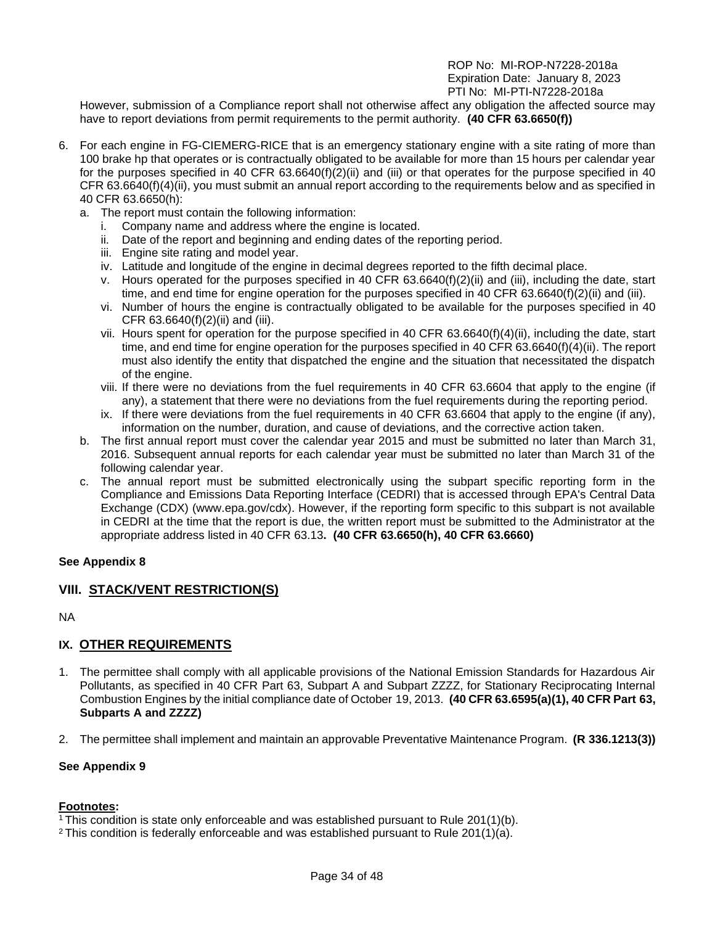However, submission of a Compliance report shall not otherwise affect any obligation the affected source may have to report deviations from permit requirements to the permit authority. **(40 CFR 63.6650(f))**

- 6. For each engine in FG-CIEMERG-RICE that is an emergency stationary engine with a site rating of more than 100 brake hp that operates or is contractually obligated to be available for more than 15 hours per calendar year for the purposes specified in 40 CFR 63.6640(f)(2)(ii) and (iii) or that operates for the purpose specified in 40 CFR 63.6640(f)(4)(ii), you must submit an annual report according to the requirements below and as specified in 40 CFR 63.6650(h):
	- a. The report must contain the following information:
		- i. Company name and address where the engine is located.
		- ii. Date of the report and beginning and ending dates of the reporting period.
		- iii. Engine site rating and model year.
		- iv. Latitude and longitude of the engine in decimal degrees reported to the fifth decimal place.
		- v. Hours operated for the purposes specified in 40 CFR 63.6640(f)(2)(ii) and (iii), including the date, start time, and end time for engine operation for the purposes specified in 40 CFR 63.6640(f)(2)(ii) and (iii).
		- vi. Number of hours the engine is contractually obligated to be available for the purposes specified in 40 CFR 63.6640(f)(2)(ii) and (iii).
		- vii. Hours spent for operation for the purpose specified in 40 CFR 63.6640(f)(4)(ii), including the date, start time, and end time for engine operation for the purposes specified in 40 CFR 63.6640(f)(4)(ii). The report must also identify the entity that dispatched the engine and the situation that necessitated the dispatch of the engine.
		- viii. If there were no deviations from the fuel requirements in 40 CFR 63.6604 that apply to the engine (if any), a statement that there were no deviations from the fuel requirements during the reporting period.
		- ix. If there were deviations from the fuel requirements in 40 CFR 63.6604 that apply to the engine (if any), information on the number, duration, and cause of deviations, and the corrective action taken.
	- b. The first annual report must cover the calendar year 2015 and must be submitted no later than March 31, 2016. Subsequent annual reports for each calendar year must be submitted no later than March 31 of the following calendar year.
	- c. The annual report must be submitted electronically using the subpart specific reporting form in the Compliance and Emissions Data Reporting Interface (CEDRI) that is accessed through EPA's Central Data Exchange (CDX) (www.epa.gov/cdx). However, if the reporting form specific to this subpart is not available in CEDRI at the time that the report is due, the written report must be submitted to the Administrator at the appropriate address listed in 40 CFR 63.13**. (40 CFR 63.6650(h), 40 CFR 63.6660)**

## **See Appendix 8**

## **VIII. STACK/VENT RESTRICTION(S)**

NA

# **IX. OTHER REQUIREMENTS**

- 1. The permittee shall comply with all applicable provisions of the National Emission Standards for Hazardous Air Pollutants, as specified in 40 CFR Part 63, Subpart A and Subpart ZZZZ, for Stationary Reciprocating Internal Combustion Engines by the initial compliance date of October 19, 2013. **(40 CFR 63.6595(a)(1), 40 CFR Part 63, Subparts A and ZZZZ)**
- 2. The permittee shall implement and maintain an approvable Preventative Maintenance Program. **(R 336.1213(3))**

#### **See Appendix 9**

#### **Footnotes:**

<sup>1</sup> This condition is state only enforceable and was established pursuant to Rule 201(1)(b).

<sup>2</sup> This condition is federally enforceable and was established pursuant to Rule 201(1)(a).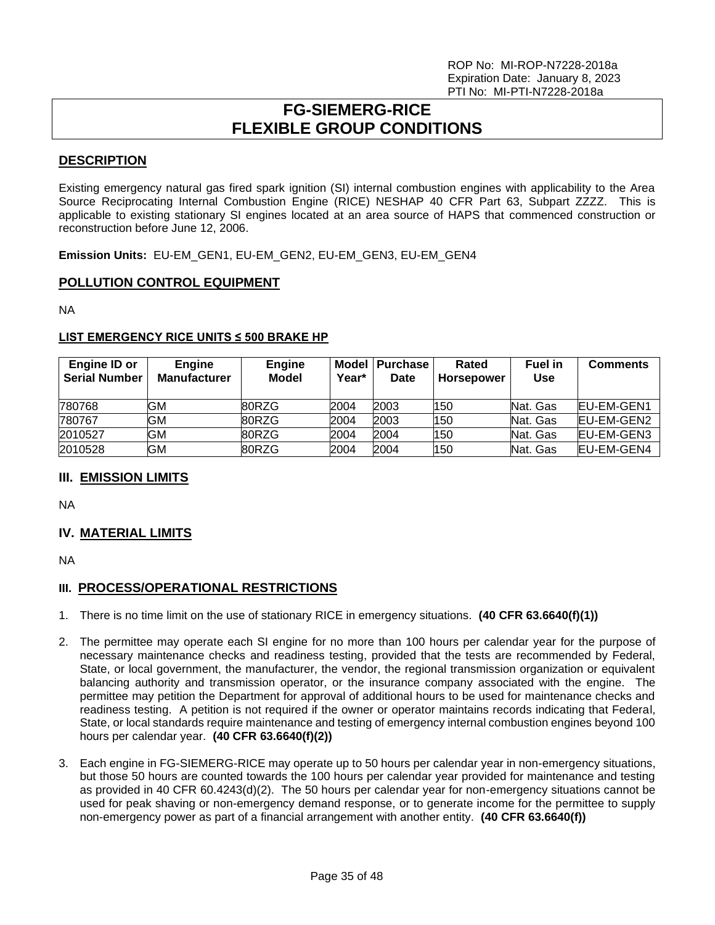# **FG-SIEMERG-RICE FLEXIBLE GROUP CONDITIONS**

## <span id="page-34-0"></span>**DESCRIPTION**

Existing emergency natural gas fired spark ignition (SI) internal combustion engines with applicability to the Area Source Reciprocating Internal Combustion Engine (RICE) NESHAP 40 CFR Part 63, Subpart ZZZZ. This is applicable to existing stationary SI engines located at an area source of HAPS that commenced construction or reconstruction before June 12, 2006.

**Emission Units:** EU-EM\_GEN1, EU-EM\_GEN2, EU-EM\_GEN3, EU-EM\_GEN4

## **POLLUTION CONTROL EQUIPMENT**

NA

## **LIST EMERGENCY RICE UNITS ≤ 500 BRAKE HP**

| Engine ID or<br><b>Serial Number</b> | <b>Engine</b><br><b>Manufacturer</b> | Engine<br>Model | Model  <br>Year* | <b>Purchase</b><br><b>Date</b> | Rated<br>Horsepower | <b>Fuel in</b><br><b>Use</b> | <b>Comments</b>    |
|--------------------------------------|--------------------------------------|-----------------|------------------|--------------------------------|---------------------|------------------------------|--------------------|
| 780768                               | GМ                                   | 80RZG           | 2004             | 2003                           | 150                 | Nat. Gas                     | <b>IEU-EM-GEN1</b> |
| 780767                               | GМ                                   | 80RZG           | 2004             | 2003                           | 150                 | Nat. Gas                     | <b>IEU-EM-GEN2</b> |
| 2010527                              | GМ                                   | 80RZG           | 2004             | 2004                           | 150                 | Nat. Gas                     | <b>IEU-EM-GEN3</b> |
| 2010528                              | GМ                                   | 80RZG           | 2004             | 2004                           | 150                 | Nat. Gas                     | <b>IEU-EM-GEN4</b> |

# **III. EMISSION LIMITS**

NA

# **IV. MATERIAL LIMITS**

NA

# **III. PROCESS/OPERATIONAL RESTRICTIONS**

- 1. There is no time limit on the use of stationary RICE in emergency situations. **(40 CFR 63.6640(f)(1))**
- 2. The permittee may operate each SI engine for no more than 100 hours per calendar year for the purpose of necessary maintenance checks and readiness testing, provided that the tests are recommended by Federal, State, or local government, the manufacturer, the vendor, the regional transmission organization or equivalent balancing authority and transmission operator, or the insurance company associated with the engine. The permittee may petition the Department for approval of additional hours to be used for maintenance checks and readiness testing. A petition is not required if the owner or operator maintains records indicating that Federal, State, or local standards require maintenance and testing of emergency internal combustion engines beyond 100 hours per calendar year. **(40 CFR 63.6640(f)(2))**
- 3. Each engine in FG-SIEMERG-RICE may operate up to 50 hours per calendar year in non-emergency situations, but those 50 hours are counted towards the 100 hours per calendar year provided for maintenance and testing as provided in 40 CFR 60.4243(d)(2). The 50 hours per calendar year for non-emergency situations cannot be used for peak shaving or non-emergency demand response, or to generate income for the permittee to supply non-emergency power as part of a financial arrangement with another entity. **(40 CFR 63.6640(f))**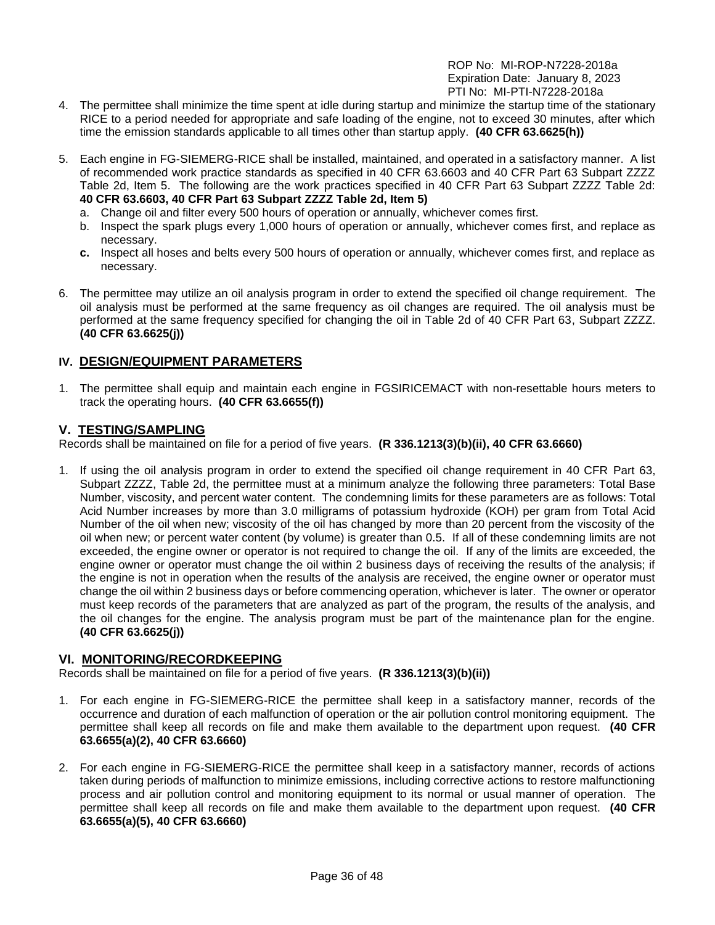- 4. The permittee shall minimize the time spent at idle during startup and minimize the startup time of the stationary RICE to a period needed for appropriate and safe loading of the engine, not to exceed 30 minutes, after which time the emission standards applicable to all times other than startup apply. **(40 CFR 63.6625(h))**
- 5. Each engine in FG-SIEMERG-RICE shall be installed, maintained, and operated in a satisfactory manner. A list of recommended work practice standards as specified in 40 CFR 63.6603 and 40 CFR Part 63 Subpart ZZZZ Table 2d, Item 5. The following are the work practices specified in 40 CFR Part 63 Subpart ZZZZ Table 2d: **40 CFR 63.6603, 40 CFR Part 63 Subpart ZZZZ Table 2d, Item 5)**
	- a. Change oil and filter every 500 hours of operation or annually, whichever comes first.
	- b. Inspect the spark plugs every 1,000 hours of operation or annually, whichever comes first, and replace as necessary.
	- **c.** Inspect all hoses and belts every 500 hours of operation or annually, whichever comes first, and replace as necessary.
- 6. The permittee may utilize an oil analysis program in order to extend the specified oil change requirement. The oil analysis must be performed at the same frequency as oil changes are required. The oil analysis must be performed at the same frequency specified for changing the oil in Table 2d of 40 CFR Part 63, Subpart ZZZZ. **(40 CFR 63.6625(j))**

## **IV. DESIGN/EQUIPMENT PARAMETERS**

1. The permittee shall equip and maintain each engine in FGSIRICEMACT with non-resettable hours meters to track the operating hours. **(40 CFR 63.6655(f))**

#### **V. TESTING/SAMPLING**

Records shall be maintained on file for a period of five years. **(R 336.1213(3)(b)(ii), 40 CFR 63.6660)**

1. If using the oil analysis program in order to extend the specified oil change requirement in 40 CFR Part 63, Subpart ZZZZ, Table 2d, the permittee must at a minimum analyze the following three parameters: Total Base Number, viscosity, and percent water content. The condemning limits for these parameters are as follows: Total Acid Number increases by more than 3.0 milligrams of potassium hydroxide (KOH) per gram from Total Acid Number of the oil when new; viscosity of the oil has changed by more than 20 percent from the viscosity of the oil when new; or percent water content (by volume) is greater than 0.5. If all of these condemning limits are not exceeded, the engine owner or operator is not required to change the oil. If any of the limits are exceeded, the engine owner or operator must change the oil within 2 business days of receiving the results of the analysis; if the engine is not in operation when the results of the analysis are received, the engine owner or operator must change the oil within 2 business days or before commencing operation, whichever is later. The owner or operator must keep records of the parameters that are analyzed as part of the program, the results of the analysis, and the oil changes for the engine. The analysis program must be part of the maintenance plan for the engine. **(40 CFR 63.6625(j))**

## **VI. MONITORING/RECORDKEEPING**

Records shall be maintained on file for a period of five years. **(R 336.1213(3)(b)(ii))**

- 1. For each engine in FG-SIEMERG-RICE the permittee shall keep in a satisfactory manner, records of the occurrence and duration of each malfunction of operation or the air pollution control monitoring equipment. The permittee shall keep all records on file and make them available to the department upon request. **(40 CFR 63.6655(a)(2), 40 CFR 63.6660)**
- 2. For each engine in FG-SIEMERG-RICE the permittee shall keep in a satisfactory manner, records of actions taken during periods of malfunction to minimize emissions, including corrective actions to restore malfunctioning process and air pollution control and monitoring equipment to its normal or usual manner of operation. The permittee shall keep all records on file and make them available to the department upon request. **(40 CFR 63.6655(a)(5), 40 CFR 63.6660)**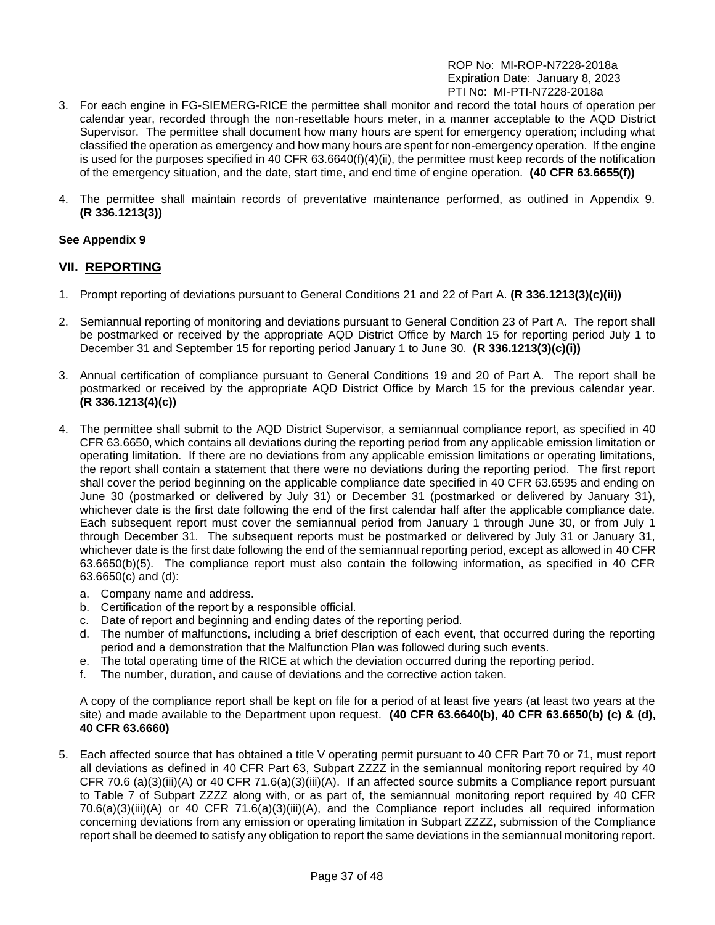- 3. For each engine in FG-SIEMERG-RICE the permittee shall monitor and record the total hours of operation per calendar year, recorded through the non-resettable hours meter, in a manner acceptable to the AQD District Supervisor. The permittee shall document how many hours are spent for emergency operation; including what classified the operation as emergency and how many hours are spent for non-emergency operation. If the engine is used for the purposes specified in 40 CFR 63.6640(f)(4)(ii), the permittee must keep records of the notification of the emergency situation, and the date, start time, and end time of engine operation. **(40 CFR 63.6655(f))**
- 4. The permittee shall maintain records of preventative maintenance performed, as outlined in Appendix 9. **(R 336.1213(3))**

## **See Appendix 9**

## **VII. REPORTING**

- 1. Prompt reporting of deviations pursuant to General Conditions 21 and 22 of Part A. **(R 336.1213(3)(c)(ii))**
- 2. Semiannual reporting of monitoring and deviations pursuant to General Condition 23 of Part A. The report shall be postmarked or received by the appropriate AQD District Office by March 15 for reporting period July 1 to December 31 and September 15 for reporting period January 1 to June 30. **(R 336.1213(3)(c)(i))**
- 3. Annual certification of compliance pursuant to General Conditions 19 and 20 of Part A. The report shall be postmarked or received by the appropriate AQD District Office by March 15 for the previous calendar year. **(R 336.1213(4)(c))**
- 4. The permittee shall submit to the AQD District Supervisor, a semiannual compliance report, as specified in 40 CFR 63.6650, which contains all deviations during the reporting period from any applicable emission limitation or operating limitation. If there are no deviations from any applicable emission limitations or operating limitations, the report shall contain a statement that there were no deviations during the reporting period. The first report shall cover the period beginning on the applicable compliance date specified in 40 CFR 63.6595 and ending on June 30 (postmarked or delivered by July 31) or December 31 (postmarked or delivered by January 31), whichever date is the first date following the end of the first calendar half after the applicable compliance date. Each subsequent report must cover the semiannual period from January 1 through June 30, or from July 1 through December 31. The subsequent reports must be postmarked or delivered by July 31 or January 31, whichever date is the first date following the end of the semiannual reporting period, except as allowed in 40 CFR 63.6650(b)(5). The compliance report must also contain the following information, as specified in 40 CFR 63.6650(c) and (d):
	- a. Company name and address.
	- b. Certification of the report by a responsible official.
	- c. Date of report and beginning and ending dates of the reporting period.
	- d. The number of malfunctions, including a brief description of each event, that occurred during the reporting period and a demonstration that the Malfunction Plan was followed during such events.
	- e. The total operating time of the RICE at which the deviation occurred during the reporting period.
	- f. The number, duration, and cause of deviations and the corrective action taken.

A copy of the compliance report shall be kept on file for a period of at least five years (at least two years at the site) and made available to the Department upon request. **(40 CFR 63.6640(b), 40 CFR 63.6650(b) (c) & (d), 40 CFR 63.6660)**

5. Each affected source that has obtained a title V operating permit pursuant to 40 CFR Part 70 or 71, must report all deviations as defined in 40 CFR Part 63, Subpart ZZZZ in the semiannual monitoring report required by 40 CFR 70.6 (a)(3)(iii)(A) or 40 CFR 71.6(a)(3)(iii)(A). If an affected source submits a Compliance report pursuant to Table 7 of Subpart ZZZZ along with, or as part of, the semiannual monitoring report required by 40 CFR 70.6(a)(3)(iii)(A) or 40 CFR 71.6(a)(3)(iii)(A), and the Compliance report includes all required information concerning deviations from any emission or operating limitation in Subpart ZZZZ, submission of the Compliance report shall be deemed to satisfy any obligation to report the same deviations in the semiannual monitoring report.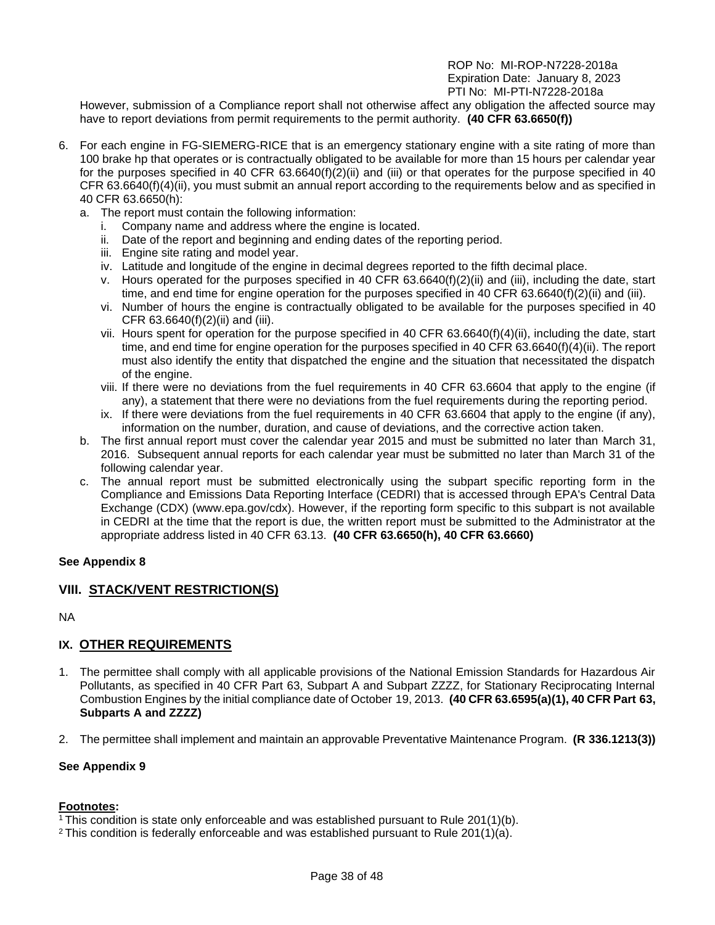However, submission of a Compliance report shall not otherwise affect any obligation the affected source may have to report deviations from permit requirements to the permit authority. **(40 CFR 63.6650(f))**

- 6. For each engine in FG-SIEMERG-RICE that is an emergency stationary engine with a site rating of more than 100 brake hp that operates or is contractually obligated to be available for more than 15 hours per calendar year for the purposes specified in 40 CFR 63.6640(f)(2)(ii) and (iii) or that operates for the purpose specified in 40 CFR 63.6640(f)(4)(ii), you must submit an annual report according to the requirements below and as specified in 40 CFR 63.6650(h):
	- a. The report must contain the following information:
		- i. Company name and address where the engine is located.
		- ii. Date of the report and beginning and ending dates of the reporting period.
		- iii. Engine site rating and model year.
		- iv. Latitude and longitude of the engine in decimal degrees reported to the fifth decimal place.
		- v. Hours operated for the purposes specified in 40 CFR 63.6640(f)(2)(ii) and (iii), including the date, start time, and end time for engine operation for the purposes specified in 40 CFR 63.6640(f)(2)(ii) and (iii).
		- vi. Number of hours the engine is contractually obligated to be available for the purposes specified in 40 CFR 63.6640(f)(2)(ii) and (iii).
		- vii. Hours spent for operation for the purpose specified in 40 CFR 63.6640(f)(4)(ii), including the date, start time, and end time for engine operation for the purposes specified in 40 CFR 63.6640(f)(4)(ii). The report must also identify the entity that dispatched the engine and the situation that necessitated the dispatch of the engine.
		- viii. If there were no deviations from the fuel requirements in 40 CFR 63.6604 that apply to the engine (if any), a statement that there were no deviations from the fuel requirements during the reporting period.
		- ix. If there were deviations from the fuel requirements in 40 CFR 63.6604 that apply to the engine (if any), information on the number, duration, and cause of deviations, and the corrective action taken.
	- b. The first annual report must cover the calendar year 2015 and must be submitted no later than March 31, 2016. Subsequent annual reports for each calendar year must be submitted no later than March 31 of the following calendar year.
	- c. The annual report must be submitted electronically using the subpart specific reporting form in the Compliance and Emissions Data Reporting Interface (CEDRI) that is accessed through EPA's Central Data Exchange (CDX) (www.epa.gov/cdx). However, if the reporting form specific to this subpart is not available in CEDRI at the time that the report is due, the written report must be submitted to the Administrator at the appropriate address listed in 40 CFR 63.13. **(40 CFR 63.6650(h), 40 CFR 63.6660)**

## **See Appendix 8**

## **VIII. STACK/VENT RESTRICTION(S)**

NA

# **IX. OTHER REQUIREMENTS**

- 1. The permittee shall comply with all applicable provisions of the National Emission Standards for Hazardous Air Pollutants, as specified in 40 CFR Part 63, Subpart A and Subpart ZZZZ, for Stationary Reciprocating Internal Combustion Engines by the initial compliance date of October 19, 2013. **(40 CFR 63.6595(a)(1), 40 CFR Part 63, Subparts A and ZZZZ)**
- 2. The permittee shall implement and maintain an approvable Preventative Maintenance Program. **(R 336.1213(3))**

#### **See Appendix 9**

#### **Footnotes:**

<sup>1</sup> This condition is state only enforceable and was established pursuant to Rule  $201(1)(b)$ .

<sup>2</sup> This condition is federally enforceable and was established pursuant to Rule 201(1)(a).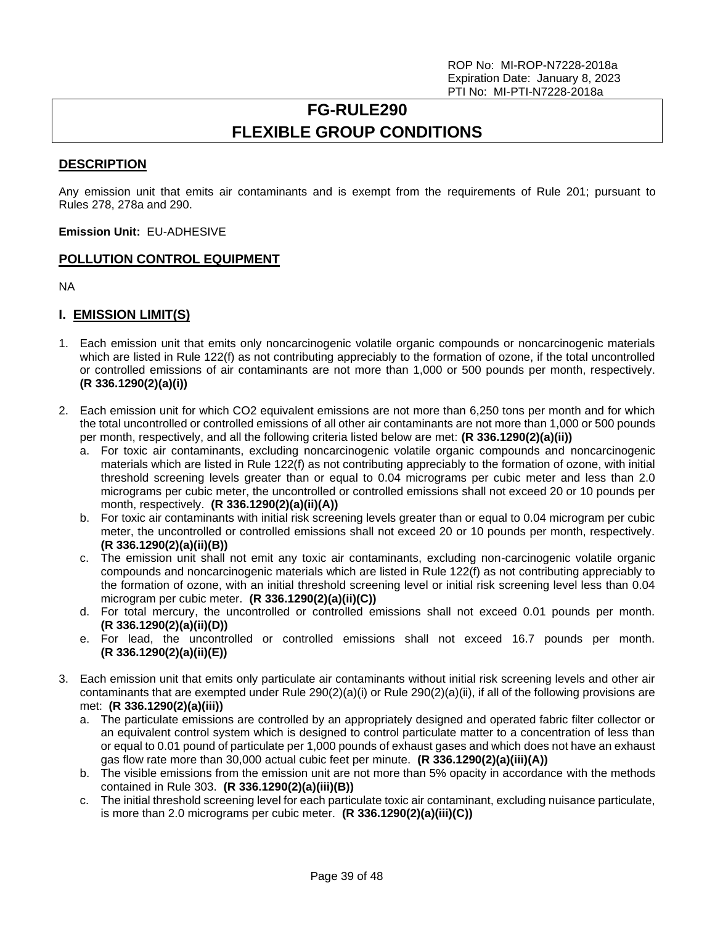# **FG-RULE290 FLEXIBLE GROUP CONDITIONS**

## <span id="page-38-0"></span>**DESCRIPTION**

Any emission unit that emits air contaminants and is exempt from the requirements of Rule 201; pursuant to Rules 278, 278a and 290.

**Emission Unit:** EU-ADHESIVE

## **POLLUTION CONTROL EQUIPMENT**

NA

# **I. EMISSION LIMIT(S)**

- 1. Each emission unit that emits only noncarcinogenic volatile organic compounds or noncarcinogenic materials which are listed in Rule 122(f) as not contributing appreciably to the formation of ozone, if the total uncontrolled or controlled emissions of air contaminants are not more than 1,000 or 500 pounds per month, respectively. **(R 336.1290(2)(a)(i))**
- 2. Each emission unit for which CO2 equivalent emissions are not more than 6,250 tons per month and for which the total uncontrolled or controlled emissions of all other air contaminants are not more than 1,000 or 500 pounds per month, respectively, and all the following criteria listed below are met: **(R 336.1290(2)(a)(ii))**
	- a. For toxic air contaminants, excluding noncarcinogenic volatile organic compounds and noncarcinogenic materials which are listed in Rule 122(f) as not contributing appreciably to the formation of ozone, with initial threshold screening levels greater than or equal to 0.04 micrograms per cubic meter and less than 2.0 micrograms per cubic meter, the uncontrolled or controlled emissions shall not exceed 20 or 10 pounds per month, respectively. **(R 336.1290(2)(a)(ii)(A))**
	- b. For toxic air contaminants with initial risk screening levels greater than or equal to 0.04 microgram per cubic meter, the uncontrolled or controlled emissions shall not exceed 20 or 10 pounds per month, respectively. **(R 336.1290(2)(a)(ii)(B))**
	- c. The emission unit shall not emit any toxic air contaminants, excluding non-carcinogenic volatile organic compounds and noncarcinogenic materials which are listed in Rule 122(f) as not contributing appreciably to the formation of ozone, with an initial threshold screening level or initial risk screening level less than 0.04 microgram per cubic meter. **(R 336.1290(2)(a)(ii)(C))**
	- d. For total mercury, the uncontrolled or controlled emissions shall not exceed 0.01 pounds per month. **(R 336.1290(2)(a)(ii)(D))**
	- e. For lead, the uncontrolled or controlled emissions shall not exceed 16.7 pounds per month. **(R 336.1290(2)(a)(ii)(E))**
- 3. Each emission unit that emits only particulate air contaminants without initial risk screening levels and other air contaminants that are exempted under Rule 290(2)(a)(i) or Rule 290(2)(a)(ii), if all of the following provisions are met: **(R 336.1290(2)(a)(iii))**
	- a. The particulate emissions are controlled by an appropriately designed and operated fabric filter collector or an equivalent control system which is designed to control particulate matter to a concentration of less than or equal to 0.01 pound of particulate per 1,000 pounds of exhaust gases and which does not have an exhaust gas flow rate more than 30,000 actual cubic feet per minute. **(R 336.1290(2)(a)(iii)(A))**
	- b. The visible emissions from the emission unit are not more than 5% opacity in accordance with the methods contained in Rule 303. **(R 336.1290(2)(a)(iii)(B))**
	- c. The initial threshold screening level for each particulate toxic air contaminant, excluding nuisance particulate, is more than 2.0 micrograms per cubic meter. **(R 336.1290(2)(a)(iii)(C))**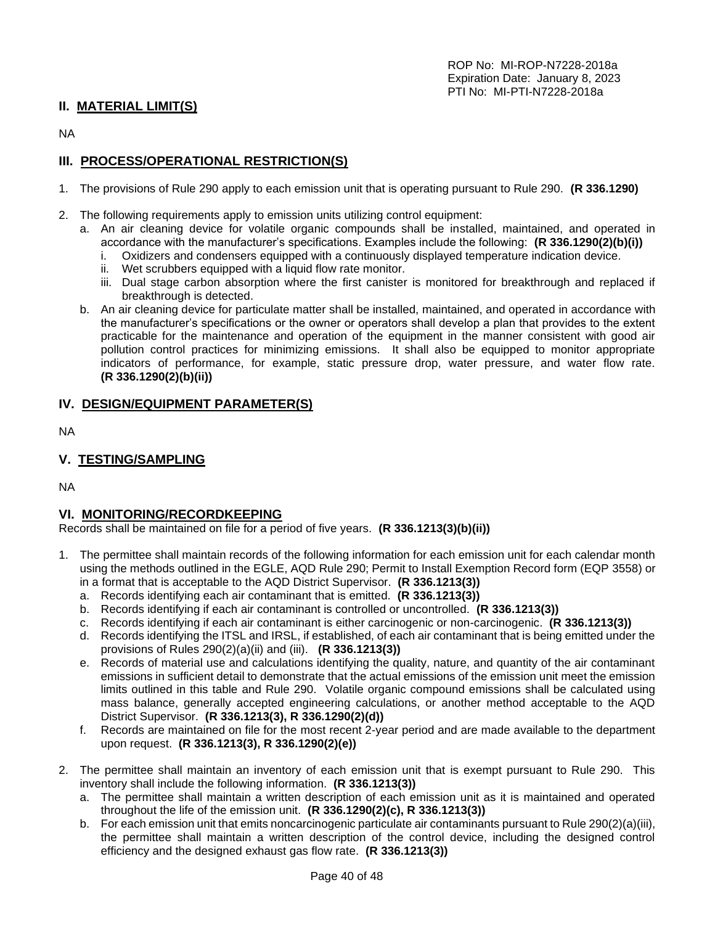## **II. MATERIAL LIMIT(S)**

NA

## **III. PROCESS/OPERATIONAL RESTRICTION(S)**

- 1. The provisions of Rule 290 apply to each emission unit that is operating pursuant to Rule 290. **(R 336.1290)**
- 2. The following requirements apply to emission units utilizing control equipment:
	- a. An air cleaning device for volatile organic compounds shall be installed, maintained, and operated in accordance with the manufacturer's specifications. Examples include the following: **(R 336.1290(2)(b)(i))**
		- i. Oxidizers and condensers equipped with a continuously displayed temperature indication device.
		- ii. Wet scrubbers equipped with a liquid flow rate monitor.
		- iii. Dual stage carbon absorption where the first canister is monitored for breakthrough and replaced if breakthrough is detected.
	- b. An air cleaning device for particulate matter shall be installed, maintained, and operated in accordance with the manufacturer's specifications or the owner or operators shall develop a plan that provides to the extent practicable for the maintenance and operation of the equipment in the manner consistent with good air pollution control practices for minimizing emissions. It shall also be equipped to monitor appropriate indicators of performance, for example, static pressure drop, water pressure, and water flow rate. **(R 336.1290(2)(b)(ii))**

## **IV. DESIGN/EQUIPMENT PARAMETER(S)**

NA

## **V. TESTING/SAMPLING**

NA

## **VI. MONITORING/RECORDKEEPING**

Records shall be maintained on file for a period of five years. **(R 336.1213(3)(b)(ii))**

- 1. The permittee shall maintain records of the following information for each emission unit for each calendar month using the methods outlined in the EGLE, AQD Rule 290; Permit to Install Exemption Record form (EQP 3558) or in a format that is acceptable to the AQD District Supervisor. **(R 336.1213(3))**
	- a. Records identifying each air contaminant that is emitted. **(R 336.1213(3))**
	- b. Records identifying if each air contaminant is controlled or uncontrolled. **(R 336.1213(3))**
	- c. Records identifying if each air contaminant is either carcinogenic or non-carcinogenic. **(R 336.1213(3))**
	- d. Records identifying the ITSL and IRSL, if established, of each air contaminant that is being emitted under the provisions of Rules 290(2)(a)(ii) and (iii). **(R 336.1213(3))**
	- e. Records of material use and calculations identifying the quality, nature, and quantity of the air contaminant emissions in sufficient detail to demonstrate that the actual emissions of the emission unit meet the emission limits outlined in this table and Rule 290. Volatile organic compound emissions shall be calculated using mass balance, generally accepted engineering calculations, or another method acceptable to the AQD District Supervisor. **(R 336.1213(3), R 336.1290(2)(d))**
	- f. Records are maintained on file for the most recent 2-year period and are made available to the department upon request. **(R 336.1213(3), R 336.1290(2)(e))**
- 2. The permittee shall maintain an inventory of each emission unit that is exempt pursuant to Rule 290. This inventory shall include the following information. **(R 336.1213(3))**
	- a. The permittee shall maintain a written description of each emission unit as it is maintained and operated throughout the life of the emission unit. **(R 336.1290(2)(c), R 336.1213(3))**
	- b. For each emission unit that emits noncarcinogenic particulate air contaminants pursuant to Rule 290(2)(a)(iii), the permittee shall maintain a written description of the control device, including the designed control efficiency and the designed exhaust gas flow rate. **(R 336.1213(3))**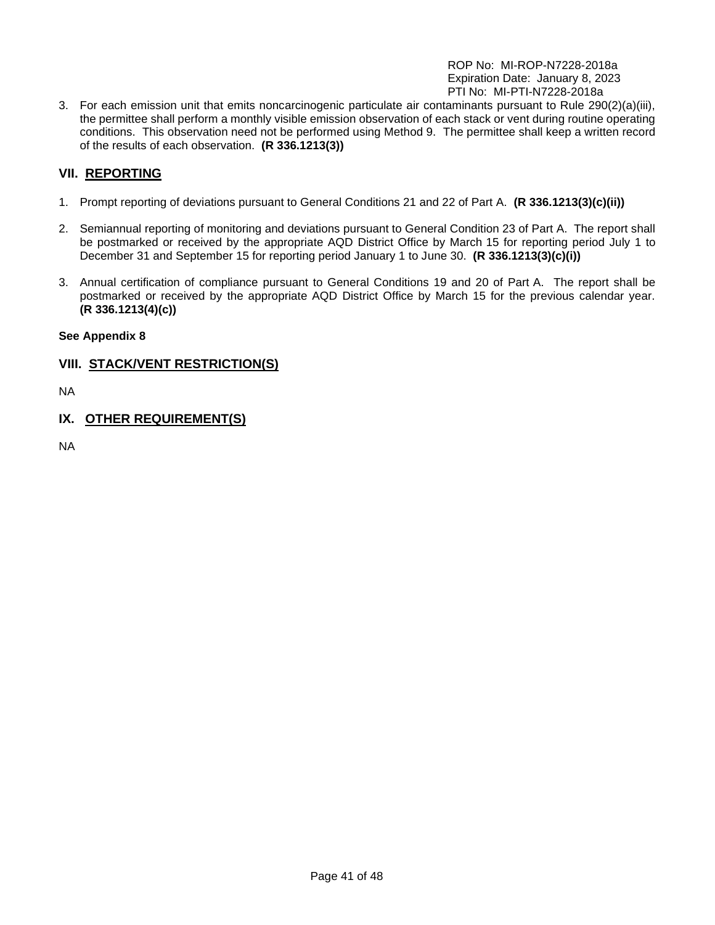3. For each emission unit that emits noncarcinogenic particulate air contaminants pursuant to Rule 290(2)(a)(iii), the permittee shall perform a monthly visible emission observation of each stack or vent during routine operating conditions. This observation need not be performed using Method 9. The permittee shall keep a written record of the results of each observation. **(R 336.1213(3))**

# **VII. REPORTING**

- 1. Prompt reporting of deviations pursuant to General Conditions 21 and 22 of Part A. **(R 336.1213(3)(c)(ii))**
- 2. Semiannual reporting of monitoring and deviations pursuant to General Condition 23 of Part A. The report shall be postmarked or received by the appropriate AQD District Office by March 15 for reporting period July 1 to December 31 and September 15 for reporting period January 1 to June 30. **(R 336.1213(3)(c)(i))**
- 3. Annual certification of compliance pursuant to General Conditions 19 and 20 of Part A. The report shall be postmarked or received by the appropriate AQD District Office by March 15 for the previous calendar year. **(R 336.1213(4)(c))**

## **See Appendix 8**

## **VIII. STACK/VENT RESTRICTION(S)**

NA

**IX. OTHER REQUIREMENT(S)**

NA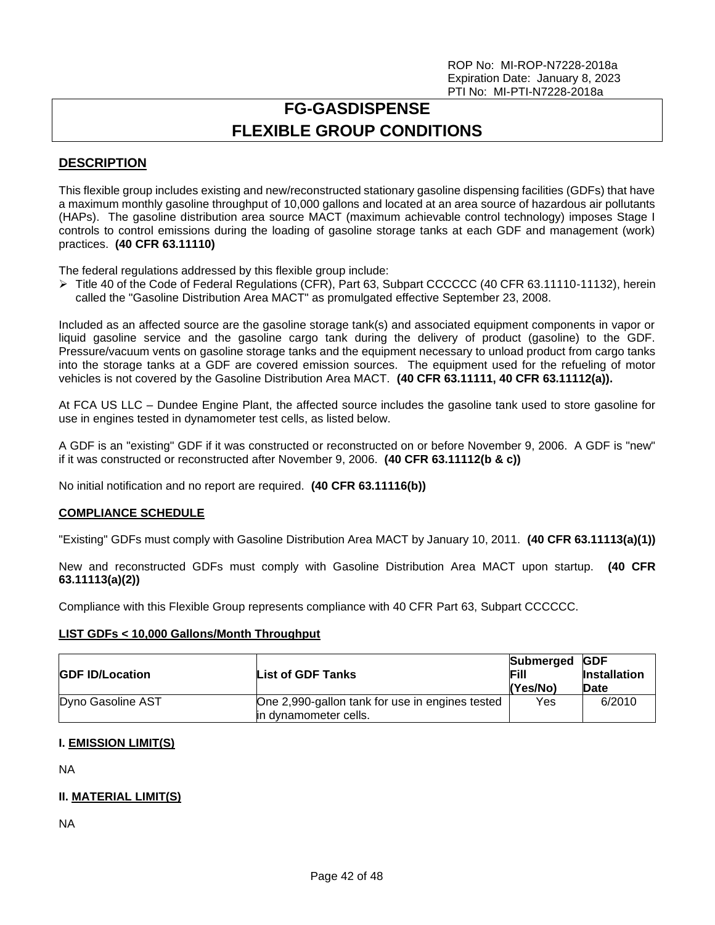# **FG-GASDISPENSE FLEXIBLE GROUP CONDITIONS**

# <span id="page-41-0"></span>**DESCRIPTION**

This flexible group includes existing and new/reconstructed stationary gasoline dispensing facilities (GDFs) that have a maximum monthly gasoline throughput of 10,000 gallons and located at an area source of hazardous air pollutants (HAPs). The gasoline distribution area source MACT (maximum achievable control technology) imposes Stage I controls to control emissions during the loading of gasoline storage tanks at each GDF and management (work) practices. **(40 CFR 63.11110)**

The federal regulations addressed by this flexible group include:

➢ Title 40 of the Code of Federal Regulations (CFR), Part 63, Subpart CCCCCC (40 CFR 63.11110-11132), herein called the "Gasoline Distribution Area MACT" as promulgated effective September 23, 2008.

Included as an affected source are the gasoline storage tank(s) and associated equipment components in vapor or liquid gasoline service and the gasoline cargo tank during the delivery of product (gasoline) to the GDF. Pressure/vacuum vents on gasoline storage tanks and the equipment necessary to unload product from cargo tanks into the storage tanks at a GDF are covered emission sources. The equipment used for the refueling of motor vehicles is not covered by the Gasoline Distribution Area MACT. **(40 CFR 63.11111, 40 CFR 63.11112(a)).**

At FCA US LLC – Dundee Engine Plant, the affected source includes the gasoline tank used to store gasoline for use in engines tested in dynamometer test cells, as listed below.

A GDF is an "existing" GDF if it was constructed or reconstructed on or before November 9, 2006. A GDF is "new" if it was constructed or reconstructed after November 9, 2006. **(40 CFR 63.11112(b & c))**

No initial notification and no report are required. **(40 CFR 63.11116(b))**

## **COMPLIANCE SCHEDULE**

"Existing" GDFs must comply with Gasoline Distribution Area MACT by January 10, 2011. **(40 CFR 63.11113(a)(1))**

New and reconstructed GDFs must comply with Gasoline Distribution Area MACT upon startup. **(40 CFR 63.11113(a)(2))**

Compliance with this Flexible Group represents compliance with 40 CFR Part 63, Subpart CCCCCC.

#### **LIST GDFs < 10,000 Gallons/Month Throughput**

| <b>GDF ID/Location</b> | List of GDF Tanks                                                        | Submerged GDF<br>Fill<br>(Yes/No) | <b>Installation</b><br>Date |
|------------------------|--------------------------------------------------------------------------|-----------------------------------|-----------------------------|
| Dyno Gasoline AST      | One 2,990-gallon tank for use in engines tested<br>in dynamometer cells. | Yes                               | 6/2010                      |

## **I. EMISSION LIMIT(S)**

NA

## **II. MATERIAL LIMIT(S)**

NA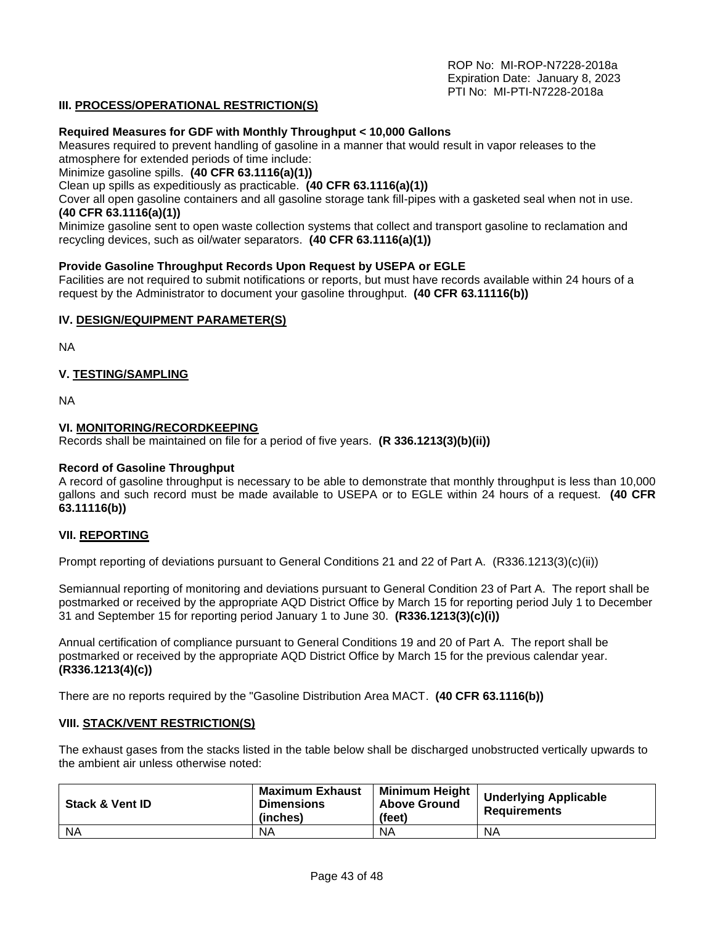#### **III. PROCESS/OPERATIONAL RESTRICTION(S)**

#### **Required Measures for GDF with Monthly Throughput < 10,000 Gallons**

Measures required to prevent handling of gasoline in a manner that would result in vapor releases to the atmosphere for extended periods of time include:

Minimize gasoline spills. **(40 CFR 63.1116(a)(1))**

Clean up spills as expeditiously as practicable. **(40 CFR 63.1116(a)(1))**

Cover all open gasoline containers and all gasoline storage tank fill-pipes with a gasketed seal when not in use. **(40 CFR 63.1116(a)(1))**

Minimize gasoline sent to open waste collection systems that collect and transport gasoline to reclamation and recycling devices, such as oil/water separators. **(40 CFR 63.1116(a)(1))**

#### **Provide Gasoline Throughput Records Upon Request by USEPA or EGLE**

Facilities are not required to submit notifications or reports, but must have records available within 24 hours of a request by the Administrator to document your gasoline throughput. **(40 CFR 63.11116(b))**

#### **IV. DESIGN/EQUIPMENT PARAMETER(S)**

NA

#### **V. TESTING/SAMPLING**

NA

#### **VI. MONITORING/RECORDKEEPING**

Records shall be maintained on file for a period of five years. **(R 336.1213(3)(b)(ii))**

#### **Record of Gasoline Throughput**

A record of gasoline throughput is necessary to be able to demonstrate that monthly throughput is less than 10,000 gallons and such record must be made available to USEPA or to EGLE within 24 hours of a request. **(40 CFR 63.11116(b))**

#### **VII. REPORTING**

Prompt reporting of deviations pursuant to General Conditions 21 and 22 of Part A. (R336.1213(3)(c)(ii))

Semiannual reporting of monitoring and deviations pursuant to General Condition 23 of Part A. The report shall be postmarked or received by the appropriate AQD District Office by March 15 for reporting period July 1 to December 31 and September 15 for reporting period January 1 to June 30. **(R336.1213(3)(c)(i))**

Annual certification of compliance pursuant to General Conditions 19 and 20 of Part A. The report shall be postmarked or received by the appropriate AQD District Office by March 15 for the previous calendar year. **(R336.1213(4)(c))**

There are no reports required by the "Gasoline Distribution Area MACT. **(40 CFR 63.1116(b))**

#### **VIII. STACK/VENT RESTRICTION(S)**

The exhaust gases from the stacks listed in the table below shall be discharged unobstructed vertically upwards to the ambient air unless otherwise noted:

| <b>Stack &amp; Vent ID</b> | <b>Maximum Exhaust</b><br><b>Dimensions</b><br>(inches) | <b>Minimum Height</b><br><b>Above Ground</b><br>(feet) | <b>Underlying Applicable</b><br>Requirements |
|----------------------------|---------------------------------------------------------|--------------------------------------------------------|----------------------------------------------|
| <b>NA</b>                  | ΝA                                                      | ΝA                                                     | NA                                           |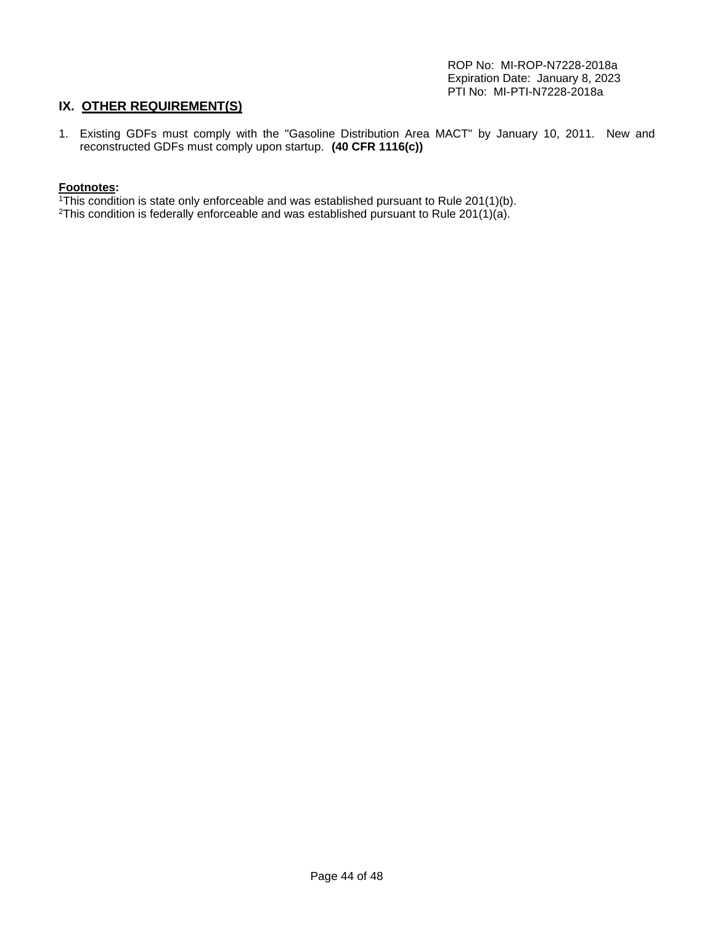# **IX. OTHER REQUIREMENT(S)**

1. Existing GDFs must comply with the "Gasoline Distribution Area MACT" by January 10, 2011. New and reconstructed GDFs must comply upon startup. **(40 CFR 1116(c))** 

#### **Footnotes:**

- $1$ <sup>1</sup>This condition is state only enforceable and was established pursuant to Rule 201(1)(b).
- <sup>2</sup>This condition is federally enforceable and was established pursuant to Rule 201(1)(a).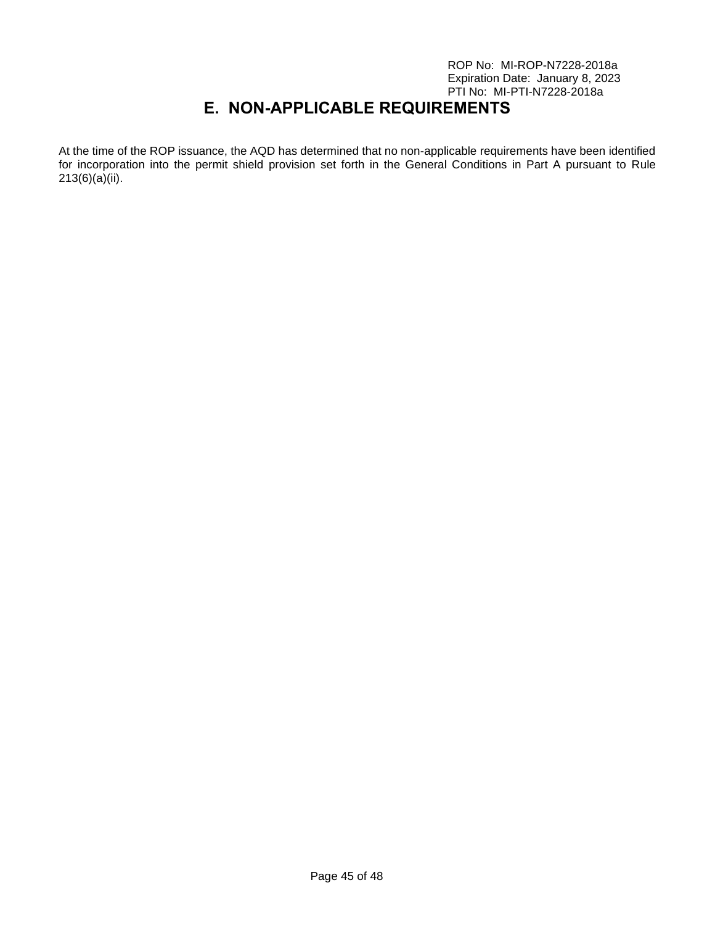# **E. NON-APPLICABLE REQUIREMENTS**

<span id="page-44-0"></span>At the time of the ROP issuance, the AQD has determined that no non-applicable requirements have been identified for incorporation into the permit shield provision set forth in the General Conditions in Part A pursuant to Rule 213(6)(a)(ii).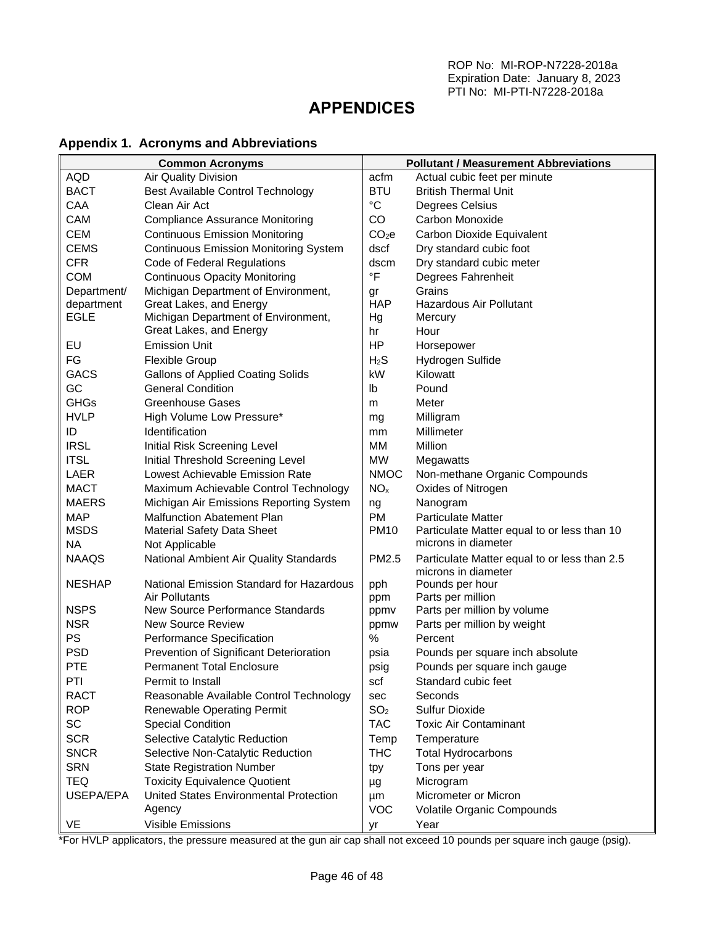# <span id="page-45-0"></span>**APPENDICES**

# <span id="page-45-1"></span>**Appendix 1. Acronyms and Abbreviations**

| <b>Common Acronyms</b> |                                              |                   | <b>Pollutant / Measurement Abbreviations</b>                        |
|------------------------|----------------------------------------------|-------------------|---------------------------------------------------------------------|
| <b>AQD</b>             | Air Quality Division                         | acfm              | Actual cubic feet per minute                                        |
| <b>BACT</b>            | Best Available Control Technology            | <b>BTU</b>        | <b>British Thermal Unit</b>                                         |
| CAA                    | Clean Air Act                                | $^{\circ}C$       | Degrees Celsius                                                     |
| CAM                    | <b>Compliance Assurance Monitoring</b>       | CO                | Carbon Monoxide                                                     |
| <b>CEM</b>             | <b>Continuous Emission Monitoring</b>        | CO <sub>2</sub> e | Carbon Dioxide Equivalent                                           |
| <b>CEMS</b>            | <b>Continuous Emission Monitoring System</b> | dscf              | Dry standard cubic foot                                             |
| <b>CFR</b>             | Code of Federal Regulations                  | dscm              | Dry standard cubic meter                                            |
| <b>COM</b>             | <b>Continuous Opacity Monitoring</b>         | $\overline{\ }$ F | Degrees Fahrenheit                                                  |
| Department/            | Michigan Department of Environment,          | gr                | Grains                                                              |
| department             | Great Lakes, and Energy                      | <b>HAP</b>        | <b>Hazardous Air Pollutant</b>                                      |
| <b>EGLE</b>            | Michigan Department of Environment,          | Hg                | Mercury                                                             |
|                        | Great Lakes, and Energy                      | hr                | Hour                                                                |
| EU                     | <b>Emission Unit</b>                         | HP                | Horsepower                                                          |
| FG                     | <b>Flexible Group</b>                        | H <sub>2</sub> S  | Hydrogen Sulfide                                                    |
| <b>GACS</b>            | <b>Gallons of Applied Coating Solids</b>     | kW                | Kilowatt                                                            |
| GC                     | <b>General Condition</b>                     | lb                | Pound                                                               |
| <b>GHGs</b>            | <b>Greenhouse Gases</b>                      | m                 | Meter                                                               |
| <b>HVLP</b>            | High Volume Low Pressure*                    | mg                | Milligram                                                           |
| ID                     | Identification                               | mm                | Millimeter                                                          |
| <b>IRSL</b>            | Initial Risk Screening Level                 | MM                | Million                                                             |
| <b>ITSL</b>            | Initial Threshold Screening Level            | <b>MW</b>         | Megawatts                                                           |
| LAER                   | Lowest Achievable Emission Rate              | <b>NMOC</b>       | Non-methane Organic Compounds                                       |
| <b>MACT</b>            | Maximum Achievable Control Technology        | NO <sub>x</sub>   | Oxides of Nitrogen                                                  |
| <b>MAERS</b>           | Michigan Air Emissions Reporting System      | ng                | Nanogram                                                            |
| <b>MAP</b>             | <b>Malfunction Abatement Plan</b>            | <b>PM</b>         | <b>Particulate Matter</b>                                           |
| <b>MSDS</b>            | <b>Material Safety Data Sheet</b>            | <b>PM10</b>       | Particulate Matter equal to or less than 10                         |
| <b>NA</b>              | Not Applicable                               |                   | microns in diameter                                                 |
| <b>NAAQS</b>           | National Ambient Air Quality Standards       | PM2.5             | Particulate Matter equal to or less than 2.5<br>microns in diameter |
| <b>NESHAP</b>          | National Emission Standard for Hazardous     | pph               | Pounds per hour                                                     |
|                        | <b>Air Pollutants</b>                        | ppm               | Parts per million                                                   |
| <b>NSPS</b>            | New Source Performance Standards             | ppmv              | Parts per million by volume                                         |
| <b>NSR</b>             | <b>New Source Review</b>                     | ppmw              | Parts per million by weight                                         |
| PS                     | Performance Specification                    | %                 | Percent                                                             |
| <b>PSD</b>             | Prevention of Significant Deterioration      | psia              | Pounds per square inch absolute                                     |
| PTE                    | <b>Permanent Total Enclosure</b>             | psig              | Pounds per square inch gauge                                        |
| PTI                    | Permit to Install                            | scf               | Standard cubic feet                                                 |
| <b>RACT</b>            | Reasonable Available Control Technology      | sec               | Seconds                                                             |
| <b>ROP</b>             | <b>Renewable Operating Permit</b>            | SO <sub>2</sub>   | Sulfur Dioxide                                                      |
| SC                     | <b>Special Condition</b>                     | <b>TAC</b>        | <b>Toxic Air Contaminant</b>                                        |
| <b>SCR</b>             | Selective Catalytic Reduction                | Temp              | Temperature                                                         |
| <b>SNCR</b>            | Selective Non-Catalytic Reduction            | <b>THC</b>        | <b>Total Hydrocarbons</b>                                           |
| <b>SRN</b>             | <b>State Registration Number</b>             | tpy               | Tons per year                                                       |
| <b>TEQ</b>             | <b>Toxicity Equivalence Quotient</b>         | μg                | Microgram                                                           |
| USEPA/EPA              | United States Environmental Protection       | μm                | Micrometer or Micron                                                |
|                        | Agency                                       | <b>VOC</b>        | Volatile Organic Compounds                                          |
| VE                     | Visible Emissions                            | уr                | Year                                                                |

\*For HVLP applicators, the pressure measured at the gun air cap shall not exceed 10 pounds per square inch gauge (psig).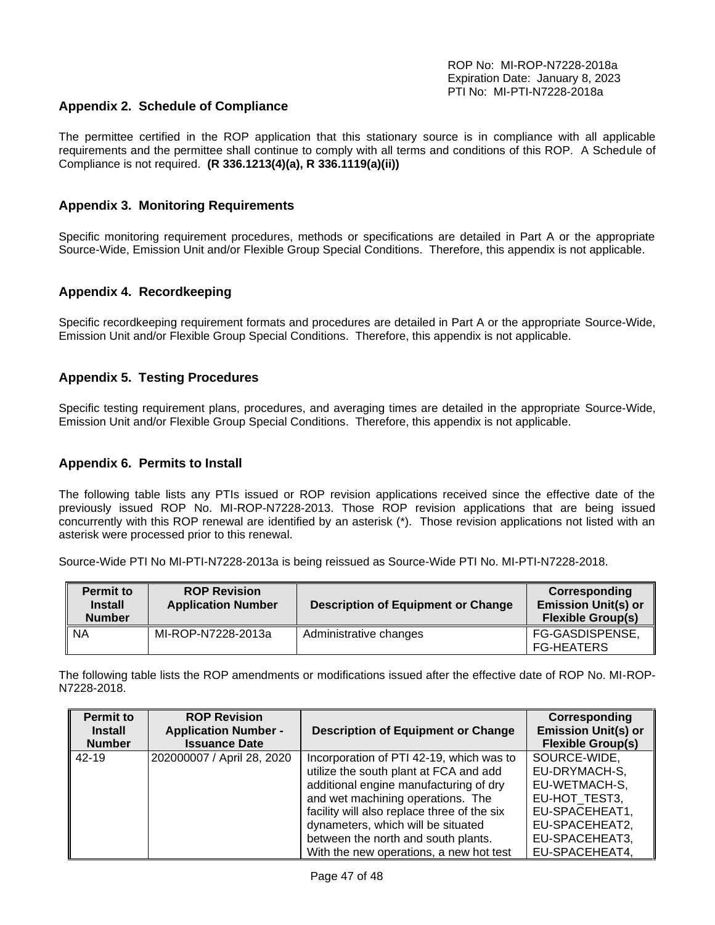## <span id="page-46-0"></span>**Appendix 2. Schedule of Compliance**

The permittee certified in the ROP application that this stationary source is in compliance with all applicable requirements and the permittee shall continue to comply with all terms and conditions of this ROP. A Schedule of Compliance is not required. **(R 336.1213(4)(a), R 336.1119(a)(ii))**

## <span id="page-46-1"></span>**Appendix 3. Monitoring Requirements**

Specific monitoring requirement procedures, methods or specifications are detailed in Part A or the appropriate Source-Wide, Emission Unit and/or Flexible Group Special Conditions. Therefore, this appendix is not applicable.

## <span id="page-46-2"></span>**Appendix 4. Recordkeeping**

Specific recordkeeping requirement formats and procedures are detailed in Part A or the appropriate Source-Wide, Emission Unit and/or Flexible Group Special Conditions. Therefore, this appendix is not applicable.

#### <span id="page-46-3"></span>**Appendix 5. Testing Procedures**

Specific testing requirement plans, procedures, and averaging times are detailed in the appropriate Source-Wide, Emission Unit and/or Flexible Group Special Conditions. Therefore, this appendix is not applicable.

#### <span id="page-46-4"></span>**Appendix 6. Permits to Install**

The following table lists any PTIs issued or ROP revision applications received since the effective date of the previously issued ROP No. MI-ROP-N7228-2013. Those ROP revision applications that are being issued concurrently with this ROP renewal are identified by an asterisk (\*). Those revision applications not listed with an asterisk were processed prior to this renewal.

Source-Wide PTI No MI-PTI-N7228-2013a is being reissued as Source-Wide PTI No. MI-PTI-N7228-2018.

| <b>Permit to</b><br><b>Install</b><br><b>Number</b> | <b>ROP Revision</b><br><b>Application Number</b> | <b>Description of Equipment or Change</b> | Corresponding<br><b>Emission Unit(s) or</b><br><b>Flexible Group(s)</b> |
|-----------------------------------------------------|--------------------------------------------------|-------------------------------------------|-------------------------------------------------------------------------|
| <b>NA</b>                                           | MI-ROP-N7228-2013a                               | Administrative changes                    | FG-GASDISPENSE,<br><b>FG-HEATERS</b>                                    |

The following table lists the ROP amendments or modifications issued after the effective date of ROP No. MI-ROP-N7228-2018.

| <b>Permit to</b><br><b>Install</b> | <b>ROP Revision</b><br><b>Application Number -</b> | <b>Description of Equipment or Change</b>   | Corresponding<br><b>Emission Unit(s) or</b> |
|------------------------------------|----------------------------------------------------|---------------------------------------------|---------------------------------------------|
| <b>Number</b>                      | <b>Issuance Date</b>                               |                                             | <b>Flexible Group(s)</b>                    |
| 42-19                              | 202000007 / April 28, 2020                         | Incorporation of PTI 42-19, which was to    | SOURCE-WIDE,                                |
|                                    |                                                    | utilize the south plant at FCA and add      | EU-DRYMACH-S,                               |
|                                    |                                                    | additional engine manufacturing of dry      | EU-WETMACH-S,                               |
|                                    |                                                    | and wet machining operations. The           | EU-HOT TEST3,                               |
|                                    |                                                    | facility will also replace three of the six | EU-SPACEHEAT1,                              |
|                                    |                                                    | dynameters, which will be situated          | EU-SPACEHEAT2,                              |
|                                    |                                                    | between the north and south plants.         | EU-SPACEHEAT3,                              |
|                                    |                                                    | With the new operations, a new hot test     | EU-SPACEHEAT4,                              |